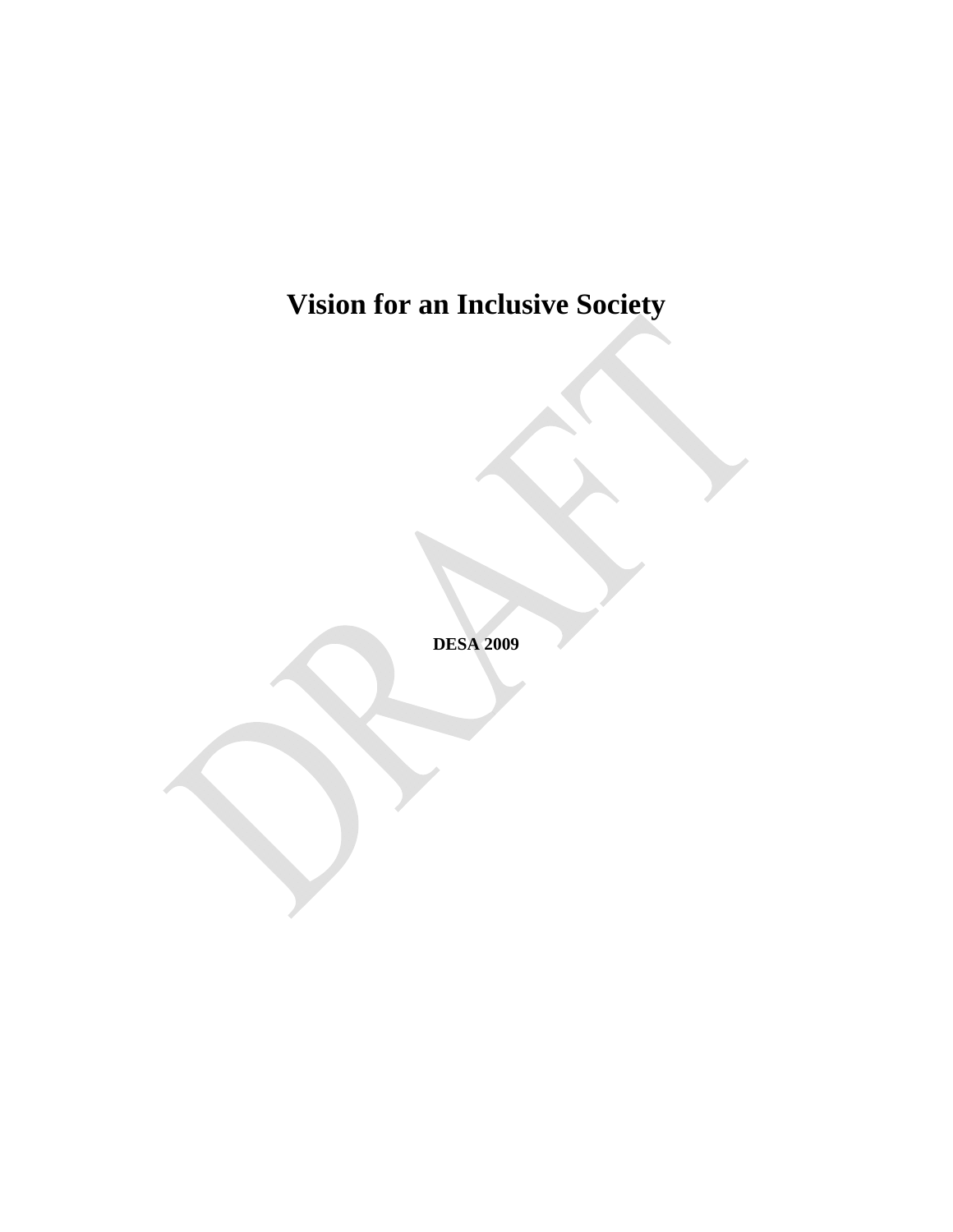# **Vision for an Inclusive Society**

**DESA 2009**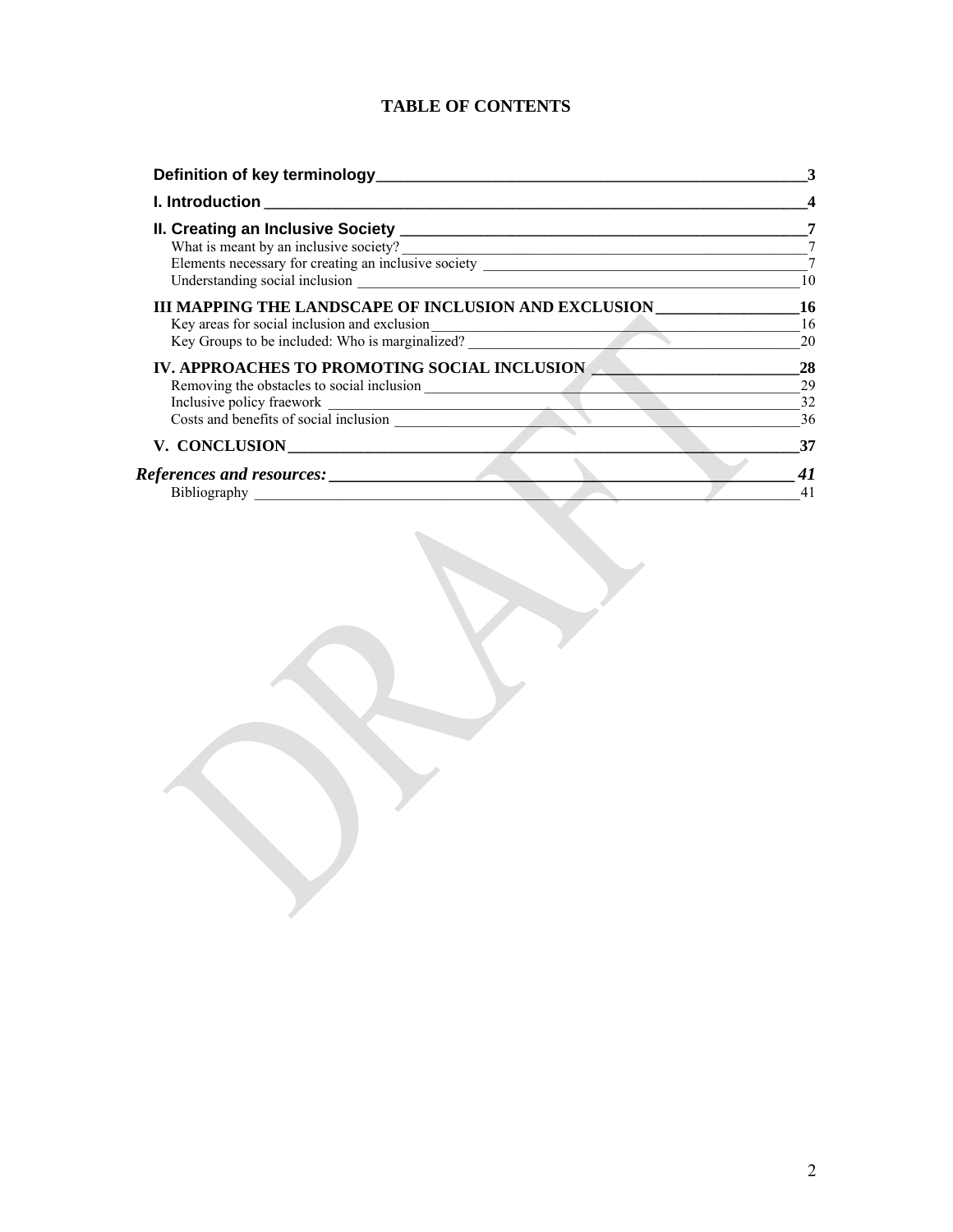# **TABLE OF CONTENTS**

| Definition of key terminology                                                    | 3              |
|----------------------------------------------------------------------------------|----------------|
|                                                                                  |                |
|                                                                                  | 7              |
| What is meant by an inclusive society?                                           |                |
| Elements necessary for creating an inclusive society                             | $\overline{7}$ |
|                                                                                  | 10             |
| III MAPPING THE LANDSCAPE OF INCLUSION AND EXCLUSION                             | 16             |
| Key areas for social inclusion and exclusion ___________________________________ | 16             |
| Key Groups to be included: Who is marginalized?                                  | 20             |
| IV. APPROACHES TO PROMOTING SOCIAL INCLUSION                                     | 28             |
| Removing the obstacles to social inclusion                                       | 29             |
| Inclusive policy fraework                                                        | 32             |
| Costs and benefits of social inclusion                                           | 36             |
| V. CONCLUSION                                                                    | 37             |
|                                                                                  |                |
| Bibliography                                                                     | 41             |
|                                                                                  |                |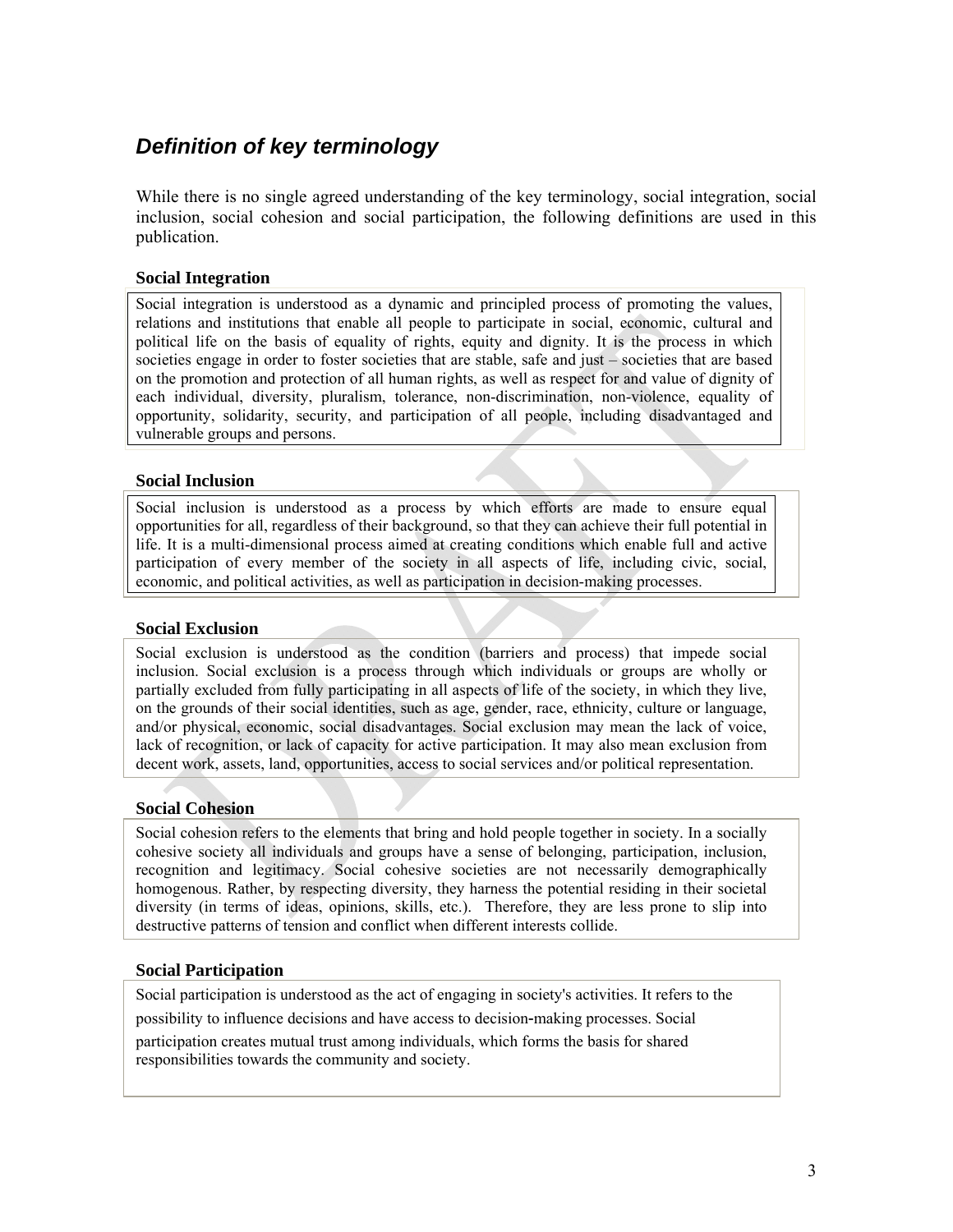# *Definition of key terminology*

While there is no single agreed understanding of the key terminology, social integration, social inclusion, social cohesion and social participation, the following definitions are used in this publication.

## **Social Integration**

Social integration is understood as a dynamic and principled process of promoting the values, relations and institutions that enable all people to participate in social, economic, cultural and political life on the basis of equality of rights, equity and dignity. It is the process in which societies engage in order to foster societies that are stable, safe and just – societies that are based on the promotion and protection of all human rights, as well as respect for and value of dignity of each individual, diversity, pluralism, tolerance, non-discrimination, non-violence, equality of opportunity, solidarity, security, and participation of all people, including disadvantaged and vulnerable groups and persons.

#### **Social Inclusion**

Social inclusion is understood as a process by which efforts are made to ensure equal opportunities for all, regardless of their background, so that they can achieve their full potential in life. It is a multi-dimensional process aimed at creating conditions which enable full and active participation of every member of the society in all aspects of life, including civic, social, economic, and political activities, as well as participation in decision-making processes.

#### **Social Exclusion**

Social exclusion is understood as the condition (barriers and process) that impede social inclusion. Social exclusion is a process through which individuals or groups are wholly or partially excluded from fully participating in all aspects of life of the society, in which they live, on the grounds of their social identities, such as age, gender, race, ethnicity, culture or language, and/or physical, economic, social disadvantages. Social exclusion may mean the lack of voice, lack of recognition, or lack of capacity for active participation. It may also mean exclusion from decent work, assets, land, opportunities, access to social services and/or political representation.

#### **Social Cohesion**

Social cohesion refers to the elements that bring and hold people together in society. In a socially cohesive society all individuals and groups have a sense of belonging, participation, inclusion, recognition and legitimacy. Social cohesive societies are not necessarily demographically homogenous. Rather, by respecting diversity, they harness the potential residing in their societal diversity (in terms of ideas, opinions, skills, etc.). Therefore, they are less prone to slip into destructive patterns of tension and conflict when different interests collide.

#### **Social Participation**

Social participation is understood as the act of engaging in society's activities. It refers to the

possibility to influence decisions and have access to decision-making processes. Social participation creates mutual trust among individuals, which forms the basis for shared responsibilities towards the community and society.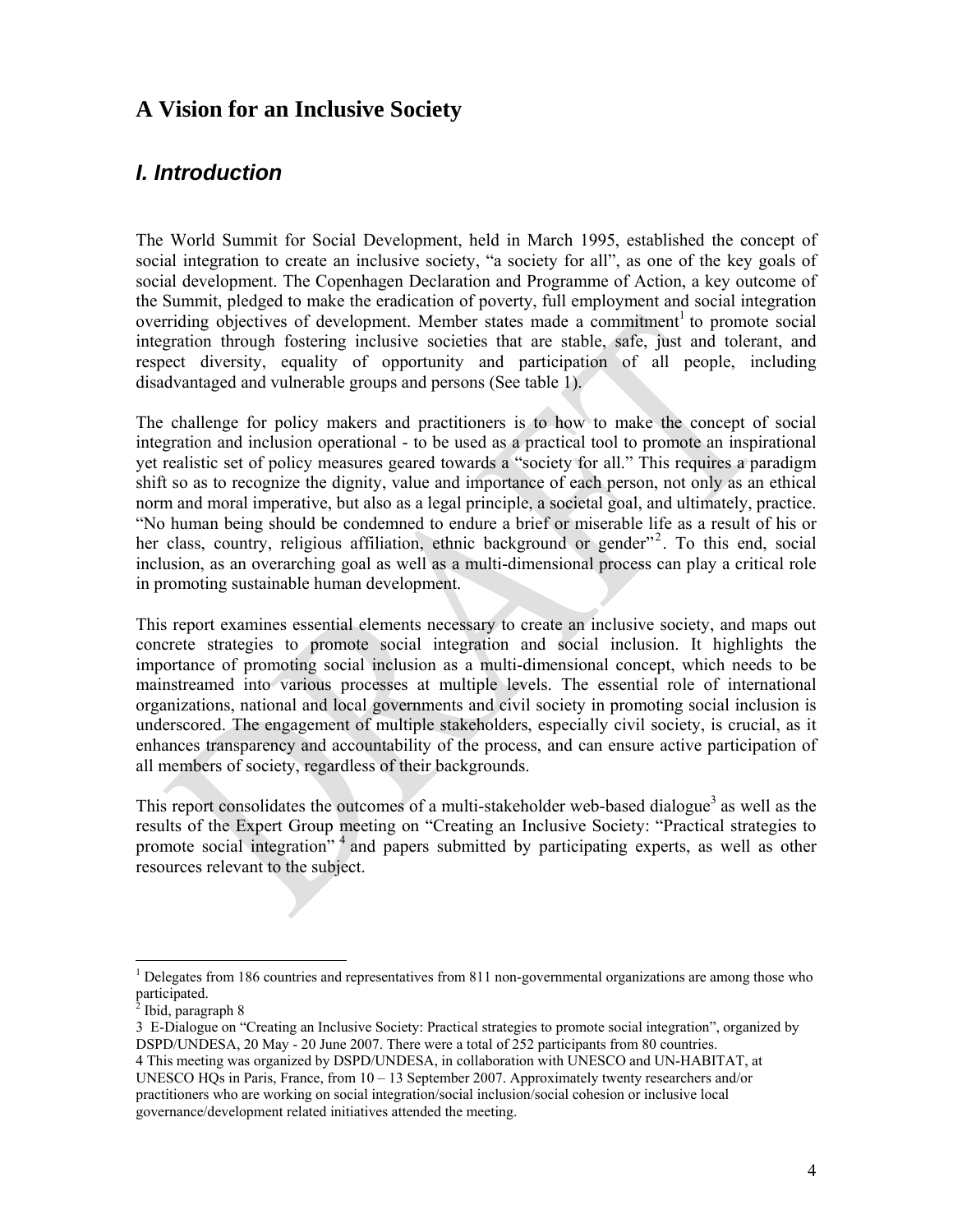# **A Vision for an Inclusive Society**

# *I. Introduction*

The World Summit for Social Development, held in March 1995, established the concept of social integration to create an inclusive society, "a society for all", as one of the key goals of social development. The Copenhagen Declaration and Programme of Action, a key outcome of the Summit, pledged to make the eradication of poverty, full employment and social integration overriding objectives of development. Member states made a commitment<sup>1</sup> to promote social integration through fostering inclusive societies that are stable, safe, just and tolerant, and respect diversity, equality of opportunity and participation of all people, including disadvantaged and vulnerable groups and persons (See table 1).

The challenge for policy makers and practitioners is to how to make the concept of social integration and inclusion operational - to be used as a practical tool to promote an inspirational yet realistic set of policy measures geared towards a "society for all." This requires a paradigm shift so as to recognize the dignity, value and importance of each person, not only as an ethical norm and moral imperative, but also as a legal principle, a societal goal, and ultimately, practice. "No human being should be condemned to endure a brief or miserable life as a result of his or her class, country, religious affiliation, ethnic background or gender"<sup>2</sup>. To this end, social inclusion, as an overarching goal as well as a multi-dimensional process can play a critical role in promoting sustainable human development.

This report examines essential elements necessary to create an inclusive society, and maps out concrete strategies to promote social integration and social inclusion. It highlights the importance of promoting social inclusion as a multi-dimensional concept, which needs to be mainstreamed into various processes at multiple levels. The essential role of international organizations, national and local governments and civil society in promoting social inclusion is underscored. The engagement of multiple stakeholders, especially civil society, is crucial, as it enhances transparency and accountability of the process, and can ensure active participation of all members of society, regardless of their backgrounds.

This report consolidates the outcomes of a multi-stakeholder web-based dialogue<sup>3</sup> as well as the results of the Expert Group meeting on "Creating an Inclusive Society: "Practical strategies to promote social integration"<sup>4</sup> and papers submitted by participating experts, as well as other resources relevant to the subject.

<sup>&</sup>lt;sup>1</sup> Delegates from 186 countries and representatives from 811 non-governmental organizations are among those who

participated. 2 Ibid, paragraph 8

<sup>3</sup> E-Dialogue on "Creating an Inclusive Society: Practical strategies to promote social integration", organized by DSPD/UNDESA, 20 May - 20 June 2007. There were a total of 252 participants from 80 countries.

<sup>4</sup> This meeting was organized by DSPD/UNDESA, in collaboration with UNESCO and UN-HABITAT, at UNESCO HQs in Paris, France, from 10 – 13 September 2007. Approximately twenty researchers and/or practitioners who are working on social integration/social inclusion/social cohesion or inclusive local governance/development related initiatives attended the meeting.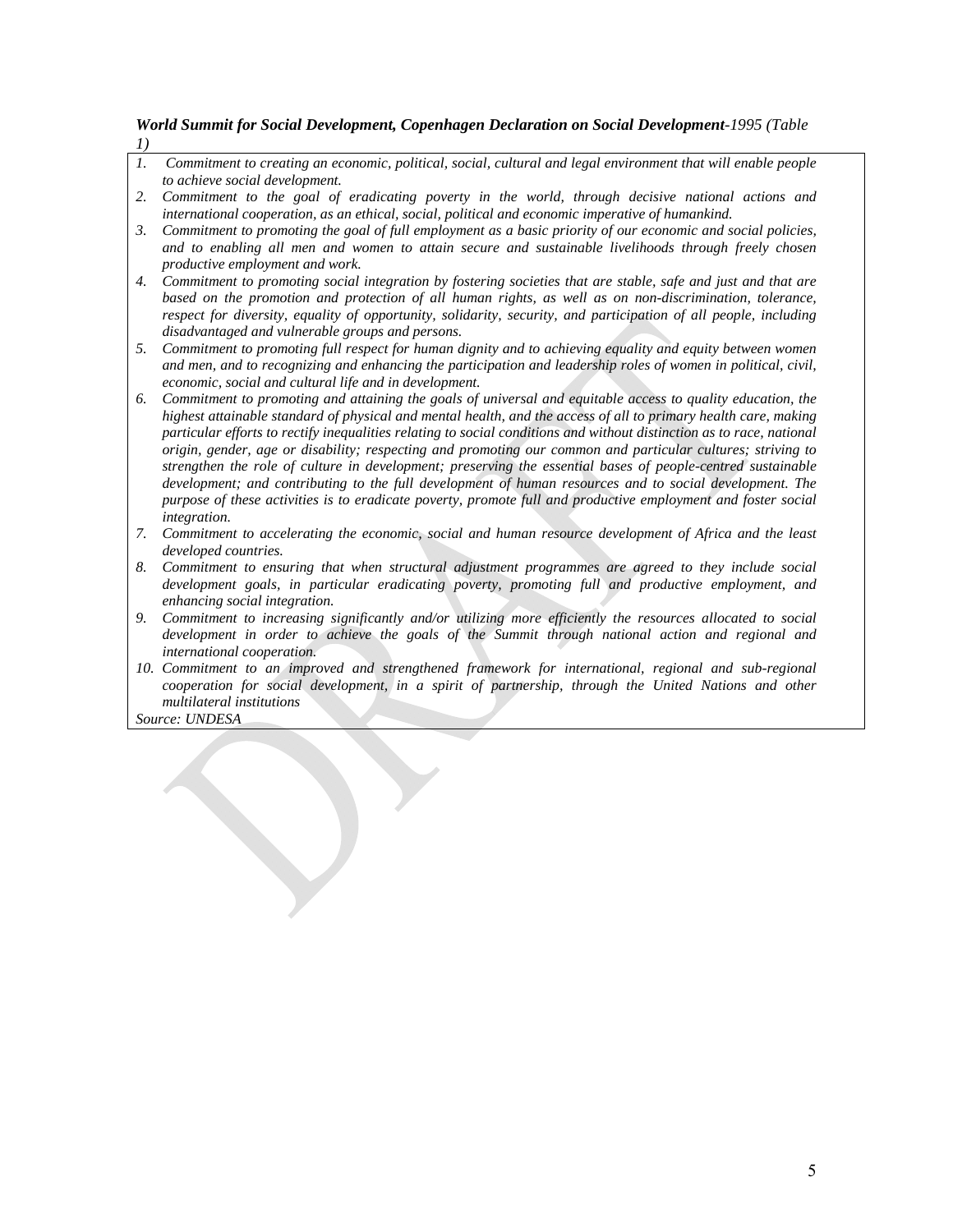#### *World Summit for Social Development, Copenhagen Declaration on Social Development-1995 (Table*

- *1. Commitment to creating an economic, political, social, cultural and legal environment that will enable people to achieve social development.*
- *2. Commitment to the goal of eradicating poverty in the world, through decisive national actions and international cooperation, as an ethical, social, political and economic imperative of humankind.*
- *3. Commitment to promoting the goal of full employment as a basic priority of our economic and social policies, and to enabling all men and women to attain secure and sustainable livelihoods through freely chosen productive employment and work.*
- *4. Commitment to promoting social integration by fostering societies that are stable, safe and just and that are*  based on the promotion and protection of all human rights, as well as on non-discrimination, tolerance, *respect for diversity, equality of opportunity, solidarity, security, and participation of all people, including disadvantaged and vulnerable groups and persons.*
- *5. Commitment to promoting full respect for human dignity and to achieving equality and equity between women and men, and to recognizing and enhancing the participation and leadership roles of women in political, civil, economic, social and cultural life and in development.*
- *6. Commitment to promoting and attaining the goals of universal and equitable access to quality education, the highest attainable standard of physical and mental health, and the access of all to primary health care, making particular efforts to rectify inequalities relating to social conditions and without distinction as to race, national origin, gender, age or disability; respecting and promoting our common and particular cultures; striving to strengthen the role of culture in development; preserving the essential bases of people-centred sustainable*  development; and contributing to the full development of human resources and to social development. The *purpose of these activities is to eradicate poverty, promote full and productive employment and foster social integration.*
- *7. Commitment to accelerating the economic, social and human resource development of Africa and the least developed countries.*
- *8. Commitment to ensuring that when structural adjustment programmes are agreed to they include social development goals, in particular eradicating poverty, promoting full and productive employment, and enhancing social integration.*
- *9. Commitment to increasing significantly and/or utilizing more efficiently the resources allocated to social development in order to achieve the goals of the Summit through national action and regional and international cooperation.*
- *10. Commitment to an improved and strengthened framework for international, regional and sub-regional cooperation for social development, in a spirit of partnership, through the United Nations and other multilateral institutions*

*Source: UNDESA*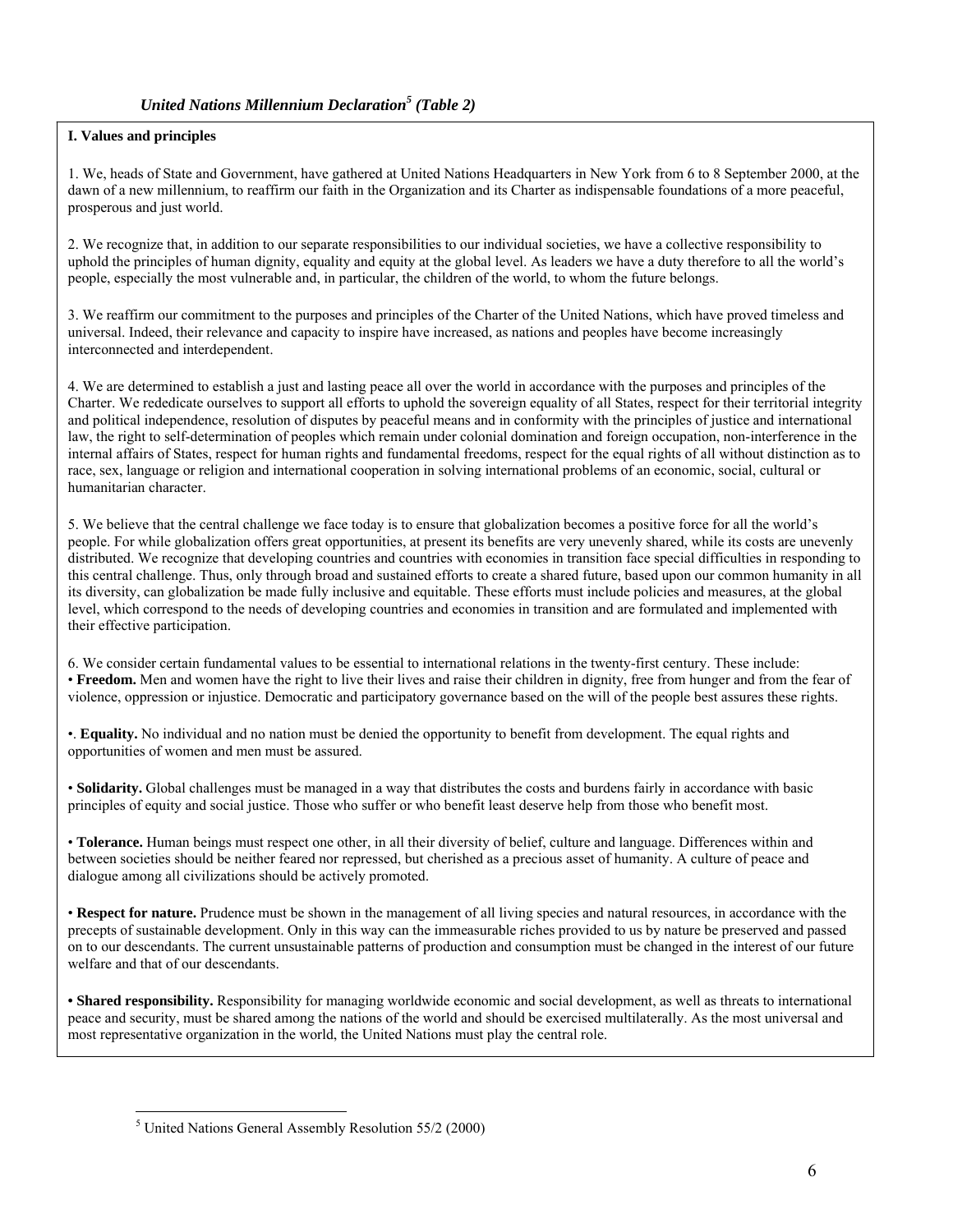#### **I. Values and principles**

1. We, heads of State and Government, have gathered at United Nations Headquarters in New York from 6 to 8 September 2000, at the dawn of a new millennium, to reaffirm our faith in the Organization and its Charter as indispensable foundations of a more peaceful, prosperous and just world.

2. We recognize that, in addition to our separate responsibilities to our individual societies, we have a collective responsibility to uphold the principles of human dignity, equality and equity at the global level. As leaders we have a duty therefore to all the world's people, especially the most vulnerable and, in particular, the children of the world, to whom the future belongs.

3. We reaffirm our commitment to the purposes and principles of the Charter of the United Nations, which have proved timeless and universal. Indeed, their relevance and capacity to inspire have increased, as nations and peoples have become increasingly interconnected and interdependent.

4. We are determined to establish a just and lasting peace all over the world in accordance with the purposes and principles of the Charter. We rededicate ourselves to support all efforts to uphold the sovereign equality of all States, respect for their territorial integrity and political independence, resolution of disputes by peaceful means and in conformity with the principles of justice and international law, the right to self-determination of peoples which remain under colonial domination and foreign occupation, non-interference in the internal affairs of States, respect for human rights and fundamental freedoms, respect for the equal rights of all without distinction as to race, sex, language or religion and international cooperation in solving international problems of an economic, social, cultural or humanitarian character.

5. We believe that the central challenge we face today is to ensure that globalization becomes a positive force for all the world's people. For while globalization offers great opportunities, at present its benefits are very unevenly shared, while its costs are unevenly distributed. We recognize that developing countries and countries with economies in transition face special difficulties in responding to this central challenge. Thus, only through broad and sustained efforts to create a shared future, based upon our common humanity in all its diversity, can globalization be made fully inclusive and equitable. These efforts must include policies and measures, at the global level, which correspond to the needs of developing countries and economies in transition and are formulated and implemented with their effective participation.

6. We consider certain fundamental values to be essential to international relations in the twenty-first century. These include: • **Freedom.** Men and women have the right to live their lives and raise their children in dignity, free from hunger and from the fear of violence, oppression or injustice. Democratic and participatory governance based on the will of the people best assures these rights.

•. **Equality.** No individual and no nation must be denied the opportunity to benefit from development. The equal rights and opportunities of women and men must be assured.

• **Solidarity.** Global challenges must be managed in a way that distributes the costs and burdens fairly in accordance with basic principles of equity and social justice. Those who suffer or who benefit least deserve help from those who benefit most.

• **Tolerance.** Human beings must respect one other, in all their diversity of belief, culture and language. Differences within and between societies should be neither feared nor repressed, but cherished as a precious asset of humanity. A culture of peace and dialogue among all civilizations should be actively promoted.

• **Respect for nature.** Prudence must be shown in the management of all living species and natural resources, in accordance with the precepts of sustainable development. Only in this way can the immeasurable riches provided to us by nature be preserved and passed on to our descendants. The current unsustainable patterns of production and consumption must be changed in the interest of our future welfare and that of our descendants.

**• Shared responsibility.** Responsibility for managing worldwide economic and social development, as well as threats to international peace and security, must be shared among the nations of the world and should be exercised multilaterally. As the most universal and most representative organization in the world, the United Nations must play the central role.

<sup>-</sup>5 United Nations General Assembly Resolution 55/2 (2000)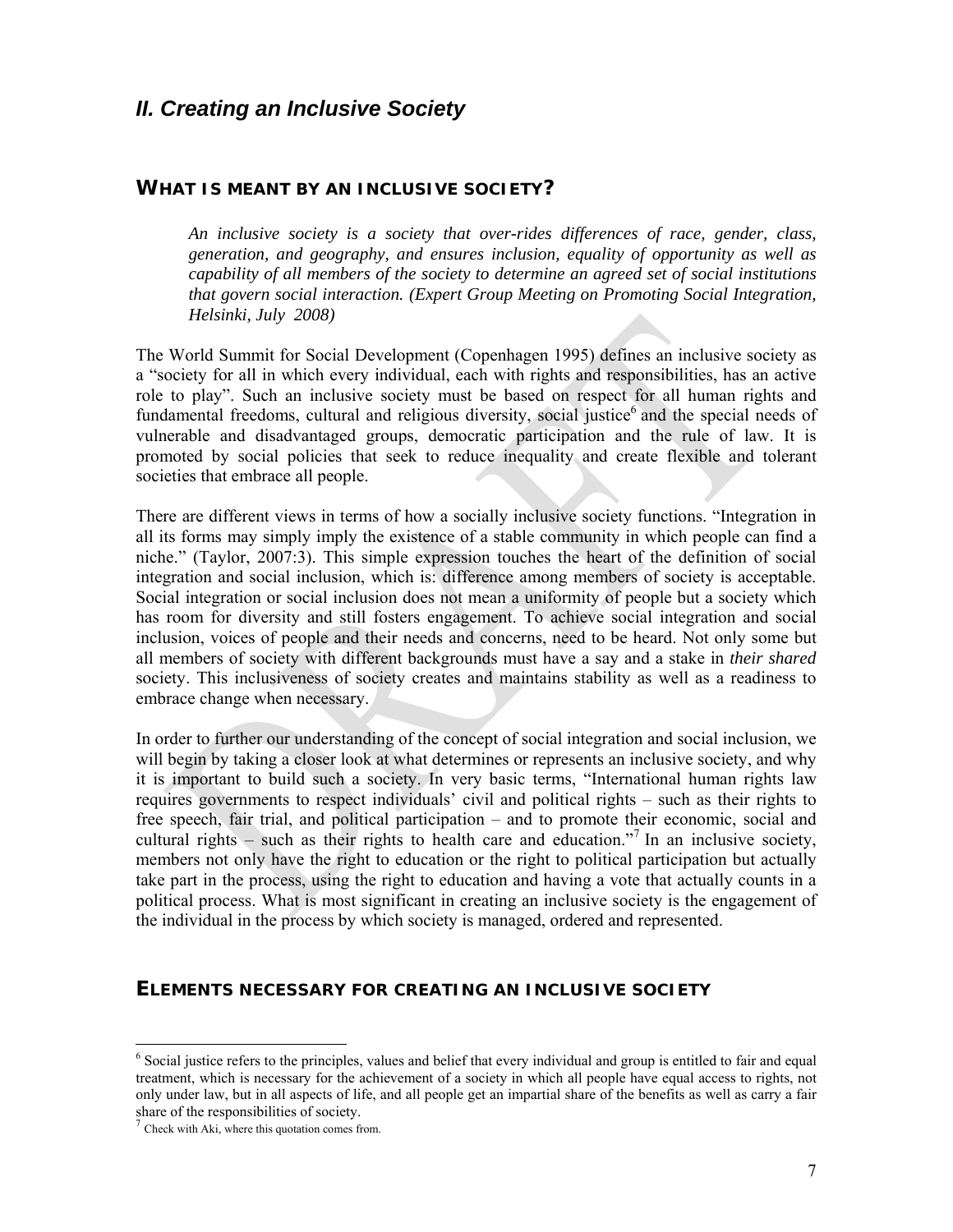# *II. Creating an Inclusive Society*

#### **WHAT IS MEANT BY AN INCLUSIVE SOCIETY?**

*An inclusive society is a society that over-rides differences of race, gender, class, generation, and geography, and ensures inclusion, equality of opportunity as well as capability of all members of the society to determine an agreed set of social institutions that govern social interaction. (Expert Group Meeting on Promoting Social Integration, Helsinki, July 2008)*

The World Summit for Social Development (Copenhagen 1995) defines an inclusive society as a "society for all in which every individual, each with rights and responsibilities, has an active role to play". Such an inclusive society must be based on respect for all human rights and fundamental freedoms, cultural and religious diversity, social justice<sup>6</sup> and the special needs of vulnerable and disadvantaged groups, democratic participation and the rule of law. It is promoted by social policies that seek to reduce inequality and create flexible and tolerant societies that embrace all people.

There are different views in terms of how a socially inclusive society functions. "Integration in all its forms may simply imply the existence of a stable community in which people can find a niche." (Taylor, 2007:3). This simple expression touches the heart of the definition of social integration and social inclusion, which is: difference among members of society is acceptable. Social integration or social inclusion does not mean a uniformity of people but a society which has room for diversity and still fosters engagement. To achieve social integration and social inclusion, voices of people and their needs and concerns, need to be heard. Not only some but all members of society with different backgrounds must have a say and a stake in *their shared* society. This inclusiveness of society creates and maintains stability as well as a readiness to embrace change when necessary.

In order to further our understanding of the concept of social integration and social inclusion, we will begin by taking a closer look at what determines or represents an inclusive society, and why it is important to build such a society. In very basic terms, "International human rights law requires governments to respect individuals' civil and political rights – such as their rights to free speech, fair trial, and political participation – and to promote their economic, social and cultural rights – such as their rights to health care and education."<sup>7</sup> In an inclusive society, members not only have the right to education or the right to political participation but actually take part in the process, using the right to education and having a vote that actually counts in a political process. What is most significant in creating an inclusive society is the engagement of the individual in the process by which society is managed, ordered and represented.

#### **ELEMENTS NECESSARY FOR CREATING AN INCLUSIVE SOCIETY**

 $<sup>6</sup>$  Social justice refers to the principles, values and belief that every individual and group is entitled to fair and equal</sup> treatment, which is necessary for the achievement of a society in which all people have equal access to rights, not only under law, but in all aspects of life, and all people get an impartial share of the benefits as well as carry a fair share of the responsibilities of society.

 $<sup>7</sup>$  Check with Aki, where this quotation comes from.</sup>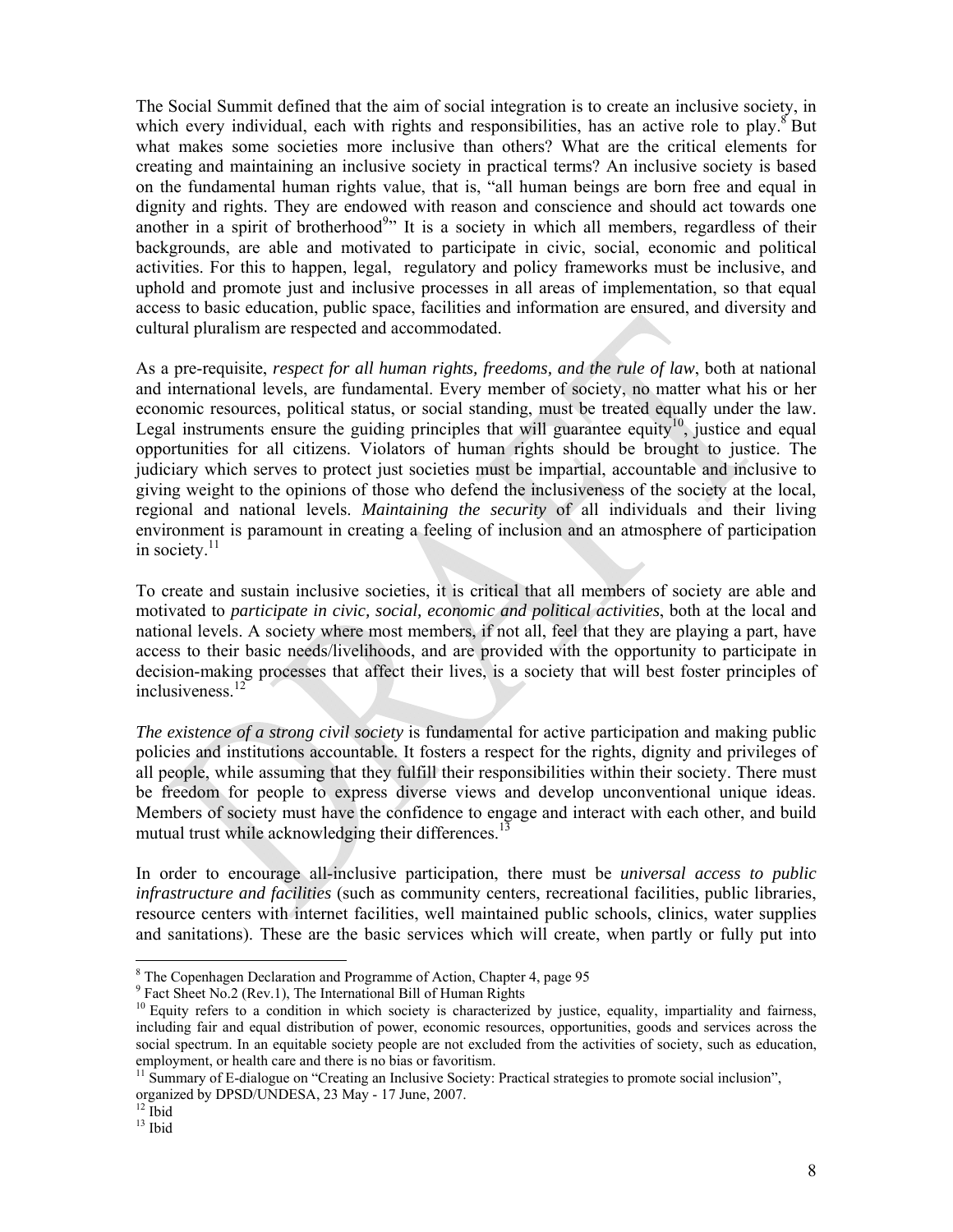The Social Summit defined that the aim of social integration is to create an inclusive society, in which every individual, each with rights and responsibilities, has an active role to play.<sup>8</sup> But what makes some societies more inclusive than others? What are the critical elements for creating and maintaining an inclusive society in practical terms? An inclusive society is based on the fundamental human rights value, that is, "all human beings are born free and equal in dignity and rights. They are endowed with reason and conscience and should act towards one another in a spirit of brotherhood<sup>9</sup>" It is a society in which all members, regardless of their backgrounds, are able and motivated to participate in civic, social, economic and political activities. For this to happen, legal, regulatory and policy frameworks must be inclusive, and uphold and promote just and inclusive processes in all areas of implementation, so that equal access to basic education, public space, facilities and information are ensured, and diversity and cultural pluralism are respected and accommodated.

As a pre-requisite, *respect for all human rights, freedoms, and the rule of law*, both at national and international levels, are fundamental. Every member of society, no matter what his or her economic resources, political status, or social standing, must be treated equally under the law. Legal instruments ensure the guiding principles that will guarantee equity<sup>10</sup>, justice and equal opportunities for all citizens. Violators of human rights should be brought to justice. The judiciary which serves to protect just societies must be impartial, accountable and inclusive to giving weight to the opinions of those who defend the inclusiveness of the society at the local, regional and national levels. *Maintaining the security* of all individuals and their living environment is paramount in creating a feeling of inclusion and an atmosphere of participation in society. $11$ 

To create and sustain inclusive societies, it is critical that all members of society are able and motivated to *participate in civic, social, economic and political activities*, both at the local and national levels. A society where most members, if not all, feel that they are playing a part, have access to their basic needs/livelihoods, and are provided with the opportunity to participate in decision-making processes that affect their lives, is a society that will best foster principles of inclusiveness.<sup>12</sup>

*The existence of a strong civil society* is fundamental for active participation and making public policies and institutions accountable. It fosters a respect for the rights, dignity and privileges of all people, while assuming that they fulfill their responsibilities within their society. There must be freedom for people to express diverse views and develop unconventional unique ideas. Members of society must have the confidence to engage and interact with each other, and build mutual trust while acknowledging their differences.<sup>13</sup>

In order to encourage all-inclusive participation, there must be *universal access to public infrastructure and facilities* (such as community centers, recreational facilities, public libraries, resource centers with internet facilities, well maintained public schools, clinics, water supplies and sanitations). These are the basic services which will create, when partly or fully put into

<sup>&</sup>lt;sup>8</sup> The Copenhagen Declaration and Programme of Action, Chapter 4, page 95

<sup>&</sup>lt;sup>9</sup> Fact Sheet No.2 (Rev.1), The International Bill of Human Rights

<sup>&</sup>lt;sup>10</sup> Equity refers to a condition in which society is characterized by justice, equality, impartiality and fairness, including fair and equal distribution of power, economic resources, opportunities, goods and services across the social spectrum. In an equitable society people are not excluded from the activities of society, such as education, employment, or health care and there is no bias or favoritism.

<sup>&</sup>lt;sup>11</sup> Summary of E-dialogue on "Creating an Inclusive Society: Practical strategies to promote social inclusion", organized by DPSD/UNDESA, 23 May - 17 June, 2007.

 $12$  Ibid

 $13$  Ibid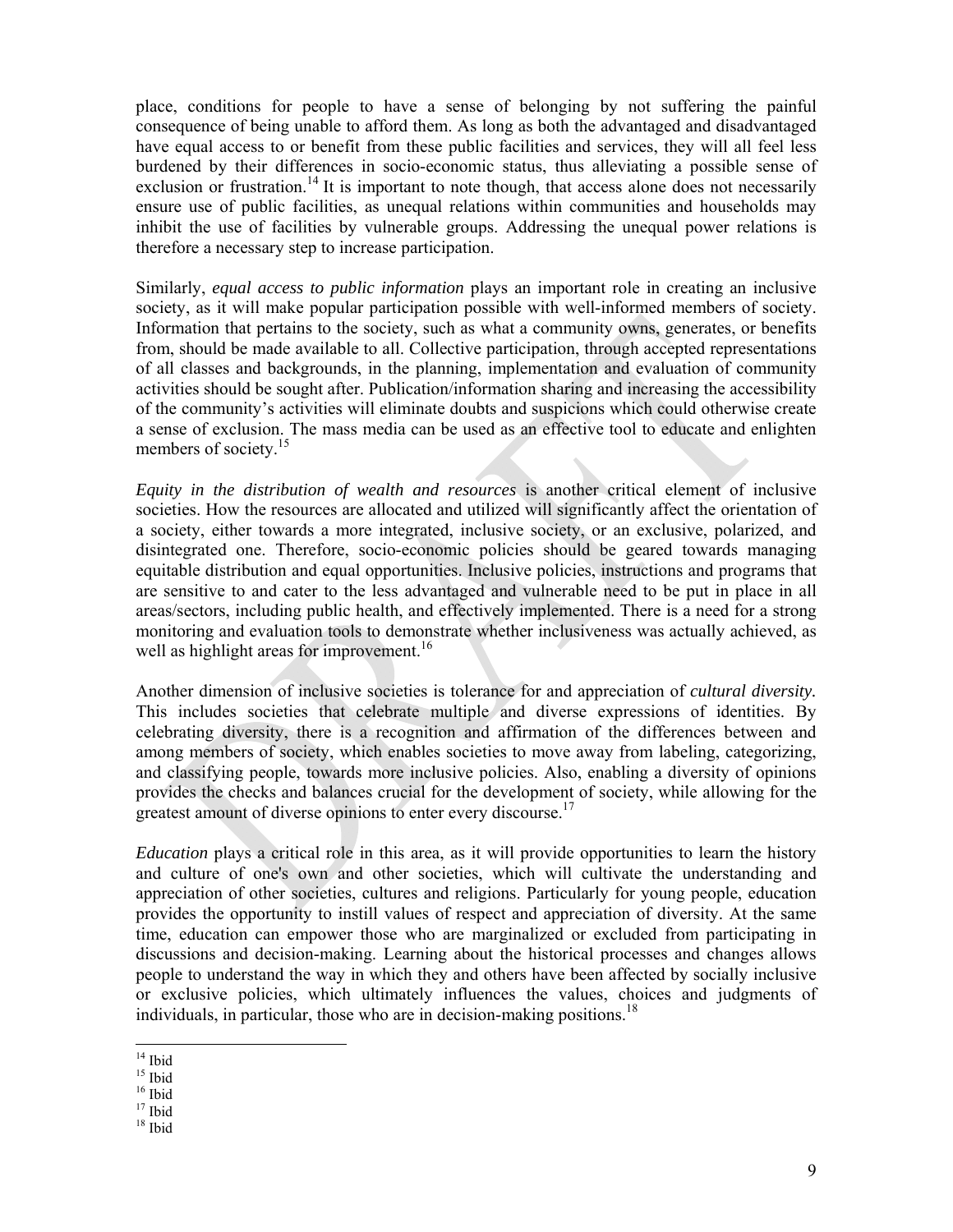place, conditions for people to have a sense of belonging by not suffering the painful consequence of being unable to afford them. As long as both the advantaged and disadvantaged have equal access to or benefit from these public facilities and services, they will all feel less burdened by their differences in socio-economic status, thus alleviating a possible sense of exclusion or frustration.<sup>14</sup> It is important to note though, that access alone does not necessarily ensure use of public facilities, as unequal relations within communities and households may inhibit the use of facilities by vulnerable groups. Addressing the unequal power relations is therefore a necessary step to increase participation.

Similarly, *equal access to public information* plays an important role in creating an inclusive society, as it will make popular participation possible with well-informed members of society. Information that pertains to the society, such as what a community owns, generates, or benefits from, should be made available to all. Collective participation, through accepted representations of all classes and backgrounds, in the planning, implementation and evaluation of community activities should be sought after. Publication/information sharing and increasing the accessibility of the community's activities will eliminate doubts and suspicions which could otherwise create a sense of exclusion. The mass media can be used as an effective tool to educate and enlighten members of society.<sup>15</sup>

*Equity in the distribution of wealth and resources* is another critical element of inclusive societies. How the resources are allocated and utilized will significantly affect the orientation of a society, either towards a more integrated, inclusive society, or an exclusive, polarized, and disintegrated one. Therefore, socio-economic policies should be geared towards managing equitable distribution and equal opportunities. Inclusive policies, instructions and programs that are sensitive to and cater to the less advantaged and vulnerable need to be put in place in all areas/sectors, including public health, and effectively implemented. There is a need for a strong monitoring and evaluation tools to demonstrate whether inclusiveness was actually achieved, as well as highlight areas for improvement.<sup>16</sup>

Another dimension of inclusive societies is tolerance for and appreciation of *cultural diversity.* This includes societies that celebrate multiple and diverse expressions of identities. By celebrating diversity, there is a recognition and affirmation of the differences between and among members of society, which enables societies to move away from labeling, categorizing, and classifying people, towards more inclusive policies. Also, enabling a diversity of opinions provides the checks and balances crucial for the development of society, while allowing for the greatest amount of diverse opinions to enter every discourse.<sup>17</sup>

*Education* plays a critical role in this area, as it will provide opportunities to learn the history and culture of one's own and other societies, which will cultivate the understanding and appreciation of other societies, cultures and religions. Particularly for young people, education provides the opportunity to instill values of respect and appreciation of diversity. At the same time, education can empower those who are marginalized or excluded from participating in discussions and decision-making. Learning about the historical processes and changes allows people to understand the way in which they and others have been affected by socially inclusive or exclusive policies, which ultimately influences the values, choices and judgments of individuals, in particular, those who are in decision-making positions.<sup>18</sup>

- $17 \text{ I} \cdot \text{b}$
- 18 Ibid

 $14$  Ibid

 $15$  Ibid

 $^{\rm 16}$ Ibid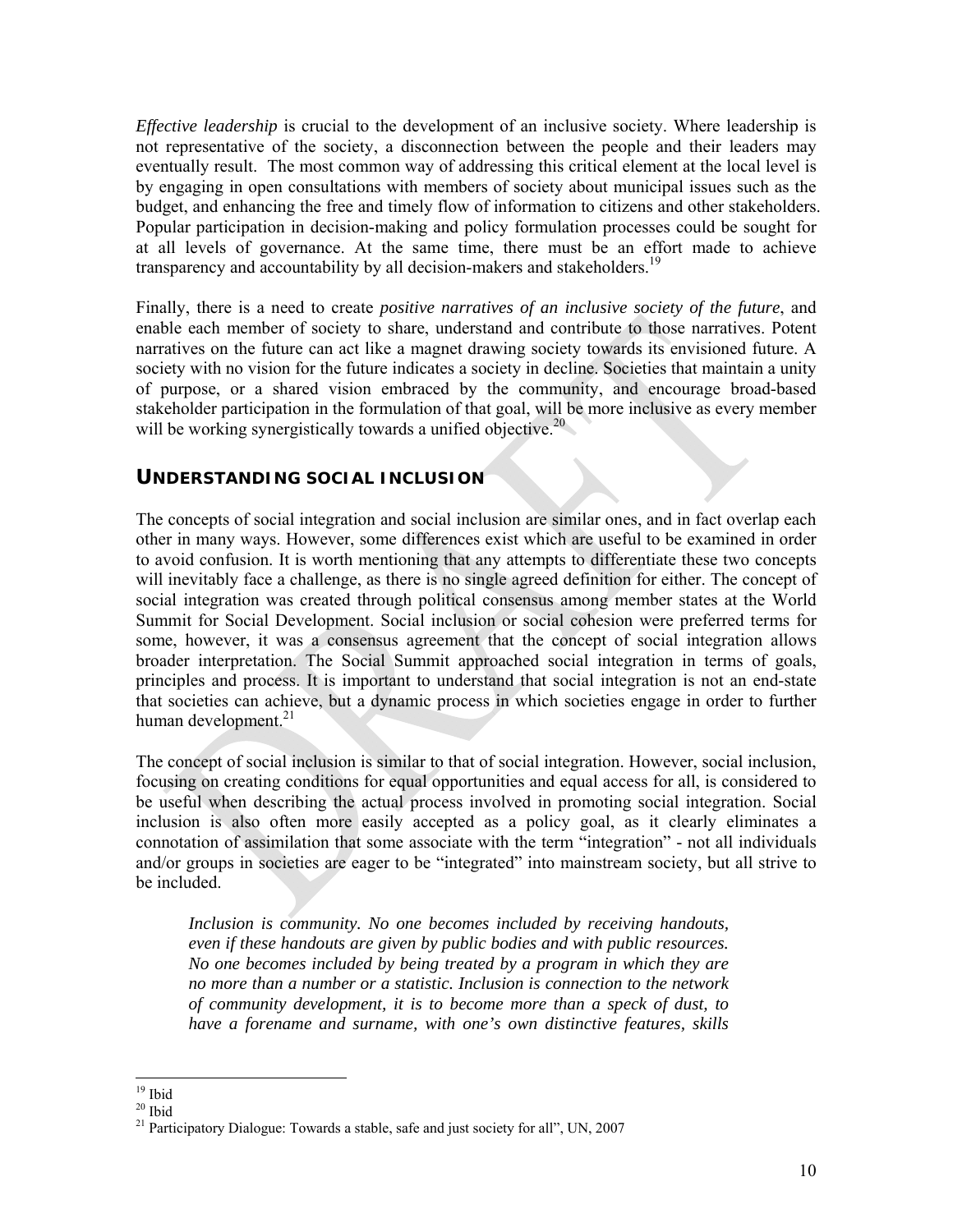*Effective leadership* is crucial to the development of an inclusive society. Where leadership is not representative of the society, a disconnection between the people and their leaders may eventually result. The most common way of addressing this critical element at the local level is by engaging in open consultations with members of society about municipal issues such as the budget, and enhancing the free and timely flow of information to citizens and other stakeholders. Popular participation in decision-making and policy formulation processes could be sought for at all levels of governance. At the same time, there must be an effort made to achieve transparency and accountability by all decision-makers and stakeholders.<sup>19</sup>

Finally, there is a need to create *positive narratives of an inclusive society of the future*, and enable each member of society to share, understand and contribute to those narratives. Potent narratives on the future can act like a magnet drawing society towards its envisioned future. A society with no vision for the future indicates a society in decline. Societies that maintain a unity of purpose, or a shared vision embraced by the community, and encourage broad-based stakeholder participation in the formulation of that goal, will be more inclusive as every member will be working synergistically towards a unified objective.<sup>20</sup>

# **UNDERSTANDING SOCIAL INCLUSION**

The concepts of social integration and social inclusion are similar ones, and in fact overlap each other in many ways. However, some differences exist which are useful to be examined in order to avoid confusion. It is worth mentioning that any attempts to differentiate these two concepts will inevitably face a challenge, as there is no single agreed definition for either. The concept of social integration was created through political consensus among member states at the World Summit for Social Development. Social inclusion or social cohesion were preferred terms for some, however, it was a consensus agreement that the concept of social integration allows broader interpretation. The Social Summit approached social integration in terms of goals, principles and process. It is important to understand that social integration is not an end-state that societies can achieve, but a dynamic process in which societies engage in order to further human development. $^{21}$ 

The concept of social inclusion is similar to that of social integration. However, social inclusion, focusing on creating conditions for equal opportunities and equal access for all, is considered to be useful when describing the actual process involved in promoting social integration. Social inclusion is also often more easily accepted as a policy goal, as it clearly eliminates a connotation of assimilation that some associate with the term "integration" - not all individuals and/or groups in societies are eager to be "integrated" into mainstream society, but all strive to be included.

*Inclusion is community. No one becomes included by receiving handouts, even if these handouts are given by public bodies and with public resources. No one becomes included by being treated by a program in which they are no more than a number or a statistic. Inclusion is connection to the network of community development, it is to become more than a speck of dust, to have a forename and surname, with one's own distinctive features, skills* 

<sup>-</sup>19 Ibid

 $20$  Ibid

 $21$  Participatory Dialogue: Towards a stable, safe and just society for all", UN, 2007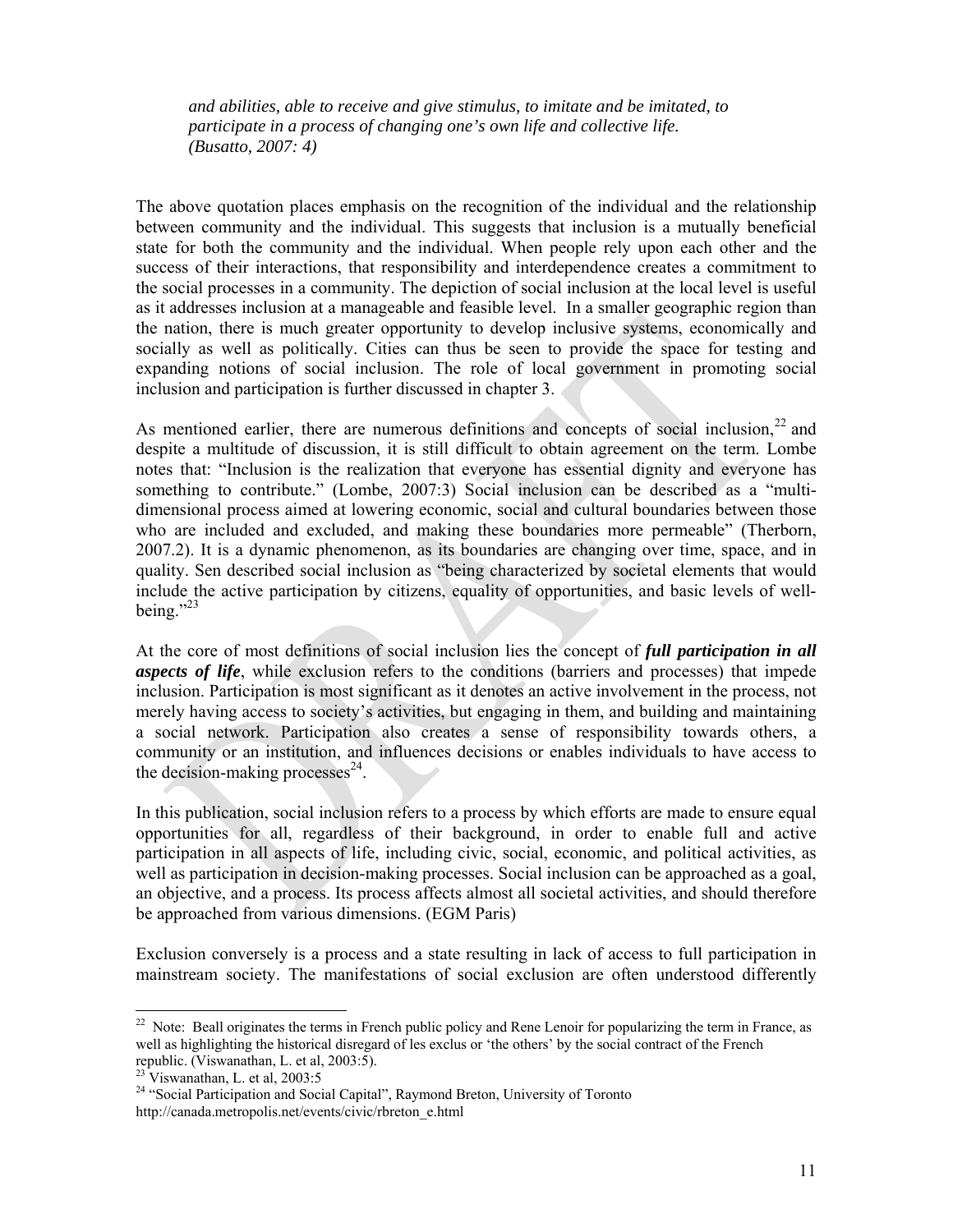*and abilities, able to receive and give stimulus, to imitate and be imitated, to participate in a process of changing one's own life and collective life. (Busatto, 2007: 4)* 

The above quotation places emphasis on the recognition of the individual and the relationship between community and the individual. This suggests that inclusion is a mutually beneficial state for both the community and the individual. When people rely upon each other and the success of their interactions, that responsibility and interdependence creates a commitment to the social processes in a community. The depiction of social inclusion at the local level is useful as it addresses inclusion at a manageable and feasible level. In a smaller geographic region than the nation, there is much greater opportunity to develop inclusive systems, economically and socially as well as politically. Cities can thus be seen to provide the space for testing and expanding notions of social inclusion. The role of local government in promoting social inclusion and participation is further discussed in chapter 3.

As mentioned earlier, there are numerous definitions and concepts of social inclusion,<sup>22</sup> and despite a multitude of discussion, it is still difficult to obtain agreement on the term. Lombe notes that: "Inclusion is the realization that everyone has essential dignity and everyone has something to contribute." (Lombe, 2007:3) Social inclusion can be described as a "multidimensional process aimed at lowering economic, social and cultural boundaries between those who are included and excluded, and making these boundaries more permeable" (Therborn, 2007.2). It is a dynamic phenomenon, as its boundaries are changing over time, space, and in quality. Sen described social inclusion as "being characterized by societal elements that would include the active participation by citizens, equality of opportunities, and basic levels of wellbeing." $^{23}$ 

At the core of most definitions of social inclusion lies the concept of *full participation in all aspects of life*, while exclusion refers to the conditions (barriers and processes) that impede inclusion. Participation is most significant as it denotes an active involvement in the process, not merely having access to society's activities, but engaging in them, and building and maintaining a social network. Participation also creates a sense of responsibility towards others, a community or an institution, and influences decisions or enables individuals to have access to the decision-making processes $^{24}$ .

In this publication, social inclusion refers to a process by which efforts are made to ensure equal opportunities for all, regardless of their background, in order to enable full and active participation in all aspects of life, including civic, social, economic, and political activities, as well as participation in decision-making processes. Social inclusion can be approached as a goal, an objective, and a process. Its process affects almost all societal activities, and should therefore be approached from various dimensions. (EGM Paris)

Exclusion conversely is a process and a state resulting in lack of access to full participation in mainstream society. The manifestations of social exclusion are often understood differently

 $22$  Note: Beall originates the terms in French public policy and Rene Lenoir for popularizing the term in France, as well as highlighting the historical disregard of les exclus or 'the others' by the social contract of the French republic. (Viswanathan, L. et al, 2003:5).

Viswanathan, L. et al,  $2003:5$ 

<sup>&</sup>lt;sup>24</sup> "Social Participation and Social Capital", Raymond Breton, University of Toronto http://canada.metropolis.net/events/civic/rbreton\_e.html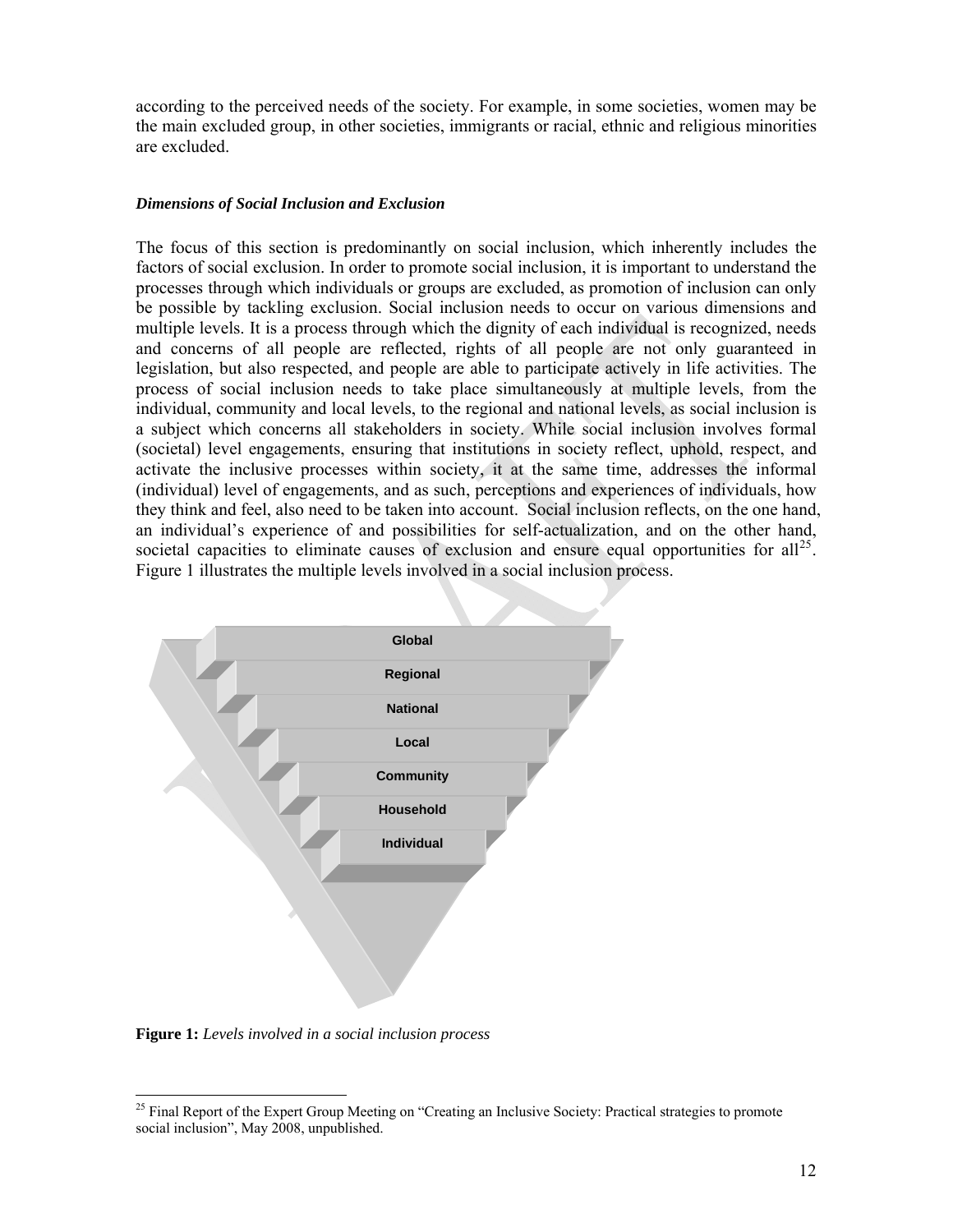according to the perceived needs of the society. For example, in some societies, women may be the main excluded group, in other societies, immigrants or racial, ethnic and religious minorities are excluded.

#### *Dimensions of Social Inclusion and Exclusion*

The focus of this section is predominantly on social inclusion, which inherently includes the factors of social exclusion. In order to promote social inclusion, it is important to understand the processes through which individuals or groups are excluded, as promotion of inclusion can only be possible by tackling exclusion. Social inclusion needs to occur on various dimensions and multiple levels. It is a process through which the dignity of each individual is recognized, needs and concerns of all people are reflected, rights of all people are not only guaranteed in legislation, but also respected, and people are able to participate actively in life activities. The process of social inclusion needs to take place simultaneously at multiple levels, from the individual, community and local levels, to the regional and national levels, as social inclusion is a subject which concerns all stakeholders in society. While social inclusion involves formal (societal) level engagements, ensuring that institutions in society reflect, uphold, respect, and activate the inclusive processes within society, it at the same time, addresses the informal (individual) level of engagements, and as such, perceptions and experiences of individuals, how they think and feel, also need to be taken into account. Social inclusion reflects, on the one hand, an individual's experience of and possibilities for self-actualization, and on the other hand, societal capacities to eliminate causes of exclusion and ensure equal opportunities for all<sup>25</sup>. Figure 1 illustrates the multiple levels involved in a social inclusion process.



**Figure 1:** *Levels involved in a social inclusion process* 

<sup>&</sup>lt;sup>25</sup> Final Report of the Expert Group Meeting on "Creating an Inclusive Society: Practical strategies to promote social inclusion", May 2008, unpublished.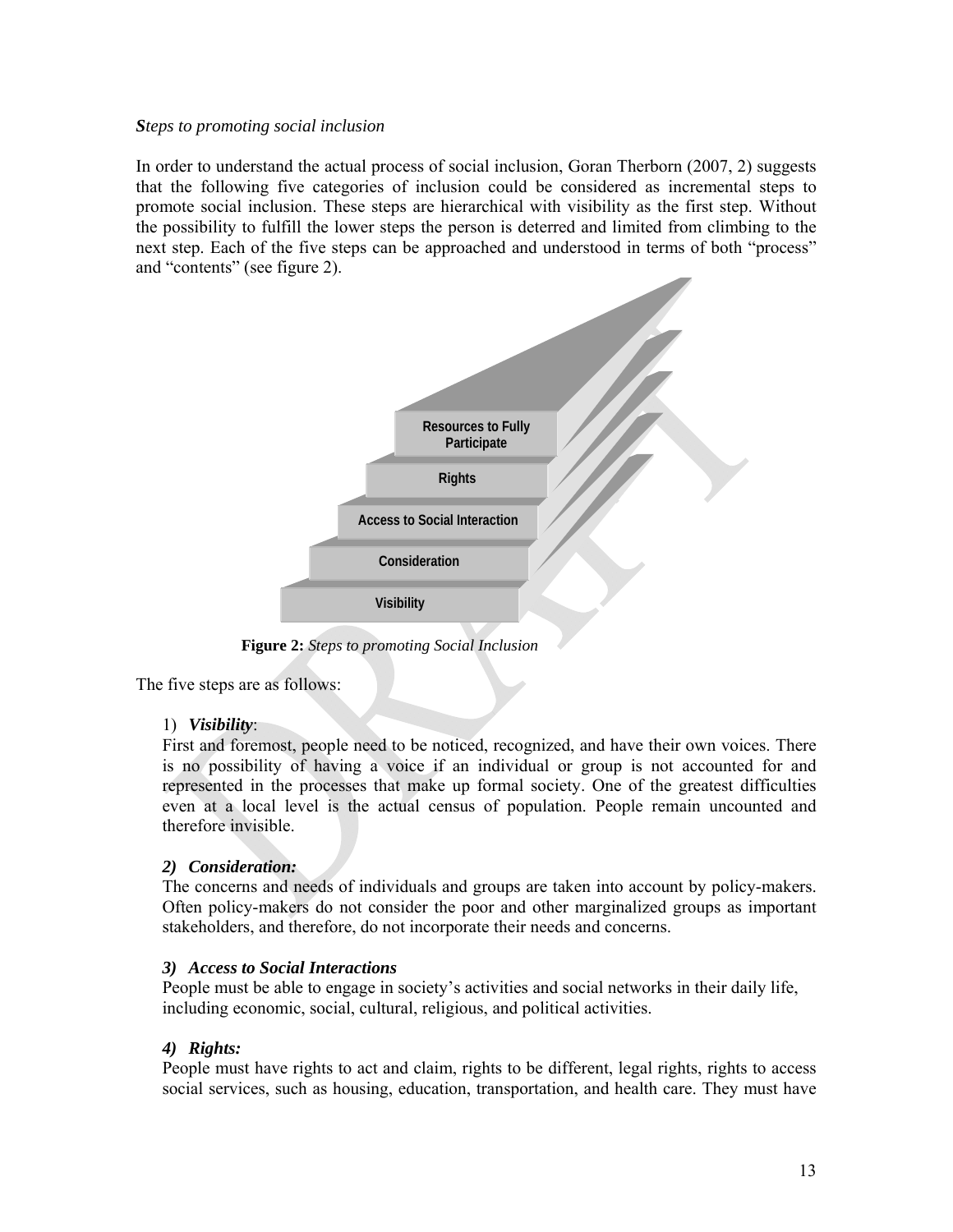#### *Steps to promoting social inclusion*

In order to understand the actual process of social inclusion, Goran Therborn (2007, 2) suggests that the following five categories of inclusion could be considered as incremental steps to promote social inclusion. These steps are hierarchical with visibility as the first step. Without the possibility to fulfill the lower steps the person is deterred and limited from climbing to the next step. Each of the five steps can be approached and understood in terms of both "process" and "contents" (see figure 2).



**Figure 2:** *Steps to promoting Social Inclusion* 

The five steps are as follows:

## 1) *Visibility*:

First and foremost, people need to be noticed, recognized, and have their own voices. There is no possibility of having a voice if an individual or group is not accounted for and represented in the processes that make up formal society. One of the greatest difficulties even at a local level is the actual census of population. People remain uncounted and therefore invisible.

## *2) Consideration:*

The concerns and needs of individuals and groups are taken into account by policy-makers. Often policy-makers do not consider the poor and other marginalized groups as important stakeholders, and therefore, do not incorporate their needs and concerns.

#### *3) Access to Social Interactions*

People must be able to engage in society's activities and social networks in their daily life, including economic, social, cultural, religious, and political activities.

## *4) Rights:*

People must have rights to act and claim, rights to be different, legal rights, rights to access social services, such as housing, education, transportation, and health care. They must have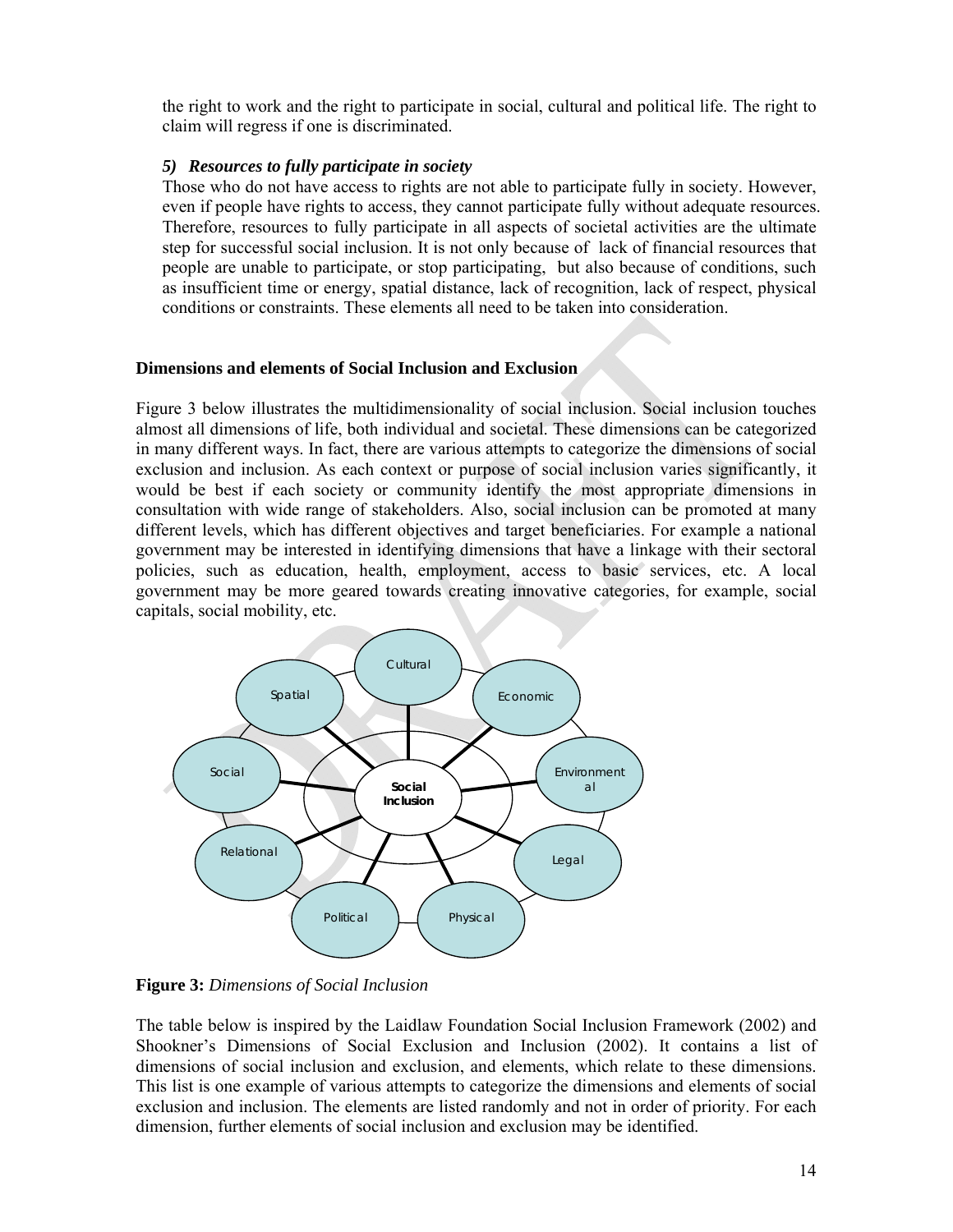the right to work and the right to participate in social, cultural and political life. The right to claim will regress if one is discriminated.

## *5) Resources to fully participate in society*

Those who do not have access to rights are not able to participate fully in society. However, even if people have rights to access, they cannot participate fully without adequate resources. Therefore, resources to fully participate in all aspects of societal activities are the ultimate step for successful social inclusion. It is not only because of lack of financial resources that people are unable to participate, or stop participating, but also because of conditions, such as insufficient time or energy, spatial distance, lack of recognition, lack of respect, physical conditions or constraints. These elements all need to be taken into consideration.

#### **Dimensions and elements of Social Inclusion and Exclusion**

Figure 3 below illustrates the multidimensionality of social inclusion. Social inclusion touches almost all dimensions of life, both individual and societal. These dimensions can be categorized in many different ways. In fact, there are various attempts to categorize the dimensions of social exclusion and inclusion. As each context or purpose of social inclusion varies significantly, it would be best if each society or community identify the most appropriate dimensions in consultation with wide range of stakeholders. Also, social inclusion can be promoted at many different levels, which has different objectives and target beneficiaries. For example a national government may be interested in identifying dimensions that have a linkage with their sectoral policies, such as education, health, employment, access to basic services, etc. A local government may be more geared towards creating innovative categories, for example, social capitals, social mobility, etc.



**Figure 3:** *Dimensions of Social Inclusion*

The table below is inspired by the Laidlaw Foundation Social Inclusion Framework (2002) and Shookner's Dimensions of Social Exclusion and Inclusion (2002). It contains a list of dimensions of social inclusion and exclusion, and elements, which relate to these dimensions. This list is one example of various attempts to categorize the dimensions and elements of social exclusion and inclusion. The elements are listed randomly and not in order of priority. For each dimension, further elements of social inclusion and exclusion may be identified.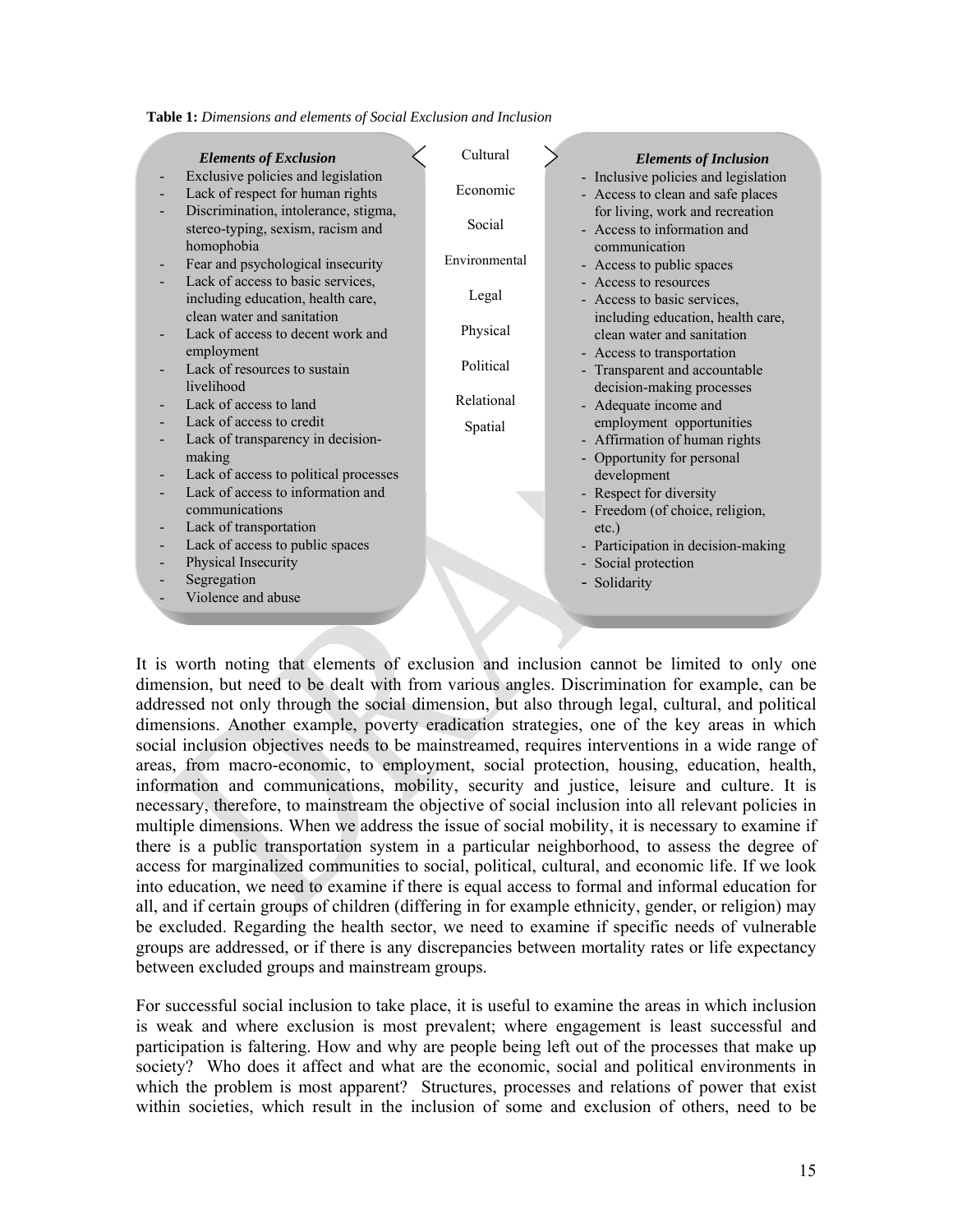| <b>Elements of Exclusion</b>                                                                         | Cultural      |  | <b>Elements of Inclusion</b>                                              |
|------------------------------------------------------------------------------------------------------|---------------|--|---------------------------------------------------------------------------|
| Exclusive policies and legislation<br>Lack of respect for human rights                               | Economic      |  | - Inclusive policies and legislation<br>- Access to clean and safe places |
| Discrimination, intolerance, stigma,<br>stereo-typing, sexism, racism and                            | Social        |  | for living, work and recreation<br>- Access to information and            |
| homophobia<br>Fear and psychological insecurity                                                      | Environmental |  | communication<br>- Access to public spaces                                |
| Lack of access to basic services,<br>including education, health care,<br>clean water and sanitation | Legal         |  | - Access to resources<br>- Access to basic services.                      |
| Lack of access to decent work and                                                                    | Physical      |  | including education, health care,<br>clean water and sanitation           |
| employment<br>Lack of resources to sustain                                                           | Political     |  | - Access to transportation<br>- Transparent and accountable               |
| livelihood<br>Lack of access to land                                                                 | Relational    |  | decision-making processes<br>- Adequate income and                        |
| Lack of access to credit<br>Lack of transparency in decision-                                        | Spatial       |  | employment opportunities<br>- Affirmation of human rights                 |
| making<br>Lack of access to political processes                                                      |               |  | - Opportunity for personal<br>development                                 |
| Lack of access to information and<br>communications                                                  |               |  | - Respect for diversity<br>- Freedom (of choice, religion,                |
| Lack of transportation                                                                               |               |  | $etc.$ )                                                                  |
| Lack of access to public spaces                                                                      |               |  | - Participation in decision-making                                        |
| Physical Insecurity                                                                                  |               |  | - Social protection                                                       |
| Segregation<br>Violence and abuse                                                                    |               |  | - Solidarity                                                              |
|                                                                                                      |               |  |                                                                           |

**Table 1:** *Dimensions and elements of Social Exclusion and Inclusion*

It is worth noting that elements of exclusion and inclusion cannot be limited to only one dimension, but need to be dealt with from various angles. Discrimination for example, can be addressed not only through the social dimension, but also through legal, cultural, and political dimensions. Another example, poverty eradication strategies, one of the key areas in which social inclusion objectives needs to be mainstreamed, requires interventions in a wide range of areas, from macro-economic, to employment, social protection, housing, education, health, information and communications, mobility, security and justice, leisure and culture. It is necessary, therefore, to mainstream the objective of social inclusion into all relevant policies in multiple dimensions. When we address the issue of social mobility, it is necessary to examine if there is a public transportation system in a particular neighborhood, to assess the degree of access for marginalized communities to social, political, cultural, and economic life. If we look into education, we need to examine if there is equal access to formal and informal education for all, and if certain groups of children (differing in for example ethnicity, gender, or religion) may be excluded. Regarding the health sector, we need to examine if specific needs of vulnerable groups are addressed, or if there is any discrepancies between mortality rates or life expectancy between excluded groups and mainstream groups.

For successful social inclusion to take place, it is useful to examine the areas in which inclusion is weak and where exclusion is most prevalent; where engagement is least successful and participation is faltering. How and why are people being left out of the processes that make up society? Who does it affect and what are the economic, social and political environments in which the problem is most apparent? Structures, processes and relations of power that exist within societies, which result in the inclusion of some and exclusion of others, need to be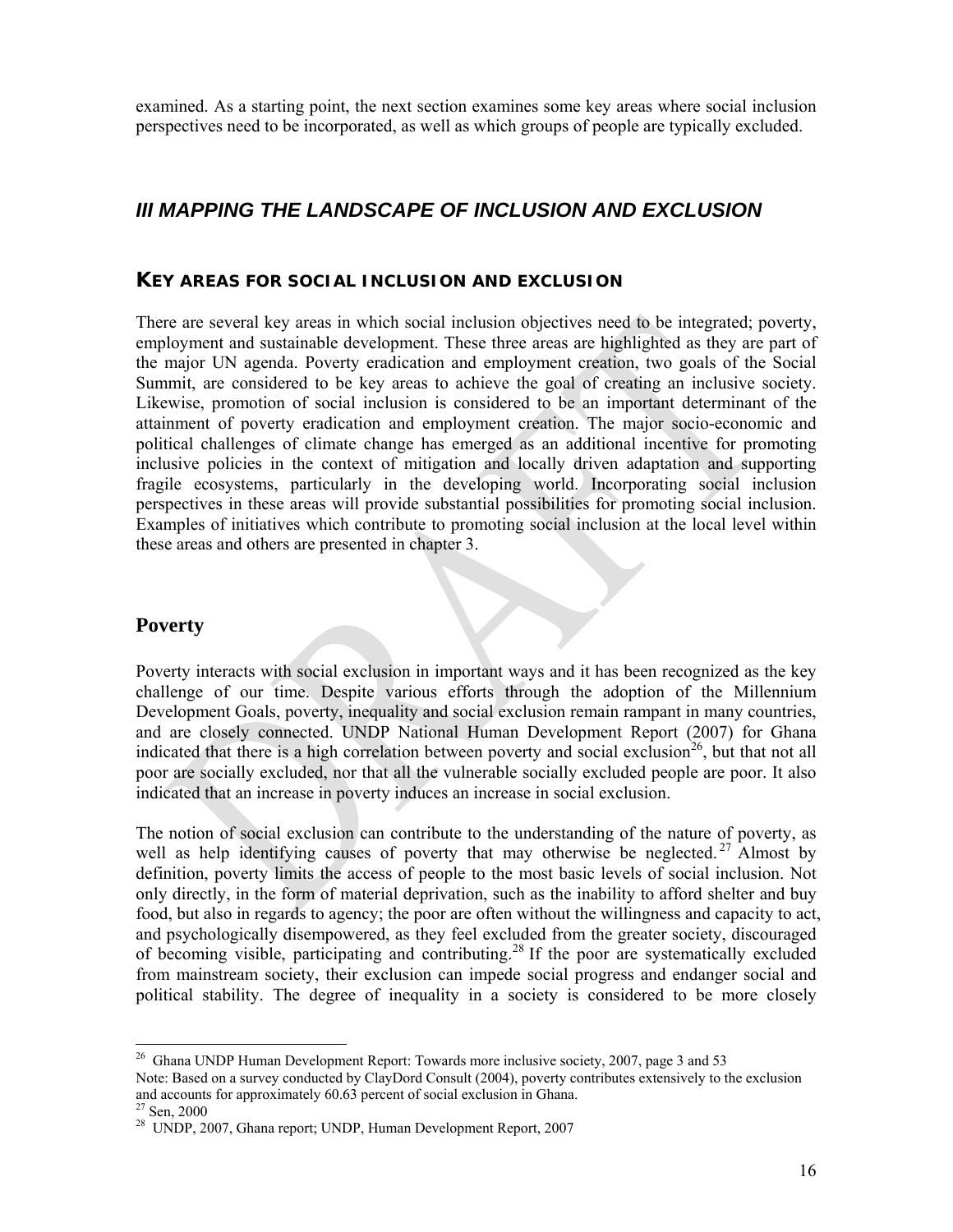examined. As a starting point, the next section examines some key areas where social inclusion perspectives need to be incorporated, as well as which groups of people are typically excluded.

# *III MAPPING THE LANDSCAPE OF INCLUSION AND EXCLUSION*

## **KEY AREAS FOR SOCIAL INCLUSION AND EXCLUSION**

There are several key areas in which social inclusion objectives need to be integrated; poverty, employment and sustainable development. These three areas are highlighted as they are part of the major UN agenda. Poverty eradication and employment creation, two goals of the Social Summit, are considered to be key areas to achieve the goal of creating an inclusive society. Likewise, promotion of social inclusion is considered to be an important determinant of the attainment of poverty eradication and employment creation. The major socio-economic and political challenges of climate change has emerged as an additional incentive for promoting inclusive policies in the context of mitigation and locally driven adaptation and supporting fragile ecosystems, particularly in the developing world. Incorporating social inclusion perspectives in these areas will provide substantial possibilities for promoting social inclusion. Examples of initiatives which contribute to promoting social inclusion at the local level within these areas and others are presented in chapter 3.

# **Poverty**

Poverty interacts with social exclusion in important ways and it has been recognized as the key challenge of our time. Despite various efforts through the adoption of the Millennium Development Goals, poverty, inequality and social exclusion remain rampant in many countries, and are closely connected. UNDP National Human Development Report (2007) for Ghana indicated that there is a high correlation between poverty and social exclusion<sup>26</sup>, but that not all poor are socially excluded, nor that all the vulnerable socially excluded people are poor. It also indicated that an increase in poverty induces an increase in social exclusion.

The notion of social exclusion can contribute to the understanding of the nature of poverty, as well as help identifying causes of poverty that may otherwise be neglected.<sup>27</sup> Almost by definition, poverty limits the access of people to the most basic levels of social inclusion. Not only directly, in the form of material deprivation, such as the inability to afford shelter and buy food, but also in regards to agency; the poor are often without the willingness and capacity to act, and psychologically disempowered, as they feel excluded from the greater society, discouraged of becoming visible, participating and contributing.28 If the poor are systematically excluded from mainstream society, their exclusion can impede social progress and endanger social and political stability. The degree of inequality in a society is considered to be more closely

<sup>&</sup>lt;sup>26</sup> Ghana UNDP Human Development Report: Towards more inclusive society, 2007, page 3 and 53

Note: Based on a survey conducted by ClayDord Consult (2004), poverty contributes extensively to the exclusion and accounts for approximately 60.63 percent of social exclusion in Ghana.<br><sup>27</sup> Sep. 2000.

Sen, 2000

<sup>28</sup> UNDP, 2007, Ghana report; UNDP, Human Development Report, 2007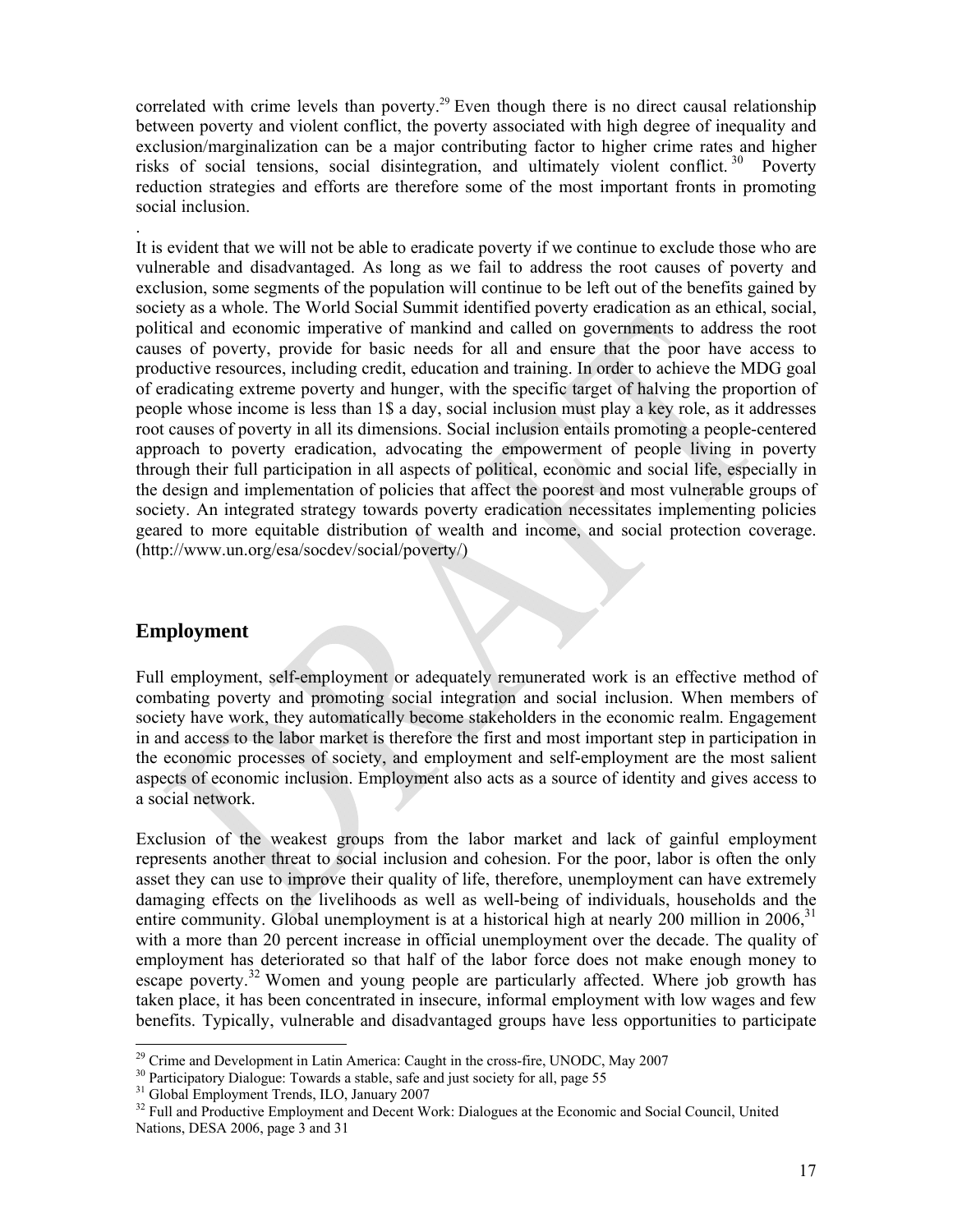correlated with crime levels than poverty.<sup>29</sup> Even though there is no direct causal relationship between poverty and violent conflict, the poverty associated with high degree of inequality and exclusion/marginalization can be a major contributing factor to higher crime rates and higher risks of social tensions, social disintegration, and ultimately violent conflict.<sup>30</sup> Poverty reduction strategies and efforts are therefore some of the most important fronts in promoting social inclusion.

It is evident that we will not be able to eradicate poverty if we continue to exclude those who are vulnerable and disadvantaged. As long as we fail to address the root causes of poverty and exclusion, some segments of the population will continue to be left out of the benefits gained by society as a whole. The World Social Summit identified poverty eradication as an ethical, social, political and economic imperative of mankind and called on governments to address the root causes of poverty, provide for basic needs for all and ensure that the poor have access to productive resources, including credit, education and training. In order to achieve the MDG goal of eradicating extreme poverty and hunger, with the specific target of halving the proportion of people whose income is less than 1\$ a day, social inclusion must play a key role, as it addresses root causes of poverty in all its dimensions. Social inclusion entails promoting a people-centered approach to poverty eradication, advocating the empowerment of people living in poverty through their full participation in all aspects of political, economic and social life, especially in the design and implementation of policies that affect the poorest and most vulnerable groups of society. An integrated strategy towards poverty eradication necessitates implementing policies geared to more equitable distribution of wealth and income, and social protection coverage. (http://www.un.org/esa/socdev/social/poverty/)

# **Employment**

-

.

Full employment, self-employment or adequately remunerated work is an effective method of combating poverty and promoting social integration and social inclusion. When members of society have work, they automatically become stakeholders in the economic realm. Engagement in and access to the labor market is therefore the first and most important step in participation in the economic processes of society, and employment and self-employment are the most salient aspects of economic inclusion. Employment also acts as a source of identity and gives access to a social network.

Exclusion of the weakest groups from the labor market and lack of gainful employment represents another threat to social inclusion and cohesion. For the poor, labor is often the only asset they can use to improve their quality of life, therefore, unemployment can have extremely damaging effects on the livelihoods as well as well-being of individuals, households and the entire community. Global unemployment is at a historical high at nearly 200 million in  $2006$ <sup>31</sup> with a more than 20 percent increase in official unemployment over the decade. The quality of employment has deteriorated so that half of the labor force does not make enough money to escape poverty.<sup>32</sup> Women and young people are particularly affected. Where job growth has taken place, it has been concentrated in insecure, informal employment with low wages and few benefits. Typically, vulnerable and disadvantaged groups have less opportunities to participate

 $29$  Crime and Development in Latin America: Caught in the cross-fire, UNODC, May 2007

<sup>&</sup>lt;sup>30</sup> Participatory Dialogue: Towards a stable, safe and just society for all, page 55<sup>30</sup>

<sup>&</sup>lt;sup>31</sup> Global Employment Trends, ILO, January 2007

<sup>&</sup>lt;sup>32</sup> Full and Productive Employment and Decent Work: Dialogues at the Economic and Social Council, United Nations, DESA 2006, page 3 and 31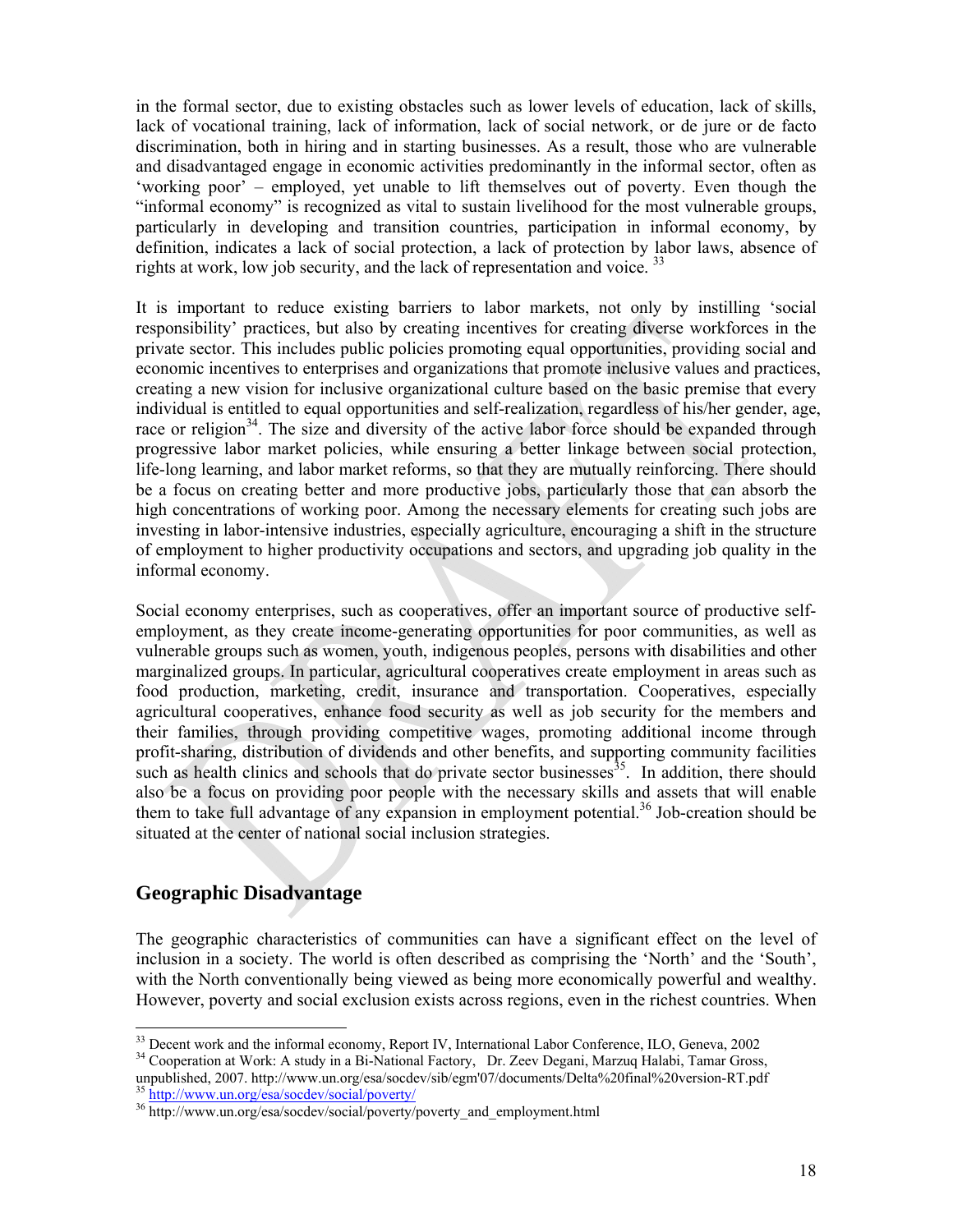in the formal sector, due to existing obstacles such as lower levels of education, lack of skills, lack of vocational training, lack of information, lack of social network, or de jure or de facto discrimination, both in hiring and in starting businesses. As a result, those who are vulnerable and disadvantaged engage in economic activities predominantly in the informal sector, often as 'working poor' – employed, yet unable to lift themselves out of poverty. Even though the "informal economy" is recognized as vital to sustain livelihood for the most vulnerable groups, particularly in developing and transition countries, participation in informal economy, by definition, indicates a lack of social protection, a lack of protection by labor laws, absence of rights at work, low job security, and the lack of representation and voice.<sup>33</sup>

It is important to reduce existing barriers to labor markets, not only by instilling 'social responsibility' practices, but also by creating incentives for creating diverse workforces in the private sector. This includes public policies promoting equal opportunities, providing social and economic incentives to enterprises and organizations that promote inclusive values and practices, creating a new vision for inclusive organizational culture based on the basic premise that every individual is entitled to equal opportunities and self-realization, regardless of his/her gender, age, race or religion<sup>34</sup>. The size and diversity of the active labor force should be expanded through progressive labor market policies, while ensuring a better linkage between social protection, life-long learning, and labor market reforms, so that they are mutually reinforcing. There should be a focus on creating better and more productive jobs, particularly those that can absorb the high concentrations of working poor. Among the necessary elements for creating such jobs are investing in labor-intensive industries, especially agriculture, encouraging a shift in the structure of employment to higher productivity occupations and sectors, and upgrading job quality in the informal economy.

Social economy enterprises, such as cooperatives, offer an important source of productive selfemployment, as they create income-generating opportunities for poor communities, as well as vulnerable groups such as women, youth, indigenous peoples, persons with disabilities and other marginalized groups. In particular, agricultural cooperatives create employment in areas such as food production, marketing, credit, insurance and transportation. Cooperatives, especially agricultural cooperatives, enhance food security as well as job security for the members and their families, through providing competitive wages, promoting additional income through profit-sharing, distribution of dividends and other benefits, and supporting community facilities such as health clinics and schools that do private sector businesses<sup>35</sup>. In addition, there should also be a focus on providing poor people with the necessary skills and assets that will enable them to take full advantage of any expansion in employment potential.<sup>36</sup> Job-creation should be situated at the center of national social inclusion strategies.

# **Geographic Disadvantage**

The geographic characteristics of communities can have a significant effect on the level of inclusion in a society. The world is often described as comprising the 'North' and the 'South', with the North conventionally being viewed as being more economically powerful and wealthy. However, poverty and social exclusion exists across regions, even in the richest countries. When

<sup>-</sup><sup>33</sup> Decent work and the informal economy, Report IV, International Labor Conference, ILO, Geneva, 2002

<sup>&</sup>lt;sup>34</sup> Cooperation at Work: A study in a Bi-National Factory, Dr. Zeev Degani, Marzuq Halabi, Tamar Gross, unpublished, 2007. http://www.un.org/esa/socdev/sib/egm'07/documents/Delta%20final%20version-RT.pdf

<sup>35</sup> http://www.un.org/esa/socdev/social/poverty/ 36 http://www.un.org/esa/socdev/social/poverty/poverty\_and\_employment.html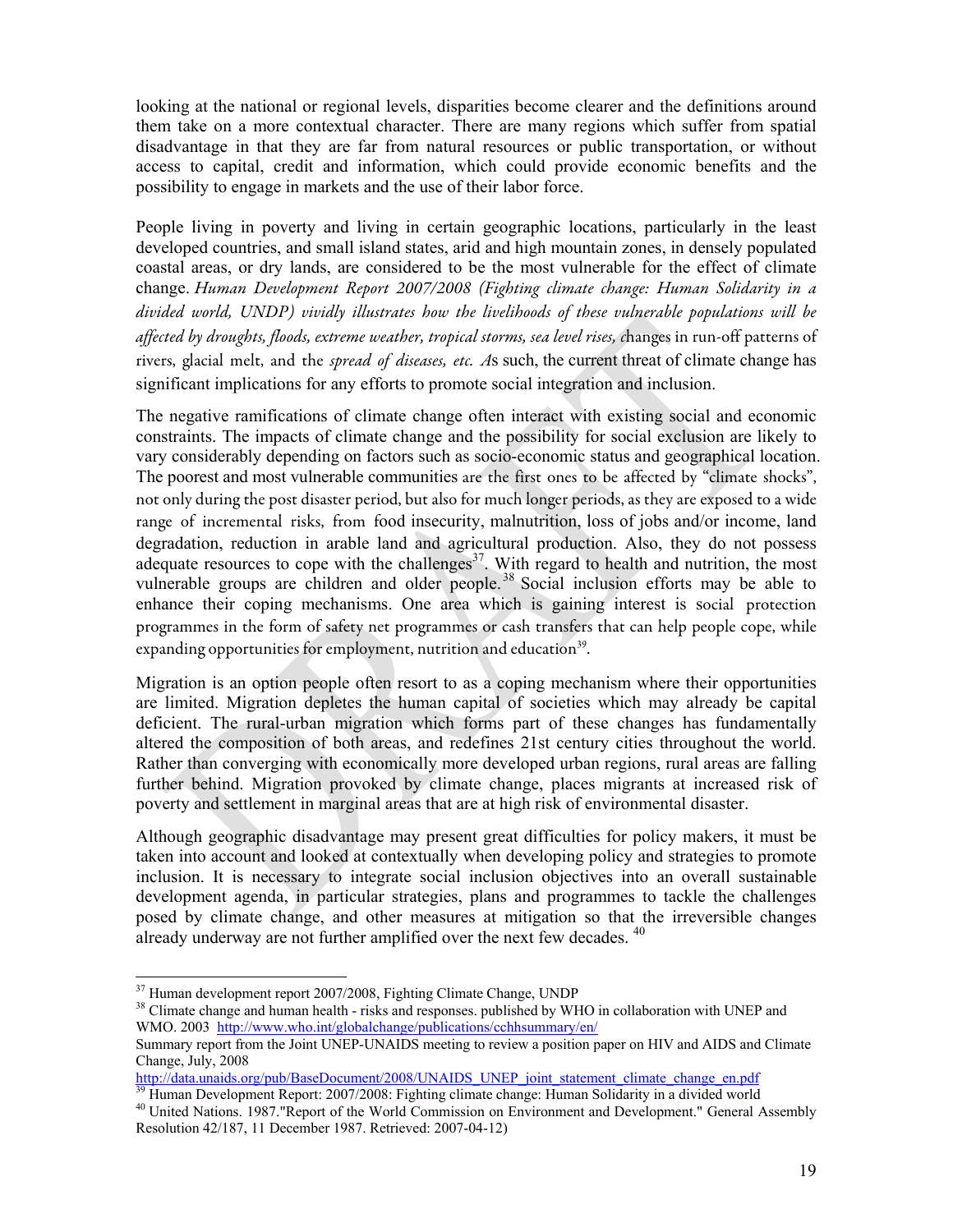looking at the national or regional levels, disparities become clearer and the definitions around them take on a more contextual character. There are many regions which suffer from spatial disadvantage in that they are far from natural resources or public transportation, or without access to capital, credit and information, which could provide economic benefits and the possibility to engage in markets and the use of their labor force.

People living in poverty and living in certain geographic locations, particularly in the least developed countries, and small island states, arid and high mountain zones, in densely populated coastal areas, or dry lands, are considered to be the most vulnerable for the effect of climate change. Human Development Report 2007/2008 (Fighting climate change: Human Solidarity in a divided world, UNDP) vividly illustrates how the livelihoods of these vulnerable populations will be affected by droughts, floods, extreme weather, tropical storms, sea level rises, changes in run-off patterns of rivers, glacial melt, and the *spread of diseases, etc. A*s such, the current threat of climate change has significant implications for any efforts to promote social integration and inclusion.

The negative ramifications of climate change often interact with existing social and economic constraints. The impacts of climate change and the possibility for social exclusion are likely to vary considerably depending on factors such as socio-economic status and geographical location. The poorest and most vulnerable communities are the first ones to be affected by "climate shocks", not only during the post disaster period, but also for much longer periods, as they are exposed to a wide range of incremental risks, from food insecurity, malnutrition, loss of jobs and/or income, land degradation, reduction in arable land and agricultural production. Also, they do not possess adequate resources to cope with the challenges<sup>37</sup>. With regard to health and nutrition, the most vulnerable groups are children and older people.<sup>38</sup> Social inclusion efforts may be able to enhance their coping mechanisms. One area which is gaining interest is social protection programmes in the form of safety net programmes or cash transfers that can help people cope, while expanding opportunities for employment, nutrition and education<sup>39</sup>.

Migration is an option people often resort to as a coping mechanism where their opportunities are limited. Migration depletes the human capital of societies which may already be capital deficient. The rural-urban migration which forms part of these changes has fundamentally altered the composition of both areas, and redefines 21st century cities throughout the world. Rather than converging with economically more developed urban regions, rural areas are falling further behind. Migration provoked by climate change, places migrants at increased risk of poverty and settlement in marginal areas that are at high risk of environmental disaster.

Although geographic disadvantage may present great difficulties for policy makers, it must be taken into account and looked at contextually when developing policy and strategies to promote inclusion. It is necessary to integrate social inclusion objectives into an overall sustainable development agenda, in particular strategies, plans and programmes to tackle the challenges posed by climate change, and other measures at mitigation so that the irreversible changes already underway are not further amplified over the next few decades. <sup>40</sup>

-

<sup>38</sup> Climate change and human health - risks and responses. published by WHO in collaboration with UNEP and WMO. 2003 http://www.who.int/globalchange/publications/cchhsummary/en/

<sup>39</sup> Human Development Report: 2007/2008: Fighting climate change: Human Solidarity in a divided world

<sup>&</sup>lt;sup>37</sup> Human development report 2007/2008, Fighting Climate Change, UNDP

Summary report from the Joint UNEP-UNAIDS meeting to review a position paper on HIV and AIDS and Climate Change, July, 2008

http://data.unaids.org/pub/BaseDocument/2008/UNAIDS\_UNEP\_joint\_statement\_climate\_change\_en.pdf

<sup>&</sup>lt;sup>40</sup> United Nations. 1987."Report of the World Commission on Environment and Development." General Assembly Resolution 42/187, 11 December 1987. Retrieved: 2007-04-12)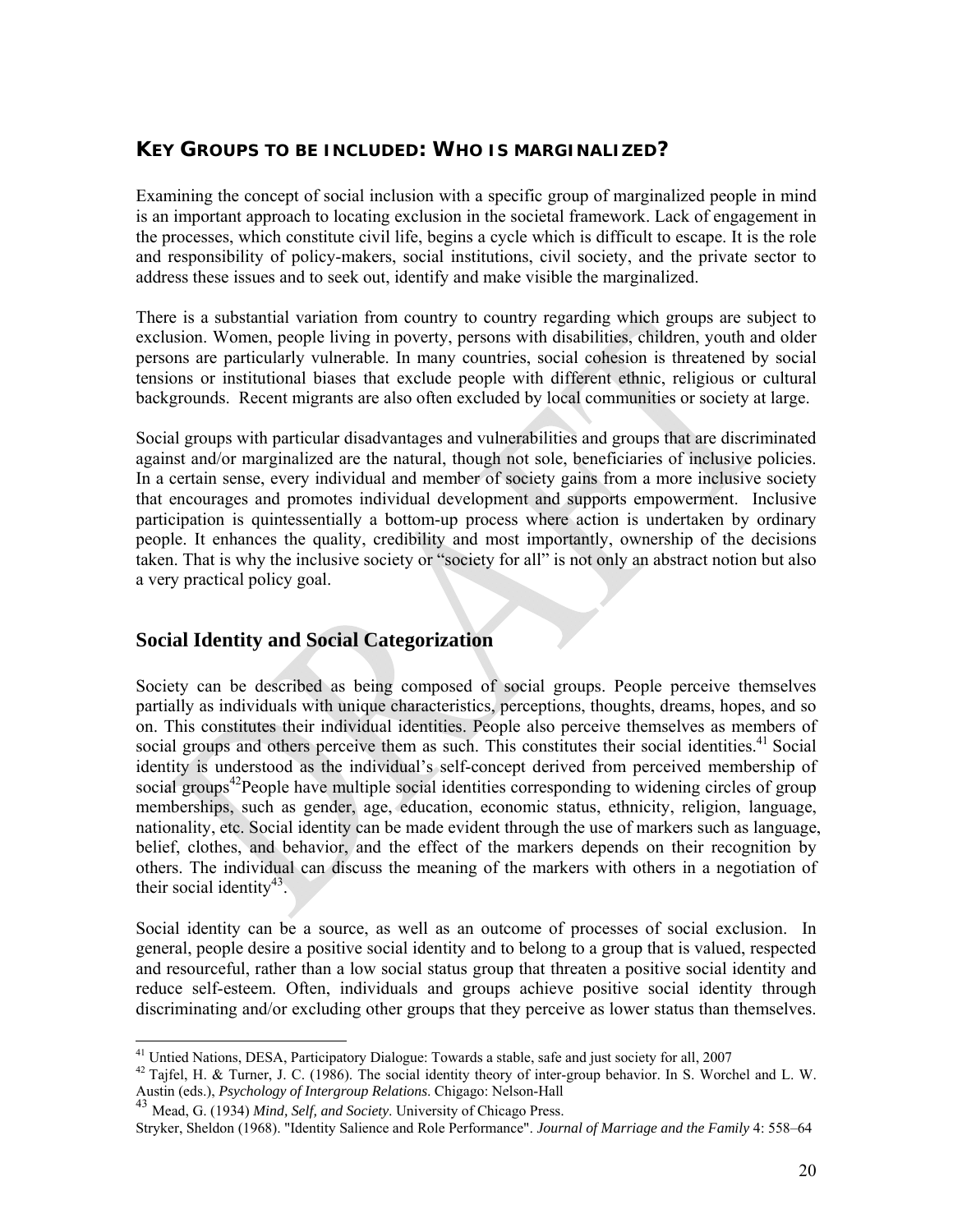# **KEY GROUPS TO BE INCLUDED: WHO IS MARGINALIZED?**

Examining the concept of social inclusion with a specific group of marginalized people in mind is an important approach to locating exclusion in the societal framework. Lack of engagement in the processes, which constitute civil life, begins a cycle which is difficult to escape. It is the role and responsibility of policy-makers, social institutions, civil society, and the private sector to address these issues and to seek out, identify and make visible the marginalized.

There is a substantial variation from country to country regarding which groups are subject to exclusion. Women, people living in poverty, persons with disabilities, children, youth and older persons are particularly vulnerable. In many countries, social cohesion is threatened by social tensions or institutional biases that exclude people with different ethnic, religious or cultural backgrounds. Recent migrants are also often excluded by local communities or society at large.

Social groups with particular disadvantages and vulnerabilities and groups that are discriminated against and/or marginalized are the natural, though not sole, beneficiaries of inclusive policies. In a certain sense, every individual and member of society gains from a more inclusive society that encourages and promotes individual development and supports empowerment. Inclusive participation is quintessentially a bottom-up process where action is undertaken by ordinary people. It enhances the quality, credibility and most importantly, ownership of the decisions taken. That is why the inclusive society or "society for all" is not only an abstract notion but also a very practical policy goal.

# **Social Identity and Social Categorization**

Society can be described as being composed of social groups. People perceive themselves partially as individuals with unique characteristics, perceptions, thoughts, dreams, hopes, and so on. This constitutes their individual identities. People also perceive themselves as members of social groups and others perceive them as such. This constitutes their social identities.<sup>41</sup> Social identity is understood as the individual's self-concept derived from perceived membership of social groups<sup>42</sup>People have multiple social identities corresponding to widening circles of group memberships, such as gender, age, education, economic status, ethnicity, religion, language, nationality, etc. Social identity can be made evident through the use of markers such as language, belief, clothes, and behavior, and the effect of the markers depends on their recognition by others. The individual can discuss the meaning of the markers with others in a negotiation of their social identity<sup>43</sup>.

Social identity can be a source, as well as an outcome of processes of social exclusion. In general, people desire a positive social identity and to belong to a group that is valued, respected and resourceful, rather than a low social status group that threaten a positive social identity and reduce self-esteem. Often, individuals and groups achieve positive social identity through discriminating and/or excluding other groups that they perceive as lower status than themselves.

<sup>42</sup> Tajfel, H. & Turner, J. C. (1986). The social identity theory of inter-group behavior. In S. Worchel and L. W. Austin (eds.), *Psychology of Intergroup Relations*. Chigago: Nelson-Hall

<sup>43</sup> Mead, G. (1934) *Mind, Self, and Society*. University of Chicago Press.

-

Stryker, Sheldon (1968). "Identity Salience and Role Performance". *Journal of Marriage and the Family* 4: 558–64

<sup>&</sup>lt;sup>41</sup> Untied Nations, DESA, Participatory Dialogue: Towards a stable, safe and just society for all, 2007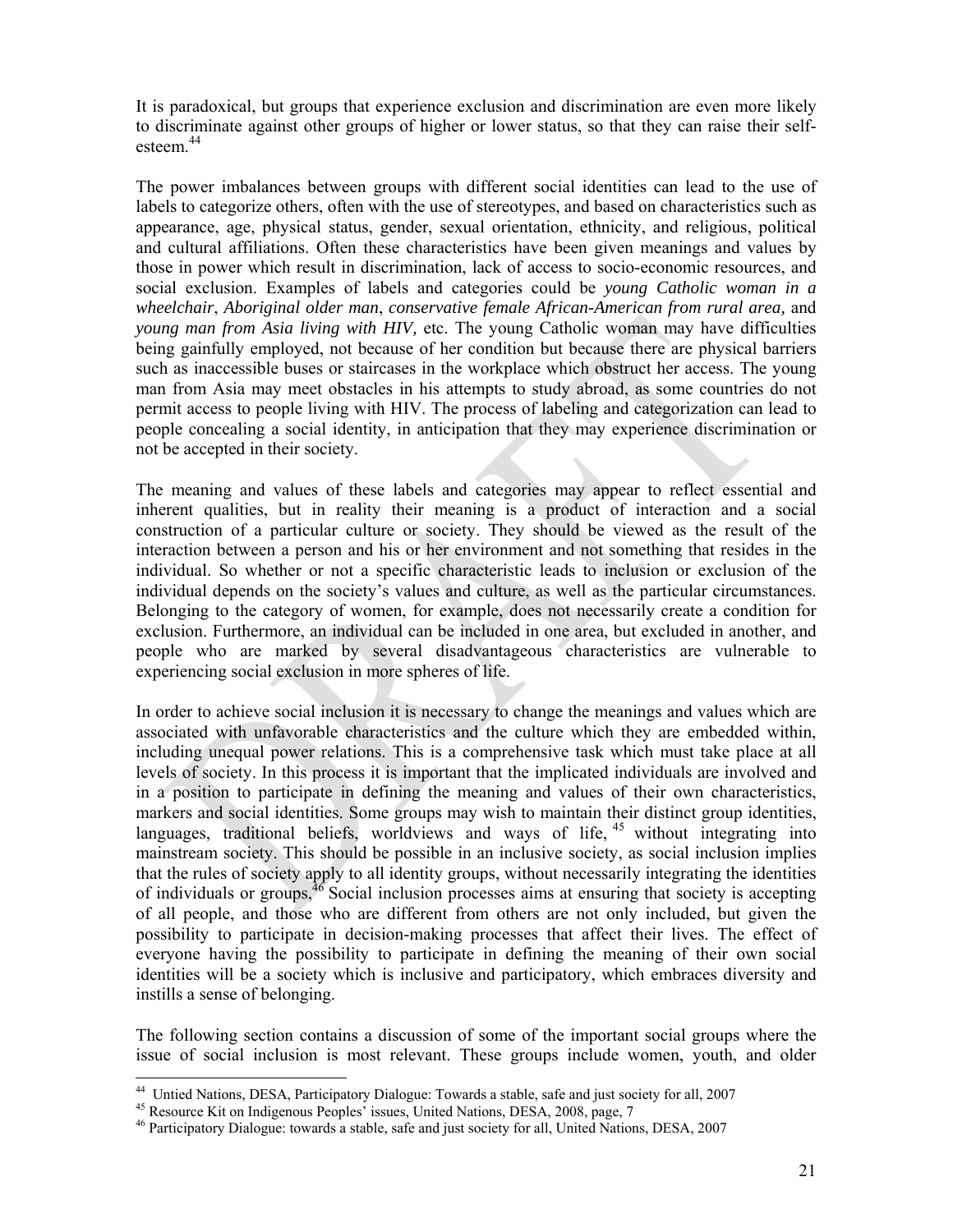It is paradoxical, but groups that experience exclusion and discrimination are even more likely to discriminate against other groups of higher or lower status, so that they can raise their selfesteem.<sup>44</sup>

The power imbalances between groups with different social identities can lead to the use of labels to categorize others, often with the use of stereotypes, and based on characteristics such as appearance, age, physical status, gender, sexual orientation, ethnicity, and religious, political and cultural affiliations. Often these characteristics have been given meanings and values by those in power which result in discrimination, lack of access to socio-economic resources, and social exclusion. Examples of labels and categories could be *young Catholic woman in a wheelchair*, *Aboriginal older man*, *conservative female African-American from rural area,* and *young man from Asia living with HIV,* etc. The young Catholic woman may have difficulties being gainfully employed, not because of her condition but because there are physical barriers such as inaccessible buses or staircases in the workplace which obstruct her access. The young man from Asia may meet obstacles in his attempts to study abroad, as some countries do not permit access to people living with HIV. The process of labeling and categorization can lead to people concealing a social identity, in anticipation that they may experience discrimination or not be accepted in their society.

The meaning and values of these labels and categories may appear to reflect essential and inherent qualities, but in reality their meaning is a product of interaction and a social construction of a particular culture or society. They should be viewed as the result of the interaction between a person and his or her environment and not something that resides in the individual. So whether or not a specific characteristic leads to inclusion or exclusion of the individual depends on the society's values and culture, as well as the particular circumstances. Belonging to the category of women, for example, does not necessarily create a condition for exclusion. Furthermore, an individual can be included in one area, but excluded in another, and people who are marked by several disadvantageous characteristics are vulnerable to experiencing social exclusion in more spheres of life.

In order to achieve social inclusion it is necessary to change the meanings and values which are associated with unfavorable characteristics and the culture which they are embedded within, including unequal power relations. This is a comprehensive task which must take place at all levels of society. In this process it is important that the implicated individuals are involved and in a position to participate in defining the meaning and values of their own characteristics, markers and social identities. Some groups may wish to maintain their distinct group identities, languages, traditional beliefs, worldviews and ways of life, <sup>45</sup> without integrating into mainstream society. This should be possible in an inclusive society, as social inclusion implies that the rules of society apply to all identity groups, without necessarily integrating the identities of individuals or groups,<sup>46</sup> Social inclusion processes aims at ensuring that society is accepting of all people, and those who are different from others are not only included, but given the possibility to participate in decision-making processes that affect their lives. The effect of everyone having the possibility to participate in defining the meaning of their own social identities will be a society which is inclusive and participatory, which embraces diversity and instills a sense of belonging.

The following section contains a discussion of some of the important social groups where the issue of social inclusion is most relevant. These groups include women, youth, and older

<sup>&</sup>lt;sup>44</sup> Untied Nations, DESA, Participatory Dialogue: Towards a stable, safe and just society for all, 2007

<sup>45</sup> Resource Kit on Indigenous Peoples' issues, United Nations, DESA, 2008, page, 7

<sup>46</sup> Participatory Dialogue: towards a stable, safe and just society for all, United Nations, DESA, 2007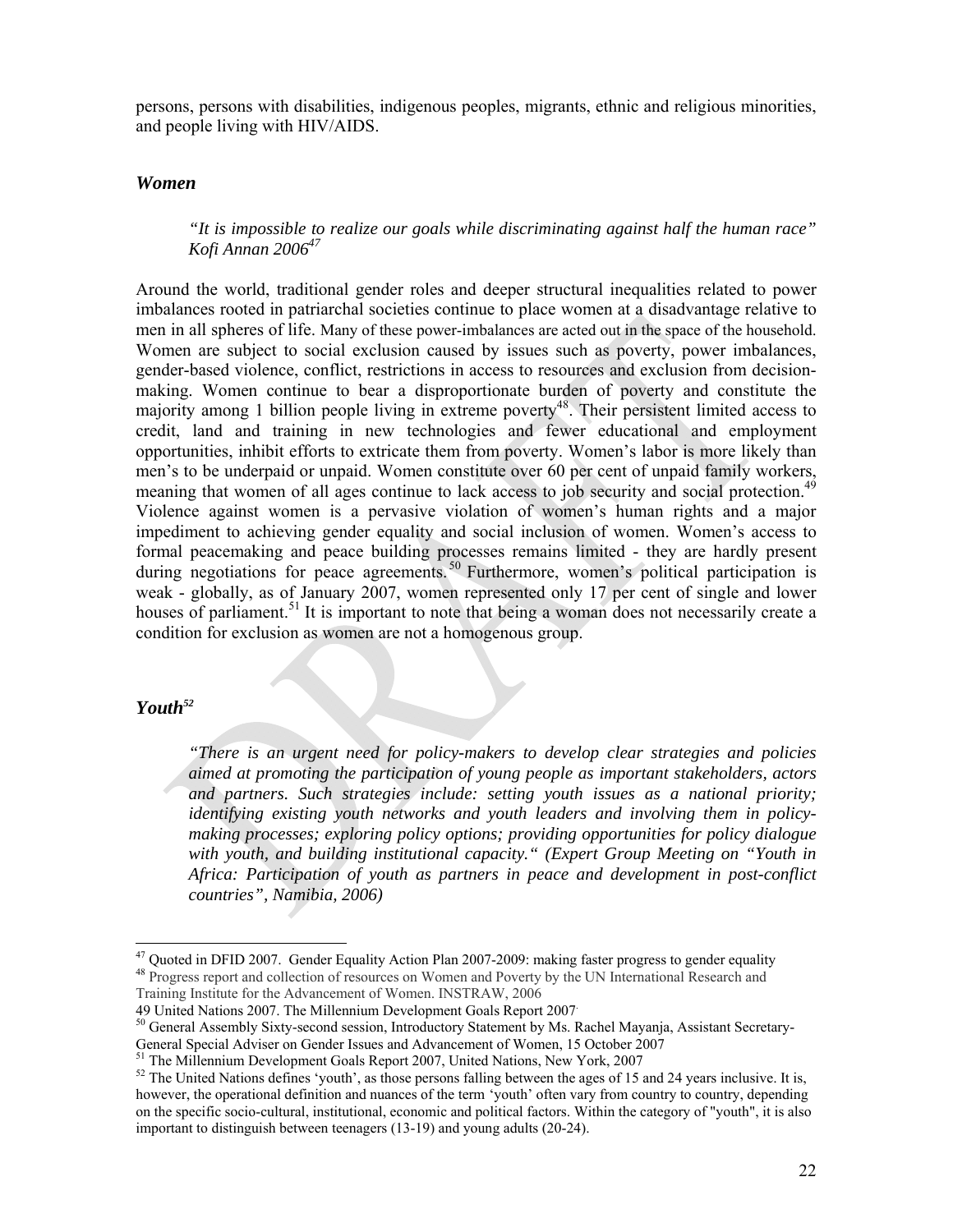persons, persons with disabilities, indigenous peoples, migrants, ethnic and religious minorities, and people living with HIV/AIDS.

#### *Women*

#### *"It is impossible to realize our goals while discriminating against half the human race" Kofi Annan 200647*

Around the world, traditional gender roles and deeper structural inequalities related to power imbalances rooted in patriarchal societies continue to place women at a disadvantage relative to men in all spheres of life. Many of these power-imbalances are acted out in the space of the household. Women are subject to social exclusion caused by issues such as poverty, power imbalances, gender-based violence, conflict, restrictions in access to resources and exclusion from decisionmaking. Women continue to bear a disproportionate burden of poverty and constitute the majority among 1 billion people living in extreme poverty<sup>48</sup>. Their persistent limited access to credit, land and training in new technologies and fewer educational and employment opportunities, inhibit efforts to extricate them from poverty. Women's labor is more likely than men's to be underpaid or unpaid. Women constitute over 60 per cent of unpaid family workers, meaning that women of all ages continue to lack access to job security and social protection.<sup>49</sup> Violence against women is a pervasive violation of women's human rights and a major impediment to achieving gender equality and social inclusion of women. Women's access to formal peacemaking and peace building processes remains limited - they are hardly present during negotiations for peace agreements.<sup>50</sup> Furthermore, women's political participation is weak - globally, as of January 2007, women represented only 17 per cent of single and lower houses of parliament.<sup>51</sup> It is important to note that being a woman does not necessarily create a condition for exclusion as women are not a homogenous group.

#### *Youth52*

-

*"There is an urgent need for policy-makers to develop clear strategies and policies aimed at promoting the participation of young people as important stakeholders, actors and partners. Such strategies include: setting youth issues as a national priority; identifying existing youth networks and youth leaders and involving them in policymaking processes; exploring policy options; providing opportunities for policy dialogue with youth, and building institutional capacity." (Expert Group Meeting on "Youth in Africa: Participation of youth as partners in peace and development in post-conflict countries", Namibia, 2006)*

<sup>&</sup>lt;sup>47</sup> Quoted in DFID 2007. Gender Equality Action Plan 2007-2009: making faster progress to gender equality <sup>48</sup> Progress report and collection of resources on Women and Poverty by the UN International Research and Training Institute for the Advancement of Women. INSTRAW, 2006

<sup>49</sup> United Nations 2007. The Millennium Development Goals Report 2007.

<sup>&</sup>lt;sup>50</sup> General Assembly Sixty-second session, Introductory Statement by Ms. Rachel Mayanja, Assistant Secretary-General Special Adviser on Gender Issues and Advancement of Women, 15 October 2007

<sup>&</sup>lt;sup>51</sup> The Millennium Development Goals Report 2007, United Nations, New York, 2007

<sup>&</sup>lt;sup>52</sup> The United Nations defines 'youth', as those persons falling between the ages of 15 and 24 years inclusive. It is, however, the operational definition and nuances of the term 'youth' often vary from country to country, depending on the specific socio-cultural, institutional, economic and political factors. Within the category of "youth", it is also important to distinguish between teenagers (13-19) and young adults (20-24).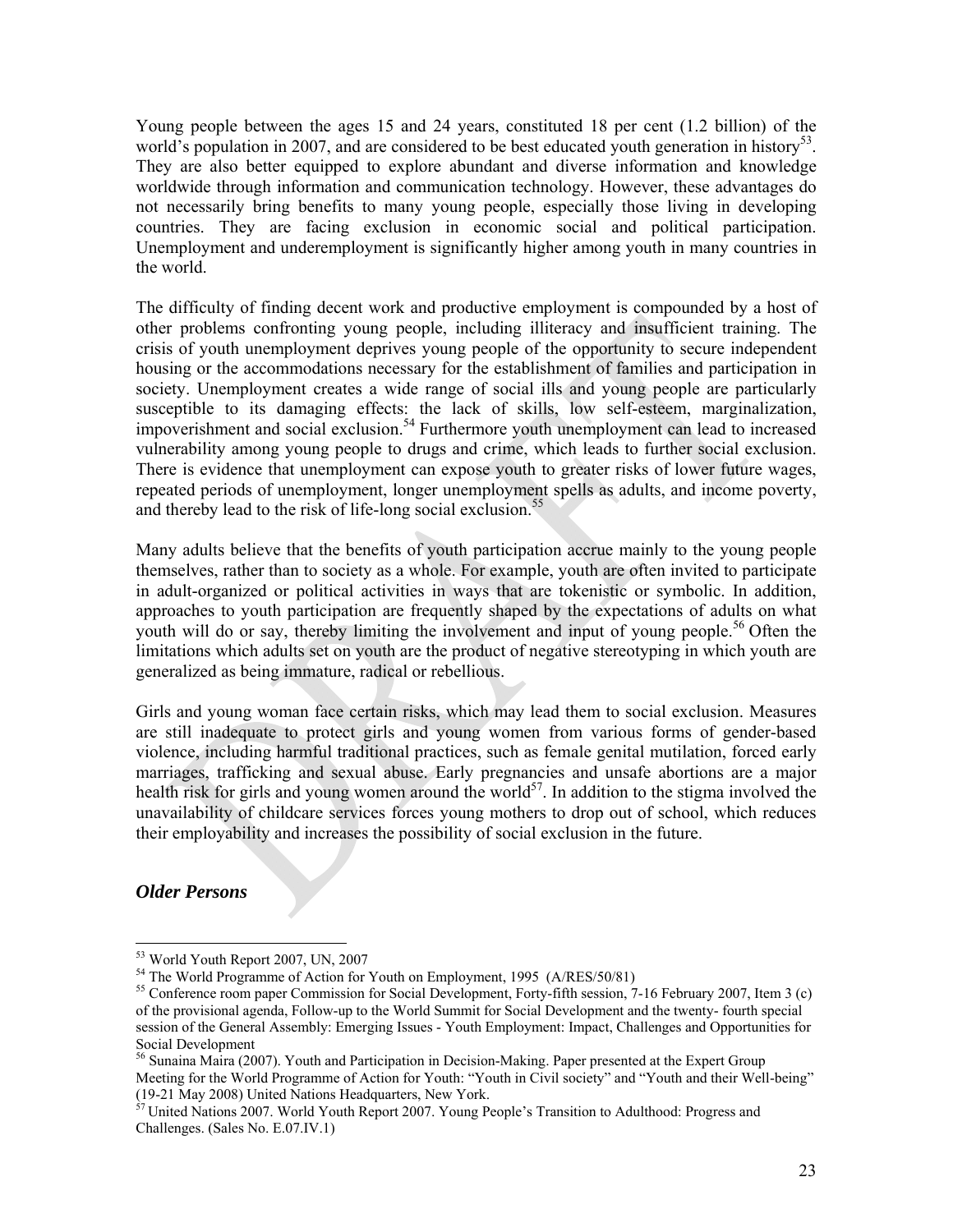Young people between the ages 15 and 24 years, constituted 18 per cent (1.2 billion) of the world's population in 2007, and are considered to be best educated youth generation in history<sup>53</sup>. They are also better equipped to explore abundant and diverse information and knowledge worldwide through information and communication technology. However, these advantages do not necessarily bring benefits to many young people, especially those living in developing countries. They are facing exclusion in economic social and political participation. Unemployment and underemployment is significantly higher among youth in many countries in the world.

The difficulty of finding decent work and productive employment is compounded by a host of other problems confronting young people, including illiteracy and insufficient training. The crisis of youth unemployment deprives young people of the opportunity to secure independent housing or the accommodations necessary for the establishment of families and participation in society. Unemployment creates a wide range of social ills and young people are particularly susceptible to its damaging effects: the lack of skills, low self-esteem, marginalization, impoverishment and social exclusion.54 Furthermore youth unemployment can lead to increased vulnerability among young people to drugs and crime, which leads to further social exclusion. There is evidence that unemployment can expose youth to greater risks of lower future wages, repeated periods of unemployment, longer unemployment spells as adults, and income poverty, and thereby lead to the risk of life-long social exclusion.<sup>55</sup>

Many adults believe that the benefits of youth participation accrue mainly to the young people themselves, rather than to society as a whole. For example, youth are often invited to participate in adult-organized or political activities in ways that are tokenistic or symbolic. In addition, approaches to youth participation are frequently shaped by the expectations of adults on what youth will do or say, thereby limiting the involvement and input of young people.<sup>56</sup> Often the limitations which adults set on youth are the product of negative stereotyping in which youth are generalized as being immature, radical or rebellious.

Girls and young woman face certain risks, which may lead them to social exclusion. Measures are still inadequate to protect girls and young women from various forms of gender-based violence, including harmful traditional practices, such as female genital mutilation, forced early marriages, trafficking and sexual abuse. Early pregnancies and unsafe abortions are a major health risk for girls and young women around the world $^{57}$ . In addition to the stigma involved the unavailability of childcare services forces young mothers to drop out of school, which reduces their employability and increases the possibility of social exclusion in the future.

*Older Persons* 

<sup>-</sup>53 World Youth Report 2007, UN, 2007

<sup>&</sup>lt;sup>54</sup> The World Programme of Action for Youth on Employment, 1995 (A/RES/50/81)

<sup>&</sup>lt;sup>55</sup> Conference room paper Commission for Social Development, Forty-fifth session, 7-16 February 2007, Item 3 (c) of the provisional agenda, Follow-up to the World Summit for Social Development and the twenty- fourth special session of the General Assembly: Emerging Issues - Youth Employment: Impact, Challenges and Opportunities for Social Development

<sup>&</sup>lt;sup>56</sup> Sunaina Maira (2007). Youth and Participation in Decision-Making. Paper presented at the Expert Group Meeting for the World Programme of Action for Youth: "Youth in Civil society" and "Youth and their Well-being" (19-21 May 2008) United Nations Headquarters, New York.

<sup>&</sup>lt;sup>7</sup> United Nations 2007. World Youth Report 2007. Young People's Transition to Adulthood: Progress and Challenges. (Sales No. E.07.IV.1)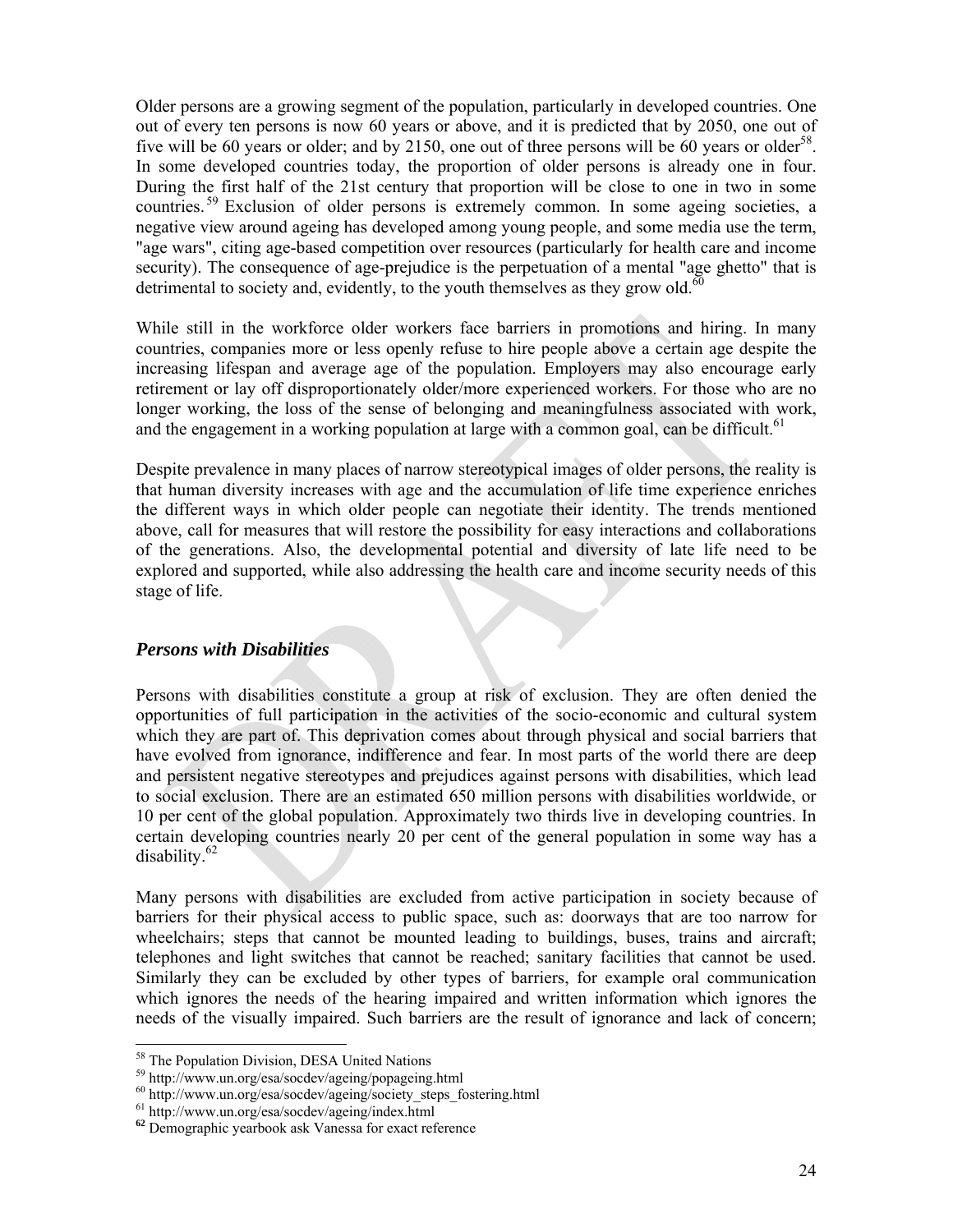Older persons are a growing segment of the population, particularly in developed countries. One out of every ten persons is now 60 years or above, and it is predicted that by 2050, one out of five will be 60 years or older; and by 2150, one out of three persons will be 60 years or older<sup>58</sup>. In some developed countries today, the proportion of older persons is already one in four. During the first half of the 21st century that proportion will be close to one in two in some countries. 59 Exclusion of older persons is extremely common. In some ageing societies, a negative view around ageing has developed among young people, and some media use the term, "age wars", citing age-based competition over resources (particularly for health care and income security). The consequence of age-prejudice is the perpetuation of a mental "age ghetto" that is detrimental to society and, evidently, to the youth themselves as they grow old. $60$ 

While still in the workforce older workers face barriers in promotions and hiring. In many countries, companies more or less openly refuse to hire people above a certain age despite the increasing lifespan and average age of the population. Employers may also encourage early retirement or lay off disproportionately older/more experienced workers. For those who are no longer working, the loss of the sense of belonging and meaningfulness associated with work, and the engagement in a working population at large with a common goal, can be difficult.<sup>61</sup>

Despite prevalence in many places of narrow stereotypical images of older persons, the reality is that human diversity increases with age and the accumulation of life time experience enriches the different ways in which older people can negotiate their identity. The trends mentioned above, call for measures that will restore the possibility for easy interactions and collaborations of the generations. Also, the developmental potential and diversity of late life need to be explored and supported, while also addressing the health care and income security needs of this stage of life.

## *Persons with Disabilities*

Persons with disabilities constitute a group at risk of exclusion. They are often denied the opportunities of full participation in the activities of the socio-economic and cultural system which they are part of. This deprivation comes about through physical and social barriers that have evolved from ignorance, indifference and fear. In most parts of the world there are deep and persistent negative stereotypes and prejudices against persons with disabilities, which lead to social exclusion. There are an estimated 650 million persons with disabilities worldwide, or 10 per cent of the global population. Approximately two thirds live in developing countries. In certain developing countries nearly 20 per cent of the general population in some way has a disability.<sup>62</sup>

Many persons with disabilities are excluded from active participation in society because of barriers for their physical access to public space, such as: doorways that are too narrow for wheelchairs; steps that cannot be mounted leading to buildings, buses, trains and aircraft; telephones and light switches that cannot be reached; sanitary facilities that cannot be used. Similarly they can be excluded by other types of barriers, for example oral communication which ignores the needs of the hearing impaired and written information which ignores the needs of the visually impaired. Such barriers are the result of ignorance and lack of concern;

<sup>&</sup>lt;sup>58</sup> The Population Division, DESA United Nations

<sup>59</sup> http://www.un.org/esa/socdev/ageing/popageing.html

<sup>60</sup> http://www.un.org/esa/socdev/ageing/society\_steps\_fostering.html

<sup>61</sup> http://www.un.org/esa/socdev/ageing/index.html

**<sup>62</sup>** Demographic yearbook ask Vanessa for exact reference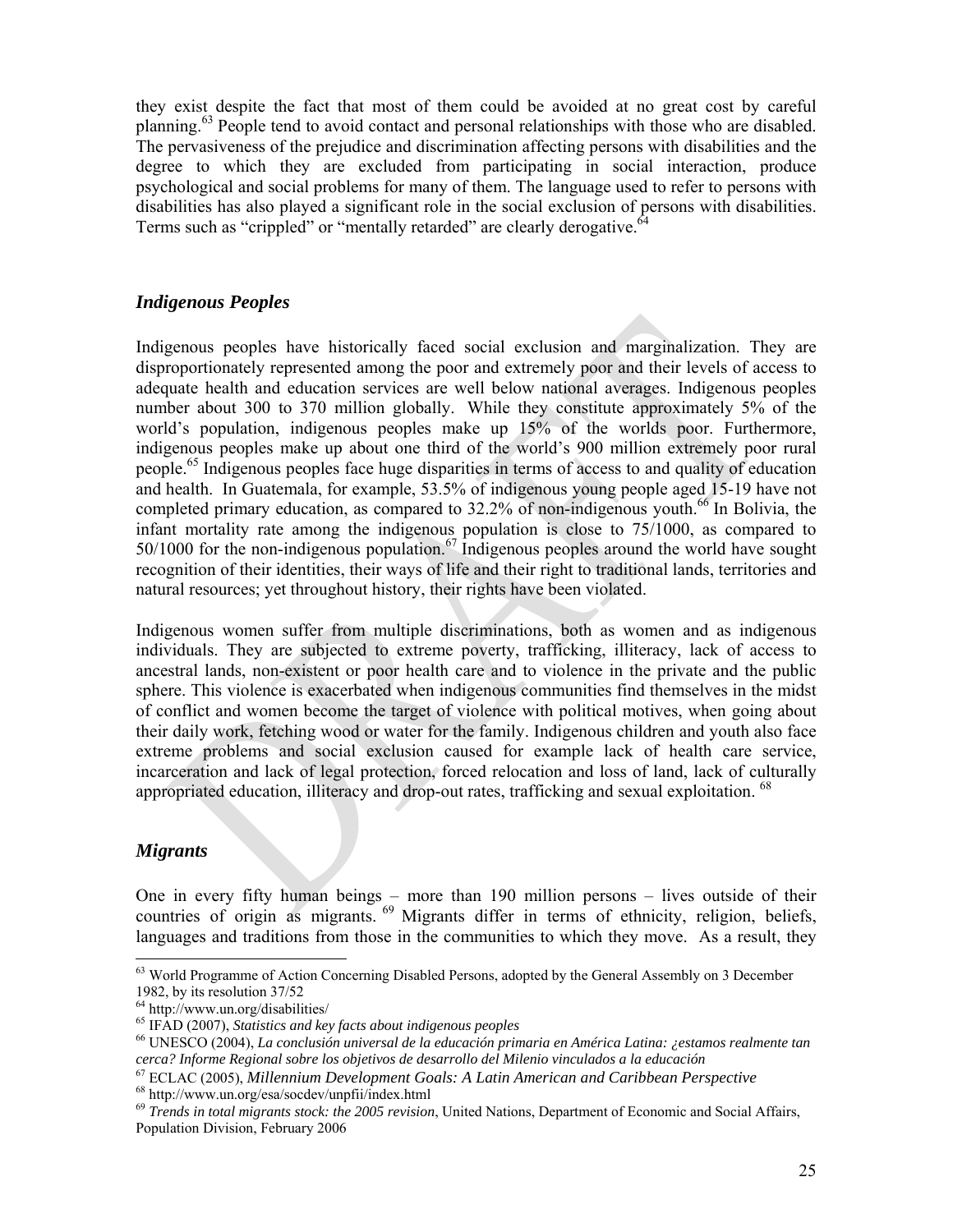they exist despite the fact that most of them could be avoided at no great cost by careful planning.<sup>63</sup> People tend to avoid contact and personal relationships with those who are disabled. The pervasiveness of the prejudice and discrimination affecting persons with disabilities and the degree to which they are excluded from participating in social interaction, produce psychological and social problems for many of them. The language used to refer to persons with disabilities has also played a significant role in the social exclusion of persons with disabilities. Terms such as "crippled" or "mentally retarded" are clearly derogative.<sup>64</sup>

## *Indigenous Peoples*

Indigenous peoples have historically faced social exclusion and marginalization. They are disproportionately represented among the poor and extremely poor and their levels of access to adequate health and education services are well below national averages. Indigenous peoples number about 300 to 370 million globally. While they constitute approximately 5% of the world's population, indigenous peoples make up 15% of the worlds poor. Furthermore, indigenous peoples make up about one third of the world's 900 million extremely poor rural people.65 Indigenous peoples face huge disparities in terms of access to and quality of education and health. In Guatemala, for example, 53.5% of indigenous young people aged 15-19 have not completed primary education, as compared to  $32.2\%$  of non-indigenous youth.<sup>66</sup> In Bolivia, the infant mortality rate among the indigenous population is close to 75/1000, as compared to  $50/1000$  for the non-indigenous population.<sup>67</sup> Indigenous peoples around the world have sought recognition of their identities, their ways of life and their right to traditional lands, territories and natural resources; yet throughout history, their rights have been violated.

Indigenous women suffer from multiple discriminations, both as women and as indigenous individuals. They are subjected to extreme poverty, trafficking, illiteracy, lack of access to ancestral lands, non-existent or poor health care and to violence in the private and the public sphere. This violence is exacerbated when indigenous communities find themselves in the midst of conflict and women become the target of violence with political motives, when going about their daily work, fetching wood or water for the family. Indigenous children and youth also face extreme problems and social exclusion caused for example lack of health care service, incarceration and lack of legal protection, forced relocation and loss of land, lack of culturally appropriated education, illiteracy and drop-out rates, trafficking and sexual exploitation. <sup>68</sup>

## *Migrants*

One in every fifty human beings – more than 190 million persons – lives outside of their countries of origin as migrants. <sup>69</sup> Migrants differ in terms of ethnicity, religion, beliefs, languages and traditions from those in the communities to which they move. As a result, they

<sup>-</sup><sup>63</sup> World Programme of Action Concerning Disabled Persons, adopted by the General Assembly on 3 December 1982, by its resolution 37/52

<sup>&</sup>lt;sup>64</sup> http://www.un.org/disabilities/<br><sup>65</sup> IFAD (2007). *Statistics and key facts about indigenous peoples* 

<sup>65</sup> IFAD (2007), *Statistics and key facts about indigenous peoples* 66 UNESCO (2004), *La conclusión universal de la educación primaria en América Latina: ¿estamos realmente tan cerca? Informe Regional sobre los objetivos de desarrollo del Milenio vinculados a la educación*

<sup>67</sup> ECLAC (2005), *Millennium Development Goals: A Latin American and Caribbean Perspective* 68 http://www.un.org/esa/socdev/unpfii/index.html

<sup>69</sup> *Trends in total migrants stock: the 2005 revision*, United Nations, Department of Economic and Social Affairs, Population Division, February 2006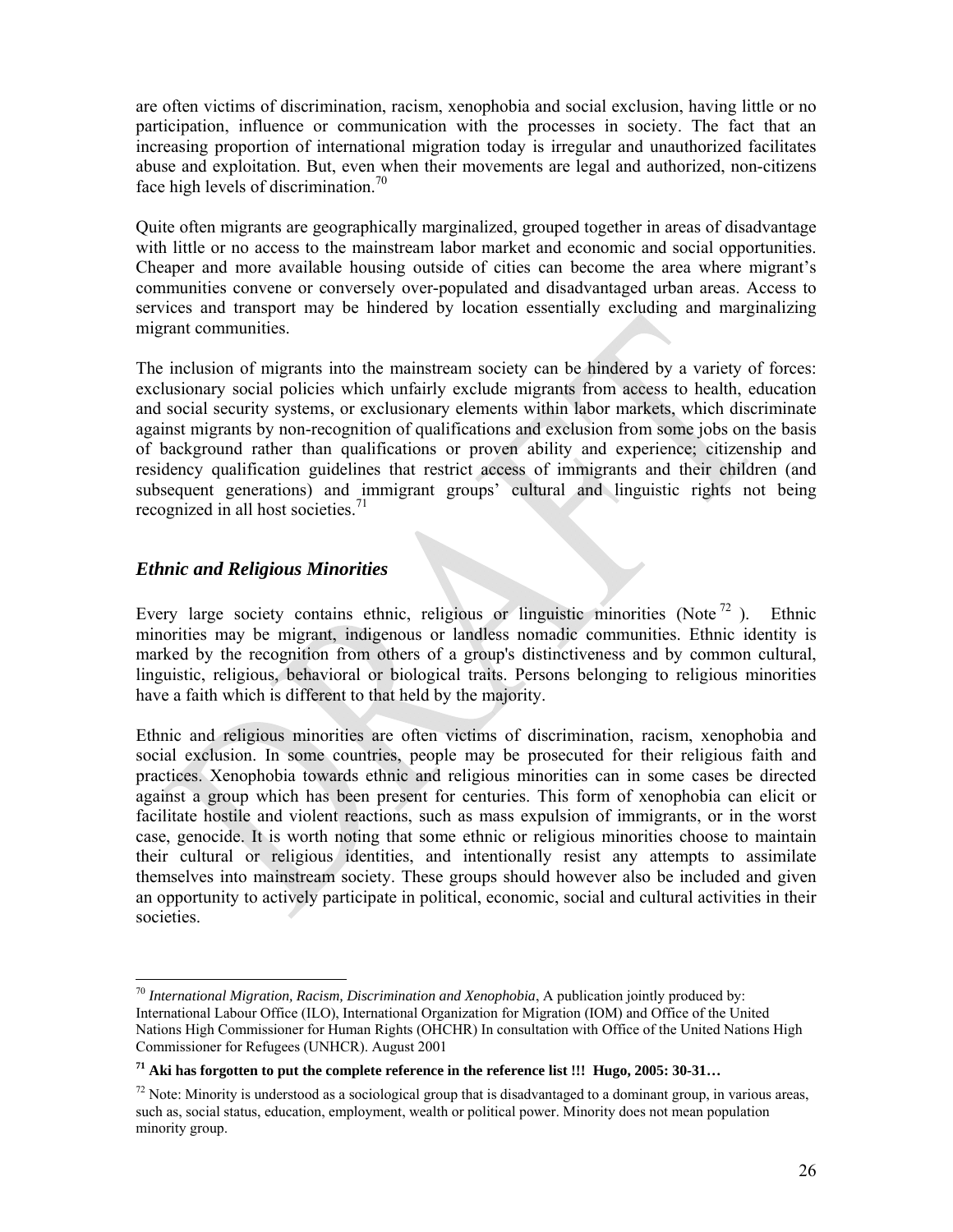are often victims of discrimination, racism, xenophobia and social exclusion, having little or no participation, influence or communication with the processes in society. The fact that an increasing proportion of international migration today is irregular and unauthorized facilitates abuse and exploitation. But, even when their movements are legal and authorized, non-citizens face high levels of discrimination.<sup>70</sup>

Quite often migrants are geographically marginalized, grouped together in areas of disadvantage with little or no access to the mainstream labor market and economic and social opportunities. Cheaper and more available housing outside of cities can become the area where migrant's communities convene or conversely over-populated and disadvantaged urban areas. Access to services and transport may be hindered by location essentially excluding and marginalizing migrant communities.

The inclusion of migrants into the mainstream society can be hindered by a variety of forces: exclusionary social policies which unfairly exclude migrants from access to health, education and social security systems, or exclusionary elements within labor markets, which discriminate against migrants by non-recognition of qualifications and exclusion from some jobs on the basis of background rather than qualifications or proven ability and experience; citizenship and residency qualification guidelines that restrict access of immigrants and their children (and subsequent generations) and immigrant groups' cultural and linguistic rights not being recognized in all host societies.<sup>71</sup>

# *Ethnic and Religious Minorities*

-

Every large society contains ethnic, religious or linguistic minorities (Note<sup>72</sup>). Ethnic minorities may be migrant, indigenous or landless nomadic communities. Ethnic identity is marked by the recognition from others of a group's distinctiveness and by common cultural, linguistic, religious, behavioral or biological traits. Persons belonging to religious minorities have a faith which is different to that held by the majority.

Ethnic and religious minorities are often victims of discrimination, racism, xenophobia and social exclusion. In some countries, people may be prosecuted for their religious faith and practices. Xenophobia towards ethnic and religious minorities can in some cases be directed against a group which has been present for centuries. This form of xenophobia can elicit or facilitate hostile and violent reactions, such as mass expulsion of immigrants, or in the worst case, genocide. It is worth noting that some ethnic or religious minorities choose to maintain their cultural or religious identities, and intentionally resist any attempts to assimilate themselves into mainstream society. These groups should however also be included and given an opportunity to actively participate in political, economic, social and cultural activities in their societies.

<sup>70</sup> *International Migration, Racism, Discrimination and Xenophobia*, A publication jointly produced by: International Labour Office (ILO), International Organization for Migration (IOM) and Office of the United Nations High Commissioner for Human Rights (OHCHR) In consultation with Office of the United Nations High Commissioner for Refugees (UNHCR). August 2001

**<sup>71</sup> Aki has forgotten to put the complete reference in the reference list !!! Hugo, 2005: 30-31…**

 $72$  Note: Minority is understood as a sociological group that is disadvantaged to a dominant group, in various areas, such as, social status, education, employment, wealth or political power. Minority does not mean population minority group.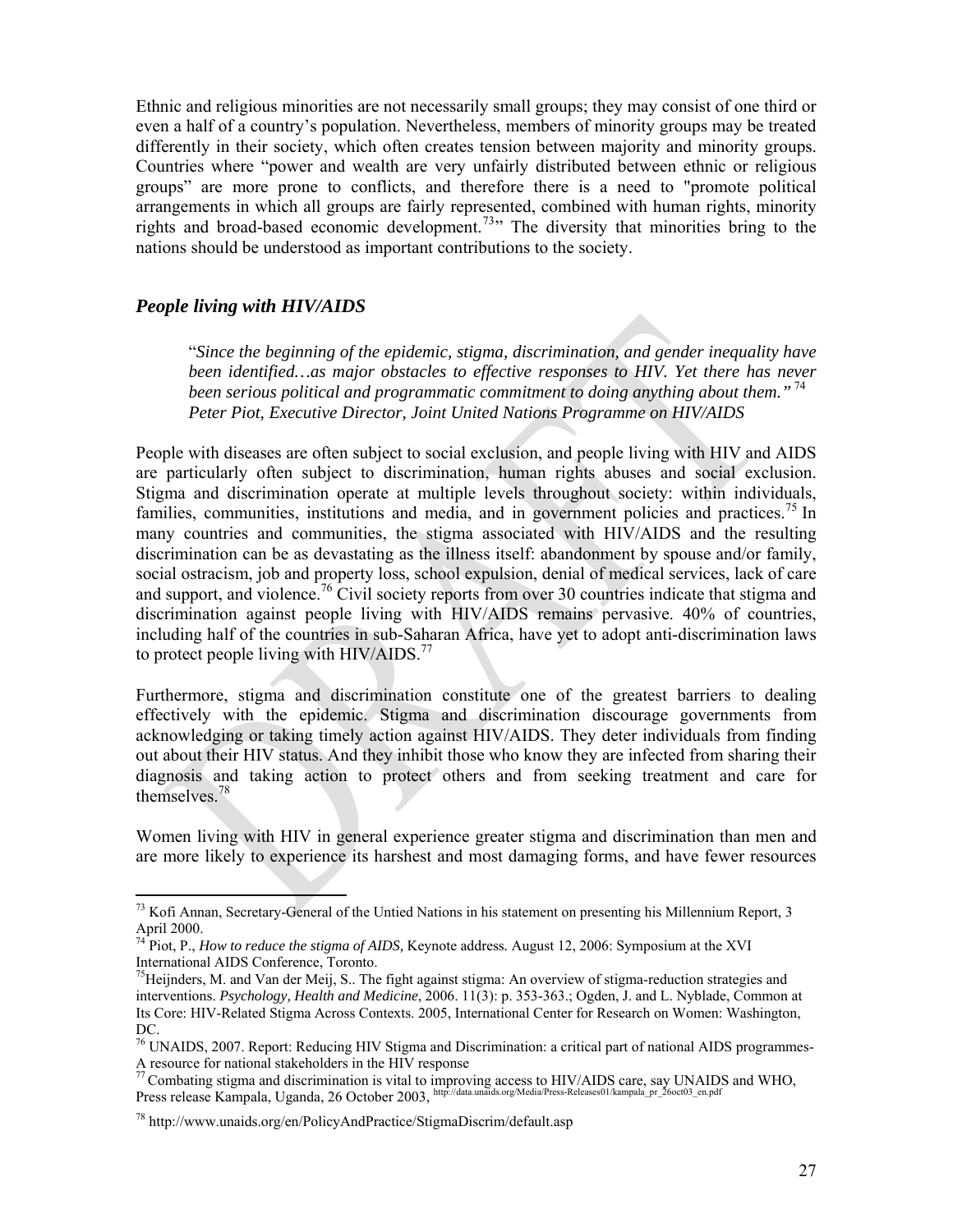Ethnic and religious minorities are not necessarily small groups; they may consist of one third or even a half of a country's population. Nevertheless, members of minority groups may be treated differently in their society, which often creates tension between majority and minority groups. Countries where "power and wealth are very unfairly distributed between ethnic or religious groups" are more prone to conflicts, and therefore there is a need to "promote political arrangements in which all groups are fairly represented, combined with human rights, minority rights and broad-based economic development.<sup>73</sup>" The diversity that minorities bring to the nations should be understood as important contributions to the society.

## *People living with HIV/AIDS*

-

"*Since the beginning of the epidemic, stigma, discrimination, and gender inequality have been identified…as major obstacles to effective responses to HIV. Yet there has never been serious political and programmatic commitment to doing anything about them.*"<sup>74</sup> *Peter Piot, Executive Director, Joint United Nations Programme on HIV/AIDS* 

People with diseases are often subject to social exclusion, and people living with HIV and AIDS are particularly often subject to discrimination, human rights abuses and social exclusion. Stigma and discrimination operate at multiple levels throughout society: within individuals, families, communities, institutions and media, and in government policies and practices.<sup>75</sup> In many countries and communities, the stigma associated with HIV/AIDS and the resulting discrimination can be as devastating as the illness itself: abandonment by spouse and/or family, social ostracism, job and property loss, school expulsion, denial of medical services, lack of care and support, and violence.<sup>76</sup> Civil society reports from over 30 countries indicate that stigma and discrimination against people living with HIV/AIDS remains pervasive. 40% of countries, including half of the countries in sub-Saharan Africa, have yet to adopt anti-discrimination laws to protect people living with HIV/AIDS.<sup>77</sup>

Furthermore, stigma and discrimination constitute one of the greatest barriers to dealing effectively with the epidemic. Stigma and discrimination discourage governments from acknowledging or taking timely action against HIV/AIDS. They deter individuals from finding out about their HIV status. And they inhibit those who know they are infected from sharing their diagnosis and taking action to protect others and from seeking treatment and care for themselves.78

Women living with HIV in general experience greater stigma and discrimination than men and are more likely to experience its harshest and most damaging forms, and have fewer resources

 $^{73}$  Kofi Annan, Secretary-General of the Untied Nations in his statement on presenting his Millennium Report, 3 April 2000.

<sup>74</sup> Piot, P., *How to reduce the stigma of AIDS,* Keynote address*.* August 12, 2006: Symposium at the XVI International AIDS Conference, Toronto.

<sup>&</sup>lt;sup>75</sup>Heijnders, M. and Van der Meij, S.. The fight against stigma: An overview of stigma-reduction strategies and interventions. *Psychology, Health and Medicine*, 2006. 11(3): p. 353-363.; Ogden, J. and L. Nyblade, Common at Its Core: HIV-Related Stigma Across Contexts. 2005, International Center for Research on Women: Washington, DC.

<sup>76</sup> UNAIDS, 2007. Report: Reducing HIV Stigma and Discrimination: a critical part of national AIDS programmes-A resource for national stakeholders in the HIV response

 $77$  Combating stigma and discrimination is vital to improving access to HIV/AIDS care, say UNAIDS and WHO, Press release Kampala, Uganda, 26 October 2003, http://data.unaids.org/Media/Press-Releases01/kampala\_pr\_26oct03\_en.pdf

<sup>78</sup> http://www.unaids.org/en/PolicyAndPractice/StigmaDiscrim/default.asp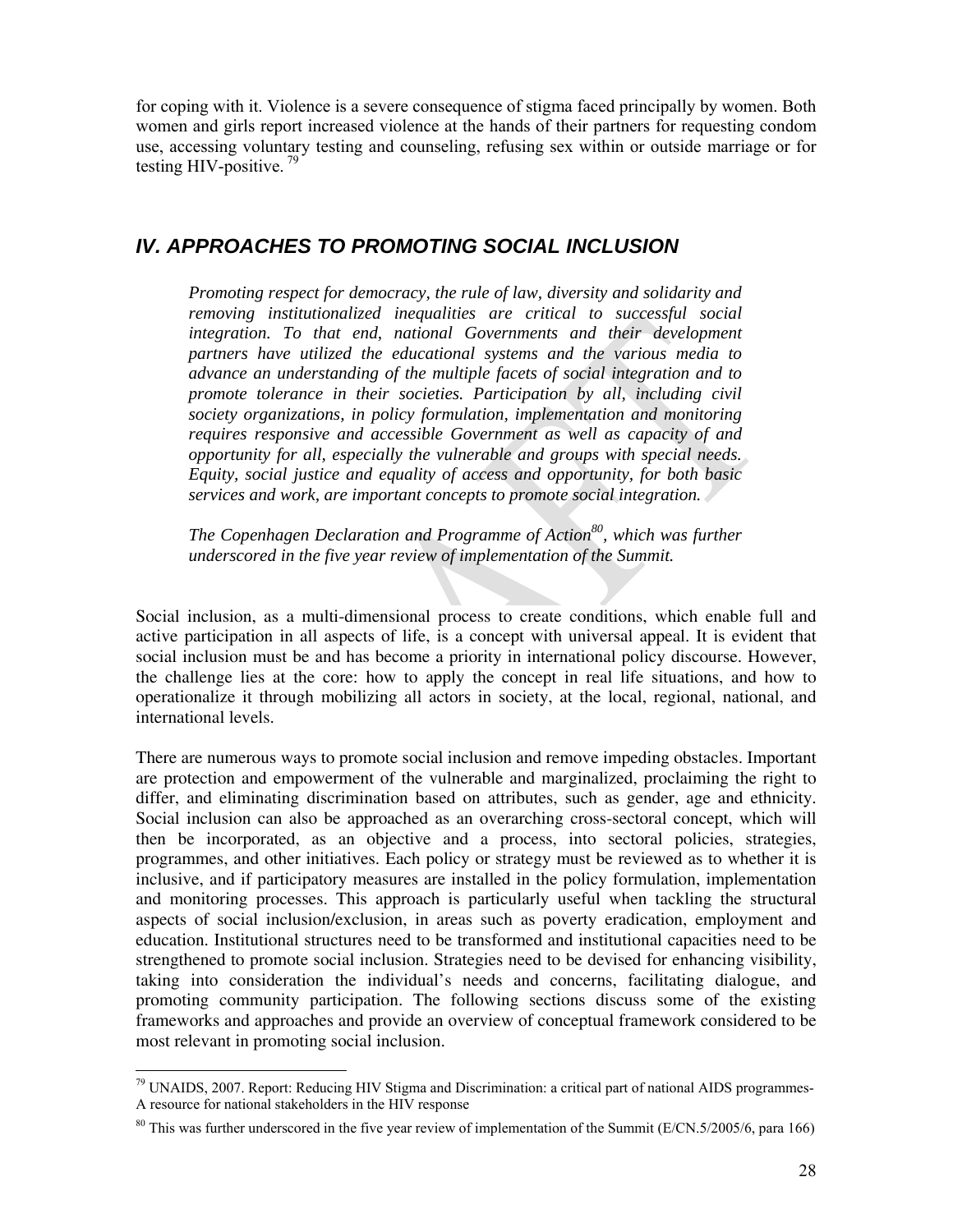for coping with it. Violence is a severe consequence of stigma faced principally by women. Both women and girls report increased violence at the hands of their partners for requesting condom use, accessing voluntary testing and counseling, refusing sex within or outside marriage or for testing HIV-positive.<sup>79</sup>

# *IV. APPROACHES TO PROMOTING SOCIAL INCLUSION*

*Promoting respect for democracy, the rule of law, diversity and solidarity and removing institutionalized inequalities are critical to successful social integration. To that end, national Governments and their development partners have utilized the educational systems and the various media to advance an understanding of the multiple facets of social integration and to promote tolerance in their societies. Participation by all, including civil society organizations, in policy formulation, implementation and monitoring requires responsive and accessible Government as well as capacity of and opportunity for all, especially the vulnerable and groups with special needs. Equity, social justice and equality of access and opportunity, for both basic services and work, are important concepts to promote social integration.* 

*The Copenhagen Declaration and Programme of Action80, which was further underscored in the five year review of implementation of the Summit.* 

Social inclusion, as a multi-dimensional process to create conditions, which enable full and active participation in all aspects of life, is a concept with universal appeal. It is evident that social inclusion must be and has become a priority in international policy discourse. However, the challenge lies at the core: how to apply the concept in real life situations, and how to operationalize it through mobilizing all actors in society, at the local, regional, national, and international levels.

There are numerous ways to promote social inclusion and remove impeding obstacles. Important are protection and empowerment of the vulnerable and marginalized, proclaiming the right to differ, and eliminating discrimination based on attributes, such as gender, age and ethnicity. Social inclusion can also be approached as an overarching cross-sectoral concept, which will then be incorporated, as an objective and a process, into sectoral policies, strategies, programmes, and other initiatives. Each policy or strategy must be reviewed as to whether it is inclusive, and if participatory measures are installed in the policy formulation, implementation and monitoring processes. This approach is particularly useful when tackling the structural aspects of social inclusion/exclusion, in areas such as poverty eradication, employment and education. Institutional structures need to be transformed and institutional capacities need to be strengthened to promote social inclusion. Strategies need to be devised for enhancing visibility, taking into consideration the individual's needs and concerns, facilitating dialogue, and promoting community participation. The following sections discuss some of the existing frameworks and approaches and provide an overview of conceptual framework considered to be most relevant in promoting social inclusion.

<sup>&</sup>lt;sup>79</sup> UNAIDS, 2007. Report: Reducing HIV Stigma and Discrimination: a critical part of national AIDS programmes-A resource for national stakeholders in the HIV response

 $80$  This was further underscored in the five year review of implementation of the Summit (E/CN.5/2005/6, para 166)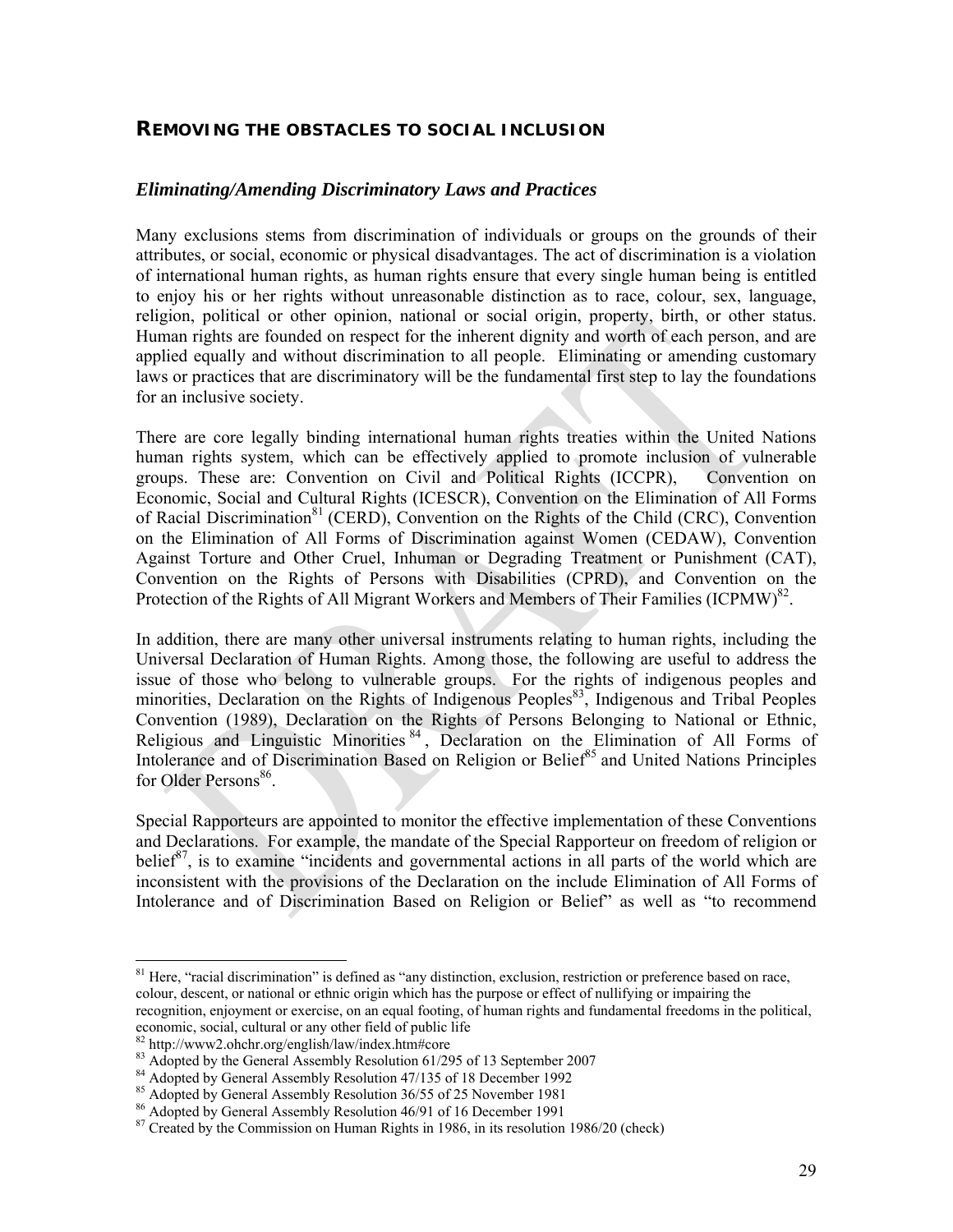## **REMOVING THE OBSTACLES TO SOCIAL INCLUSION**

## *Eliminating/Amending Discriminatory Laws and Practices*

Many exclusions stems from discrimination of individuals or groups on the grounds of their attributes, or social, economic or physical disadvantages. The act of discrimination is a violation of international human rights, as human rights ensure that every single human being is entitled to enjoy his or her rights without unreasonable distinction as to race, colour, sex, language, religion, political or other opinion, national or social origin, property, birth, or other status. Human rights are founded on respect for the inherent dignity and worth of each person, and are applied equally and without discrimination to all people. Eliminating or amending customary laws or practices that are discriminatory will be the fundamental first step to lay the foundations for an inclusive society.

There are core legally binding international human rights treaties within the United Nations human rights system, which can be effectively applied to promote inclusion of vulnerable groups. These are: Convention on Civil and Political Rights (ICCPR), Convention on Economic, Social and Cultural Rights (ICESCR), Convention on the Elimination of All Forms of Racial Discrimination<sup>81</sup> (CERD), Convention on the Rights of the Child (CRC), Convention on the Elimination of All Forms of Discrimination against Women (CEDAW), Convention Against Torture and Other Cruel, Inhuman or Degrading Treatment or Punishment (CAT), Convention on the Rights of Persons with Disabilities (CPRD), and Convention on the Protection of the Rights of All Migrant Workers and Members of Their Families (ICPMW) $^{82}$ .

In addition, there are many other universal instruments relating to human rights, including the Universal Declaration of Human Rights. Among those, the following are useful to address the issue of those who belong to vulnerable groups. For the rights of indigenous peoples and minorities, Declaration on the Rights of Indigenous Peoples<sup>83</sup>, Indigenous and Tribal Peoples Convention (1989), Declaration on the Rights of Persons Belonging to National or Ethnic, Religious and Linguistic Minorities <sup>84</sup>, Declaration on the Elimination of All Forms of Intolerance and of Discrimination Based on Religion or Belief<sup>85</sup> and United Nations Principles for Older Persons<sup>86</sup>.

Special Rapporteurs are appointed to monitor the effective implementation of these Conventions and Declarations. For example, the mandate of the Special Rapporteur on freedom of religion or belief<sup>87</sup>, is to examine "incidents and governmental actions in all parts of the world which are inconsistent with the provisions of the Declaration on the include Elimination of All Forms of Intolerance and of Discrimination Based on Religion or Belief" as well as "to recommend

<sup>&</sup>lt;sup>81</sup> Here, "racial discrimination" is defined as "any distinction, exclusion, restriction or preference based on race, colour, descent, or national or ethnic origin which has the purpose or effect of nullifying or impairing the recognition, enjoyment or exercise, on an equal footing, of human rights and fundamental freedoms in the political,

economic, social, cultural or any other field of public life

<sup>82</sup> http://www2.ohchr.org/english/law/index.htm#core

 $\frac{83}{2000}$  Adopted by the General Assembly Resolution 61/295 of 13 September 2007

<sup>84</sup> Adopted by General Assembly Resolution 47/135 of 18 December 1992

<sup>&</sup>lt;sup>85</sup> Adopted by General Assembly Resolution 36/55 of 25 November 1981

<sup>86</sup> Adopted by General Assembly Resolution 46/91 of 16 December 1991

<sup>&</sup>lt;sup>87</sup> Created by the Commission on Human Rights in 1986, in its resolution 1986/20 (check)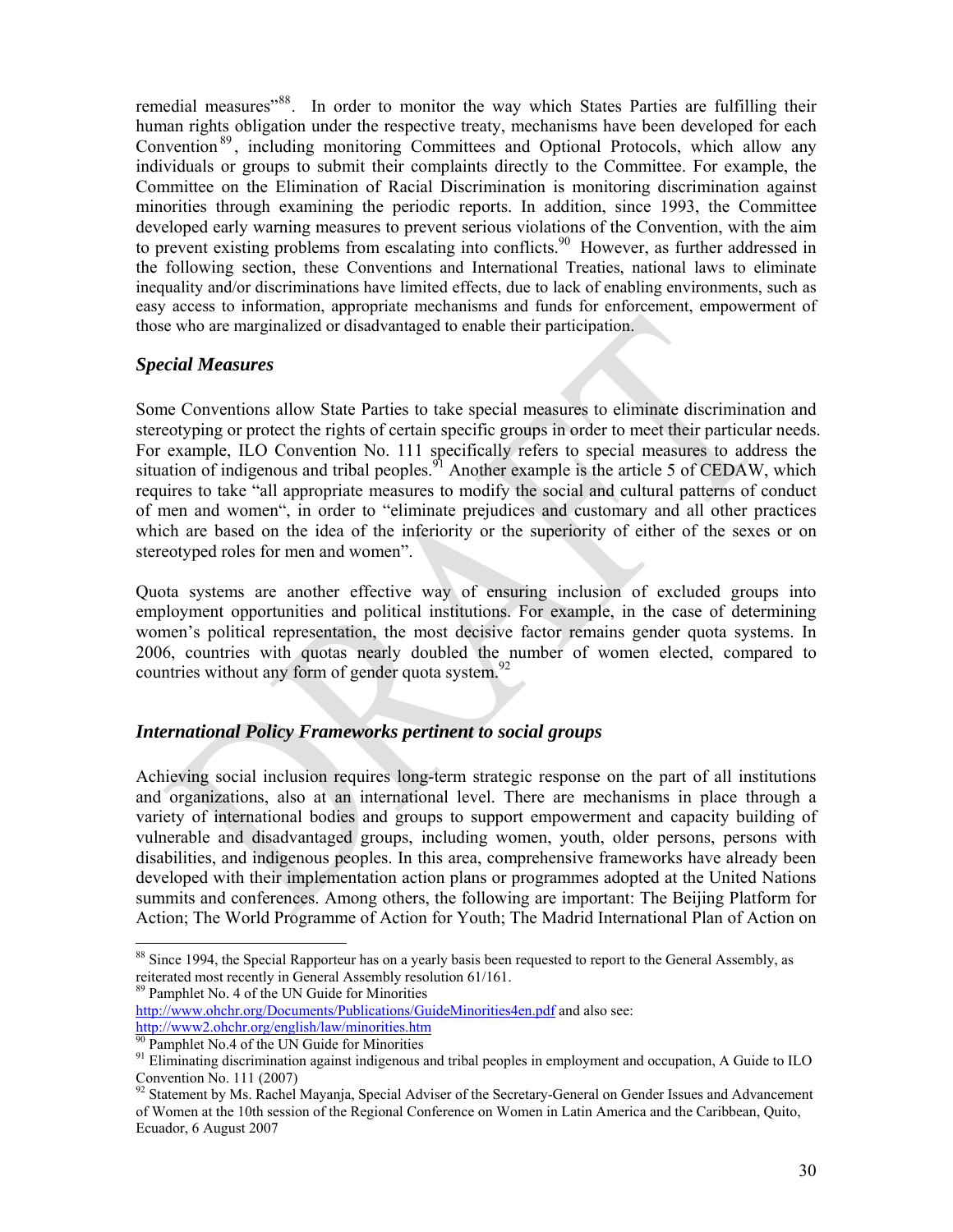remedial measures"<sup>88</sup>. In order to monitor the way which States Parties are fulfilling their human rights obligation under the respective treaty, mechanisms have been developed for each Convention <sup>89</sup> , including monitoring Committees and Optional Protocols, which allow any individuals or groups to submit their complaints directly to the Committee. For example, the Committee on the Elimination of Racial Discrimination is monitoring discrimination against minorities through examining the periodic reports. In addition, since 1993, the Committee developed early warning measures to prevent serious violations of the Convention, with the aim to prevent existing problems from escalating into conflicts.<sup>90</sup> However, as further addressed in the following section, these Conventions and International Treaties, national laws to eliminate inequality and/or discriminations have limited effects, due to lack of enabling environments, such as easy access to information, appropriate mechanisms and funds for enforcement, empowerment of those who are marginalized or disadvantaged to enable their participation.

## *Special Measures*

Some Conventions allow State Parties to take special measures to eliminate discrimination and stereotyping or protect the rights of certain specific groups in order to meet their particular needs. For example, ILO Convention No. 111 specifically refers to special measures to address the situation of indigenous and tribal peoples. $\frac{91}{100}$  Another example is the article 5 of CEDAW, which requires to take "all appropriate measures to modify the social and cultural patterns of conduct of men and women", in order to "eliminate prejudices and customary and all other practices which are based on the idea of the inferiority or the superiority of either of the sexes or on stereotyped roles for men and women".

Quota systems are another effective way of ensuring inclusion of excluded groups into employment opportunities and political institutions. For example, in the case of determining women's political representation, the most decisive factor remains gender quota systems. In 2006, countries with quotas nearly doubled the number of women elected, compared to countries without any form of gender quota system.<sup>9</sup>

# *International Policy Frameworks pertinent to social groups*

Achieving social inclusion requires long-term strategic response on the part of all institutions and organizations, also at an international level. There are mechanisms in place through a variety of international bodies and groups to support empowerment and capacity building of vulnerable and disadvantaged groups, including women, youth, older persons, persons with disabilities, and indigenous peoples. In this area, comprehensive frameworks have already been developed with their implementation action plans or programmes adopted at the United Nations summits and conferences. Among others, the following are important: The Beijing Platform for Action; The World Programme of Action for Youth; The Madrid International Plan of Action on

89 Pamphlet No. 4 of the UN Guide for Minorities

http://www.ohchr.org/Documents/Publications/GuideMinorities4en.pdf and also see:<br>http://www2.ohchr.org/english/law/minorities.htm

```
\frac{1}{90} Pamphlet No.4 of the UN Guide for Minorities.
```
<sup>-</sup><sup>88</sup> Since 1994, the Special Rapporteur has on a yearly basis been requested to report to the General Assembly, as reiterated most recently in General Assembly resolution 61/161.

<sup>&</sup>lt;sup>91</sup> Eliminating discrimination against indigenous and tribal peoples in employment and occupation, A Guide to ILO Convention No. 111 (2007)

<sup>&</sup>lt;sup>92</sup> Statement by Ms. Rachel Mayanja, Special Adviser of the Secretary-General on Gender Issues and Advancement of Women at the 10th session of the Regional Conference on Women in Latin America and the Caribbean, Quito, Ecuador, 6 August 2007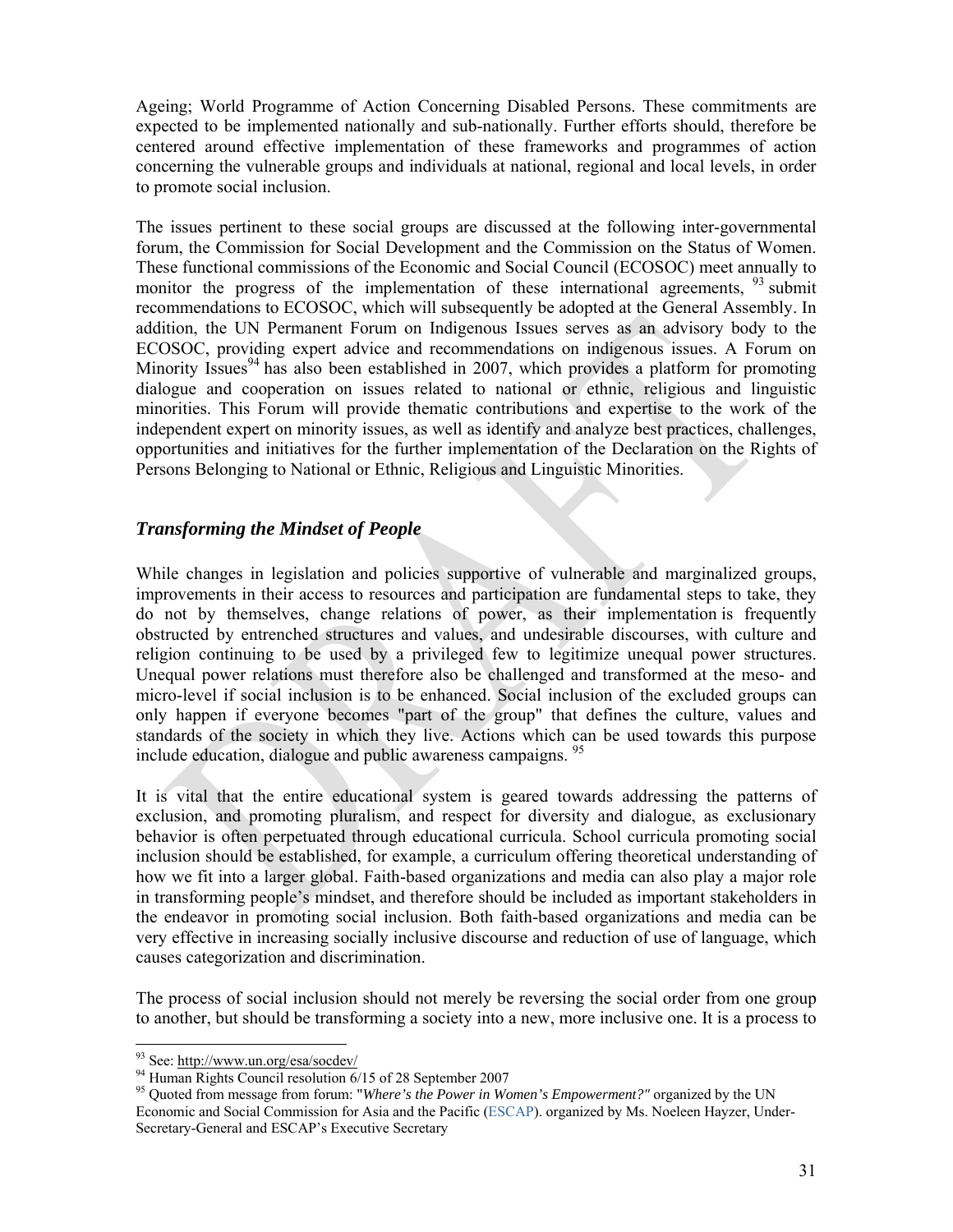Ageing; World Programme of Action Concerning Disabled Persons. These commitments are expected to be implemented nationally and sub-nationally. Further efforts should, therefore be centered around effective implementation of these frameworks and programmes of action concerning the vulnerable groups and individuals at national, regional and local levels, in order to promote social inclusion.

The issues pertinent to these social groups are discussed at the following inter-governmental forum, the Commission for Social Development and the Commission on the Status of Women. These functional commissions of the Economic and Social Council (ECOSOC) meet annually to monitor the progress of the implementation of these international agreements,  $^{93}$  submit recommendations to ECOSOC, which will subsequently be adopted at the General Assembly. In addition, the UN Permanent Forum on Indigenous Issues serves as an advisory body to the ECOSOC, providing expert advice and recommendations on indigenous issues. A Forum on Minority Issues<sup>94</sup> has also been established in 2007, which provides a platform for promoting dialogue and cooperation on issues related to national or ethnic, religious and linguistic minorities. This Forum will provide thematic contributions and expertise to the work of the independent expert on minority issues, as well as identify and analyze best practices, challenges, opportunities and initiatives for the further implementation of the Declaration on the Rights of Persons Belonging to National or Ethnic, Religious and Linguistic Minorities.

# *Transforming the Mindset of People*

While changes in legislation and policies supportive of vulnerable and marginalized groups, improvements in their access to resources and participation are fundamental steps to take, they do not by themselves, change relations of power, as their implementation is frequently obstructed by entrenched structures and values, and undesirable discourses, with culture and religion continuing to be used by a privileged few to legitimize unequal power structures. Unequal power relations must therefore also be challenged and transformed at the meso- and micro-level if social inclusion is to be enhanced. Social inclusion of the excluded groups can only happen if everyone becomes "part of the group" that defines the culture, values and standards of the society in which they live. Actions which can be used towards this purpose include education, dialogue and public awareness campaigns.  $95$ 

It is vital that the entire educational system is geared towards addressing the patterns of exclusion, and promoting pluralism, and respect for diversity and dialogue, as exclusionary behavior is often perpetuated through educational curricula. School curricula promoting social inclusion should be established, for example, a curriculum offering theoretical understanding of how we fit into a larger global. Faith-based organizations and media can also play a major role in transforming people's mindset, and therefore should be included as important stakeholders in the endeavor in promoting social inclusion. Both faith-based organizations and media can be very effective in increasing socially inclusive discourse and reduction of use of language, which causes categorization and discrimination.

The process of social inclusion should not merely be reversing the social order from one group to another, but should be transforming a society into a new, more inclusive one. It is a process to

<sup>93</sup> See: http://www.un.org/esa/socdev/

<sup>&</sup>lt;sup>94</sup> Human Rights Council resolution 6/15 of 28 September 2007

<sup>&</sup>lt;sup>95</sup> Quoted from message from forum: "Where's the Power in Women's Empowerment?" organized by the UN Economic and Social Commission for Asia and the Pacific (ESCAP). organized by Ms. Noeleen Hayzer, Under-Secretary-General and ESCAP's Executive Secretary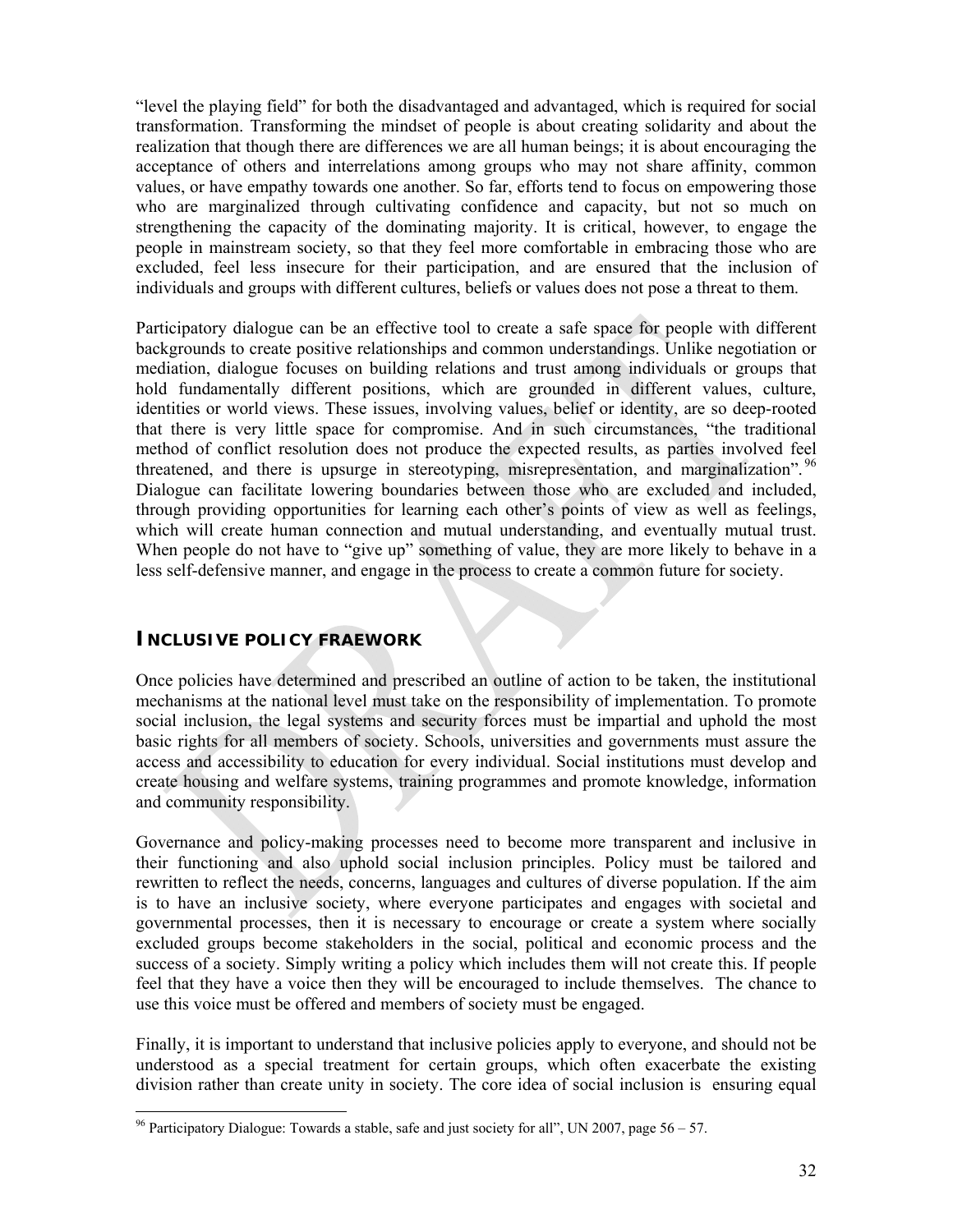"level the playing field" for both the disadvantaged and advantaged, which is required for social transformation. Transforming the mindset of people is about creating solidarity and about the realization that though there are differences we are all human beings; it is about encouraging the acceptance of others and interrelations among groups who may not share affinity, common values, or have empathy towards one another. So far, efforts tend to focus on empowering those who are marginalized through cultivating confidence and capacity, but not so much on strengthening the capacity of the dominating majority. It is critical, however, to engage the people in mainstream society, so that they feel more comfortable in embracing those who are excluded, feel less insecure for their participation, and are ensured that the inclusion of individuals and groups with different cultures, beliefs or values does not pose a threat to them.

Participatory dialogue can be an effective tool to create a safe space for people with different backgrounds to create positive relationships and common understandings. Unlike negotiation or mediation, dialogue focuses on building relations and trust among individuals or groups that hold fundamentally different positions, which are grounded in different values, culture, identities or world views. These issues, involving values, belief or identity, are so deep-rooted that there is very little space for compromise. And in such circumstances, "the traditional method of conflict resolution does not produce the expected results, as parties involved feel threatened, and there is upsurge in stereotyping, misrepresentation, and marginalization". <sup>96</sup> Dialogue can facilitate lowering boundaries between those who are excluded and included, through providing opportunities for learning each other's points of view as well as feelings, which will create human connection and mutual understanding, and eventually mutual trust. When people do not have to "give up" something of value, they are more likely to behave in a less self-defensive manner, and engage in the process to create a common future for society.

# **INCLUSIVE POLICY FRAEWORK**

Once policies have determined and prescribed an outline of action to be taken, the institutional mechanisms at the national level must take on the responsibility of implementation. To promote social inclusion, the legal systems and security forces must be impartial and uphold the most basic rights for all members of society. Schools, universities and governments must assure the access and accessibility to education for every individual. Social institutions must develop and create housing and welfare systems, training programmes and promote knowledge, information and community responsibility.

Governance and policy-making processes need to become more transparent and inclusive in their functioning and also uphold social inclusion principles. Policy must be tailored and rewritten to reflect the needs, concerns, languages and cultures of diverse population. If the aim is to have an inclusive society, where everyone participates and engages with societal and governmental processes, then it is necessary to encourage or create a system where socially excluded groups become stakeholders in the social, political and economic process and the success of a society. Simply writing a policy which includes them will not create this. If people feel that they have a voice then they will be encouraged to include themselves. The chance to use this voice must be offered and members of society must be engaged.

Finally, it is important to understand that inclusive policies apply to everyone, and should not be understood as a special treatment for certain groups, which often exacerbate the existing division rather than create unity in society. The core idea of social inclusion is ensuring equal

<sup>-</sup><sup>96</sup> Participatory Dialogue: Towards a stable, safe and just society for all", UN 2007, page 56 – 57.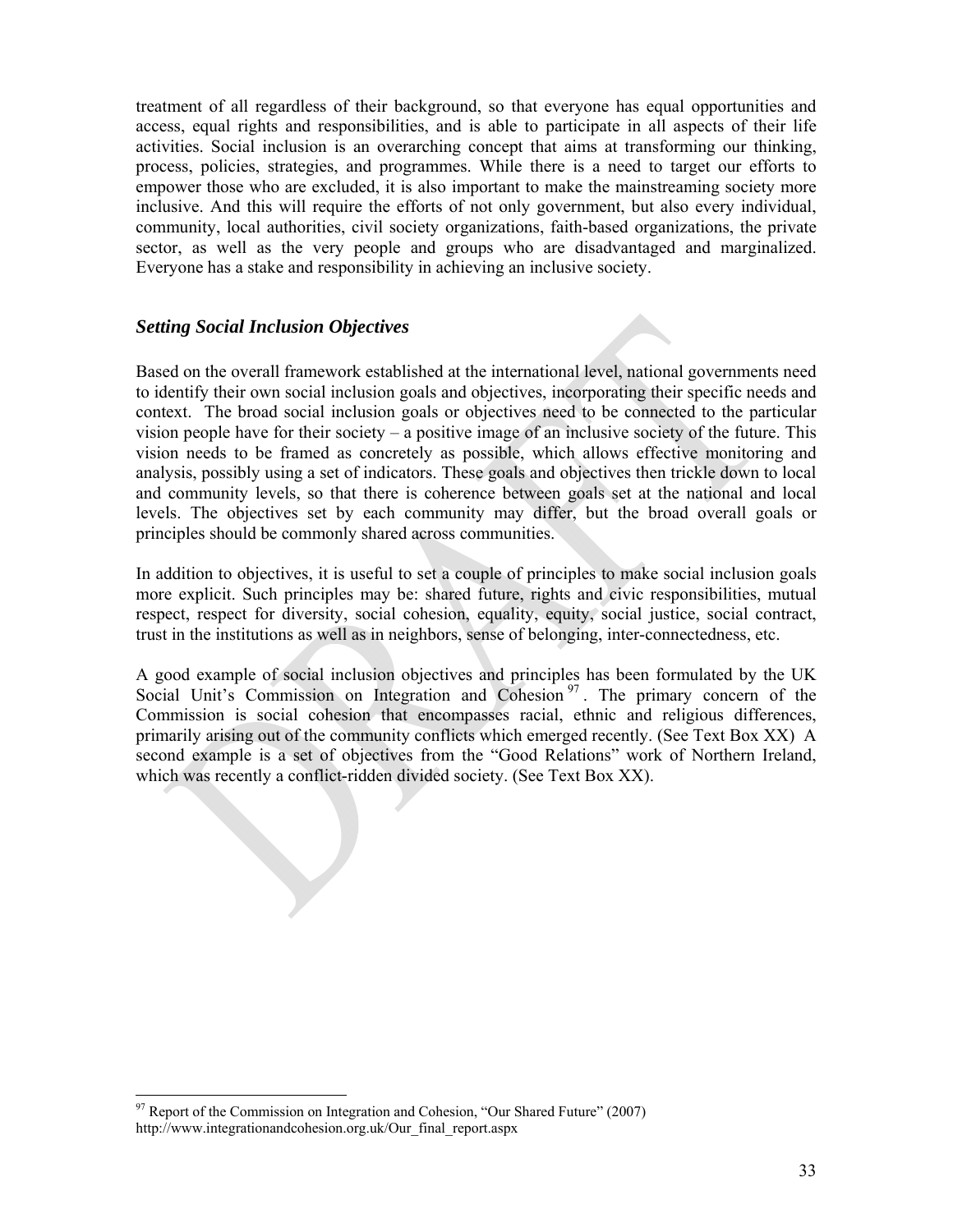treatment of all regardless of their background, so that everyone has equal opportunities and access, equal rights and responsibilities, and is able to participate in all aspects of their life activities. Social inclusion is an overarching concept that aims at transforming our thinking, process, policies, strategies, and programmes. While there is a need to target our efforts to empower those who are excluded, it is also important to make the mainstreaming society more inclusive. And this will require the efforts of not only government, but also every individual, community, local authorities, civil society organizations, faith-based organizations, the private sector, as well as the very people and groups who are disadvantaged and marginalized. Everyone has a stake and responsibility in achieving an inclusive society.

## *Setting Social Inclusion Objectives*

Based on the overall framework established at the international level, national governments need to identify their own social inclusion goals and objectives, incorporating their specific needs and context. The broad social inclusion goals or objectives need to be connected to the particular vision people have for their society – a positive image of an inclusive society of the future. This vision needs to be framed as concretely as possible, which allows effective monitoring and analysis, possibly using a set of indicators. These goals and objectives then trickle down to local and community levels, so that there is coherence between goals set at the national and local levels. The objectives set by each community may differ, but the broad overall goals or principles should be commonly shared across communities.

In addition to objectives, it is useful to set a couple of principles to make social inclusion goals more explicit. Such principles may be: shared future, rights and civic responsibilities, mutual respect, respect for diversity, social cohesion, equality, equity, social justice, social contract, trust in the institutions as well as in neighbors, sense of belonging, inter-connectedness, etc.

A good example of social inclusion objectives and principles has been formulated by the UK Social Unit's Commission on Integration and Cohesion<sup>97</sup>. The primary concern of the Commission is social cohesion that encompasses racial, ethnic and religious differences, primarily arising out of the community conflicts which emerged recently. (See Text Box XX) A second example is a set of objectives from the "Good Relations" work of Northern Ireland, which was recently a conflict-ridden divided society. (See Text Box XX).

 $97$  Report of the Commission on Integration and Cohesion, "Our Shared Future" (2007) http://www.integrationandcohesion.org.uk/Our\_final\_report.aspx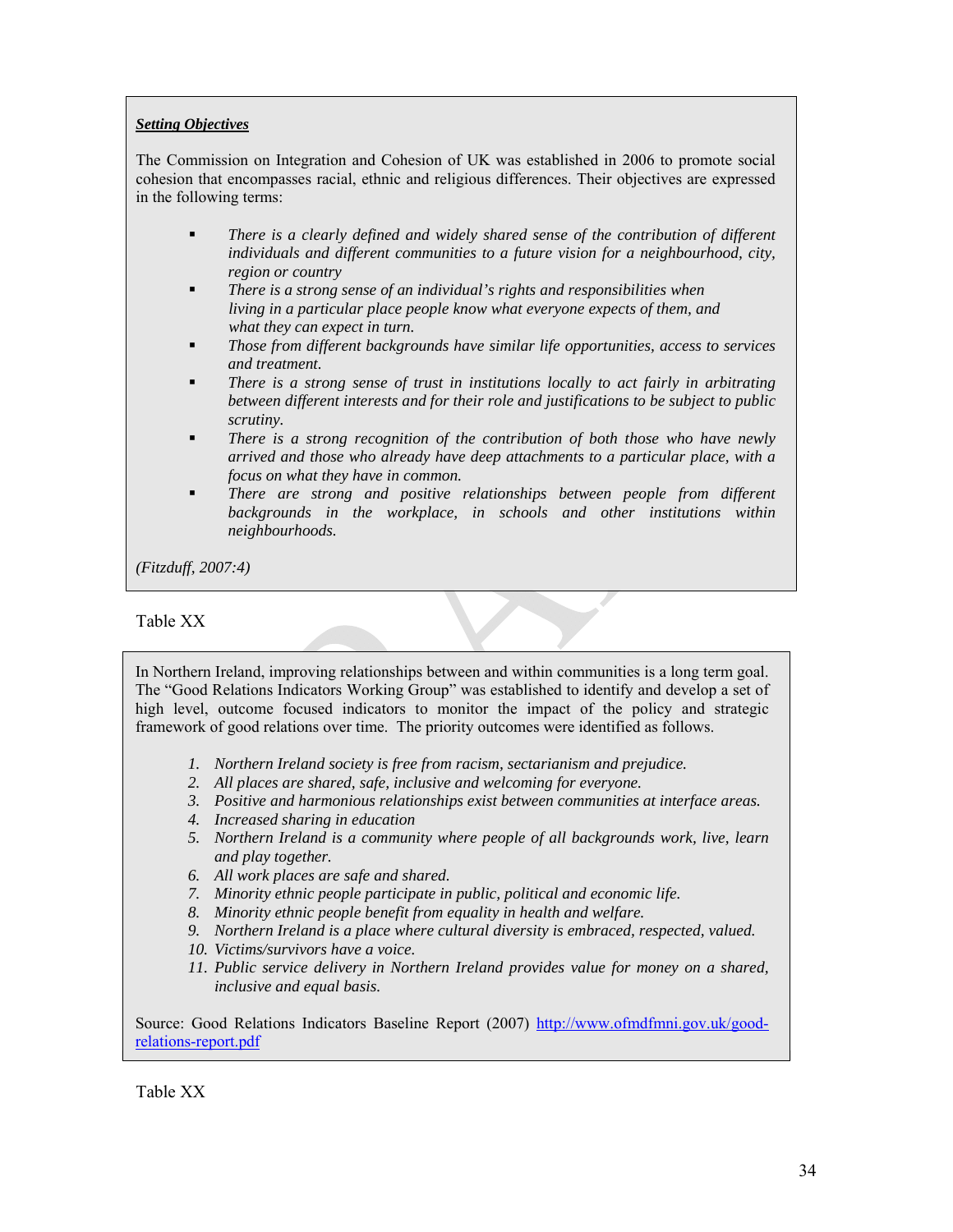#### *Setting Objectives*

The Commission on Integration and Cohesion of UK was established in 2006 to promote social cohesion that encompasses racial, ethnic and religious differences. Their objectives are expressed in the following terms:

- *There is a clearly defined and widely shared sense of the contribution of different individuals and different communities to a future vision for a neighbourhood, city, region or country*
- *There is a strong sense of an individual's rights and responsibilities when living in a particular place people know what everyone expects of them, and what they can expect in turn.*
- *Those from different backgrounds have similar life opportunities, access to services and treatment.*
- *There is a strong sense of trust in institutions locally to act fairly in arbitrating between different interests and for their role and justifications to be subject to public scrutiny.*
- *There is a strong recognition of the contribution of both those who have newly arrived and those who already have deep attachments to a particular place, with a focus on what they have in common.*
- *There are strong and positive relationships between people from different backgrounds in the workplace, in schools and other institutions within neighbourhoods.*

*(Fitzduff, 2007:4)*

Table XX

In Northern Ireland, improving relationships between and within communities is a long term goal. The "Good Relations Indicators Working Group" was established to identify and develop a set of high level, outcome focused indicators to monitor the impact of the policy and strategic framework of good relations over time. The priority outcomes were identified as follows.

- *1. Northern Ireland society is free from racism, sectarianism and prejudice.*
- *2. All places are shared, safe, inclusive and welcoming for everyone.*
- *3. Positive and harmonious relationships exist between communities at interface areas.*
- *4. Increased sharing in education*
- *5. Northern Ireland is a community where people of all backgrounds work, live, learn and play together.*
- *6. All work places are safe and shared.*
- *7. Minority ethnic people participate in public, political and economic life.*
- *8. Minority ethnic people benefit from equality in health and welfare.*
- *9. Northern Ireland is a place where cultural diversity is embraced, respected, valued.*
- *10. Victims/survivors have a voice.*
- *11. Public service delivery in Northern Ireland provides value for money on a shared, inclusive and equal basis.*

Source: Good Relations Indicators Baseline Report (2007) http://www.ofmdfmni.gov.uk/goodrelations-report.pdf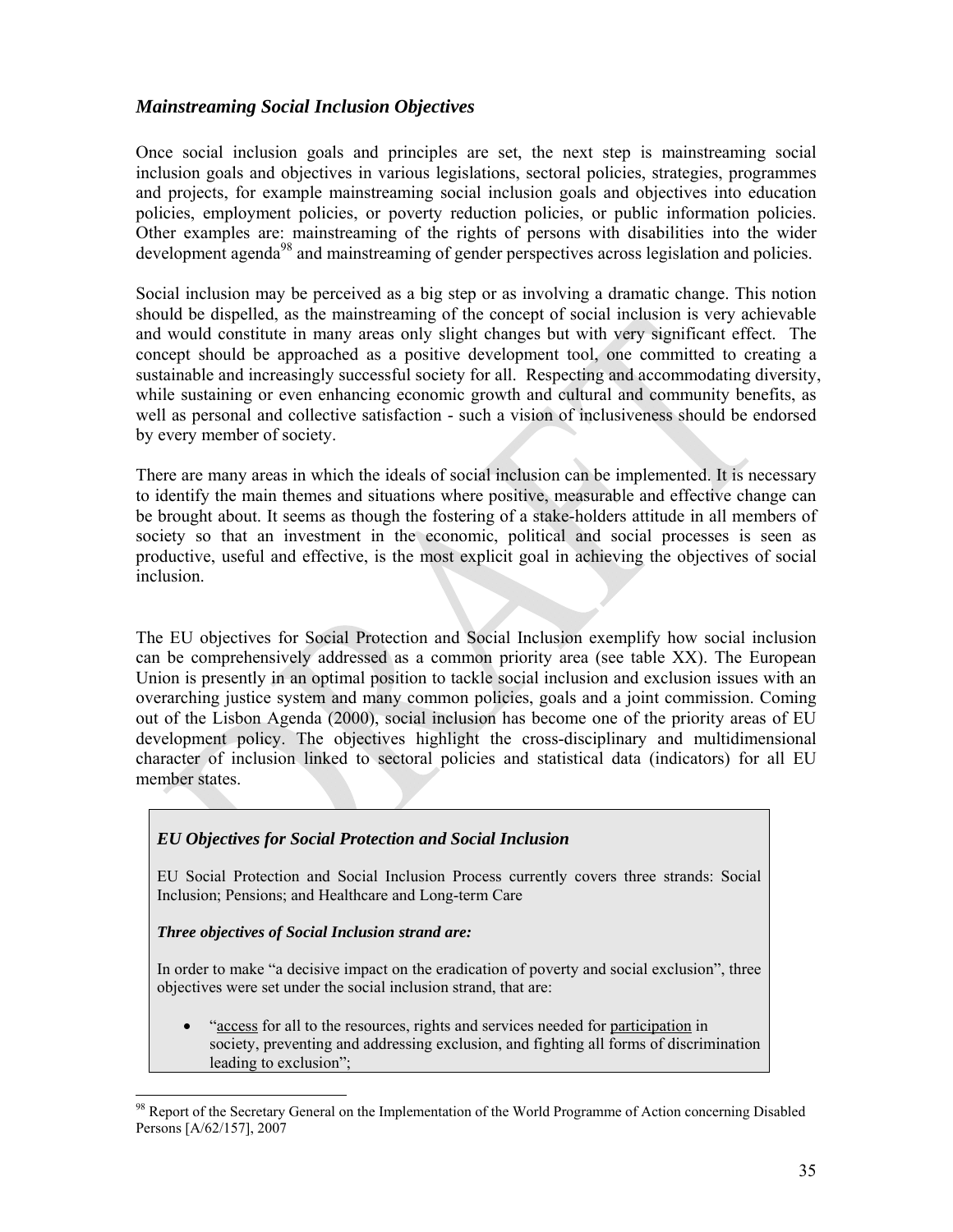# *Mainstreaming Social Inclusion Objectives*

Once social inclusion goals and principles are set, the next step is mainstreaming social inclusion goals and objectives in various legislations, sectoral policies, strategies, programmes and projects, for example mainstreaming social inclusion goals and objectives into education policies, employment policies, or poverty reduction policies, or public information policies. Other examples are: mainstreaming of the rights of persons with disabilities into the wider development agenda<sup>98</sup> and mainstreaming of gender perspectives across legislation and policies.

Social inclusion may be perceived as a big step or as involving a dramatic change. This notion should be dispelled, as the mainstreaming of the concept of social inclusion is very achievable and would constitute in many areas only slight changes but with very significant effect. The concept should be approached as a positive development tool, one committed to creating a sustainable and increasingly successful society for all. Respecting and accommodating diversity, while sustaining or even enhancing economic growth and cultural and community benefits, as well as personal and collective satisfaction - such a vision of inclusiveness should be endorsed by every member of society.

There are many areas in which the ideals of social inclusion can be implemented. It is necessary to identify the main themes and situations where positive, measurable and effective change can be brought about. It seems as though the fostering of a stake-holders attitude in all members of society so that an investment in the economic, political and social processes is seen as productive, useful and effective, is the most explicit goal in achieving the objectives of social inclusion.

The EU objectives for Social Protection and Social Inclusion exemplify how social inclusion can be comprehensively addressed as a common priority area (see table XX). The European Union is presently in an optimal position to tackle social inclusion and exclusion issues with an overarching justice system and many common policies, goals and a joint commission. Coming out of the Lisbon Agenda (2000), social inclusion has become one of the priority areas of EU development policy. The objectives highlight the cross-disciplinary and multidimensional character of inclusion linked to sectoral policies and statistical data (indicators) for all EU member states.

## *EU Objectives for Social Protection and Social Inclusion*

EU Social Protection and Social Inclusion Process currently covers three strands: Social Inclusion; Pensions; and Healthcare and Long-term Care

#### *Three objectives of Social Inclusion strand are:*

-

In order to make "a decisive impact on the eradication of poverty and social exclusion", three objectives were set under the social inclusion strand, that are:

• "access for all to the resources, rights and services needed for participation in society, preventing and addressing exclusion, and fighting all forms of discrimination leading to exclusion";

Report of the Secretary General on the Implementation of the World Programme of Action concerning Disabled Persons [A/62/157], 2007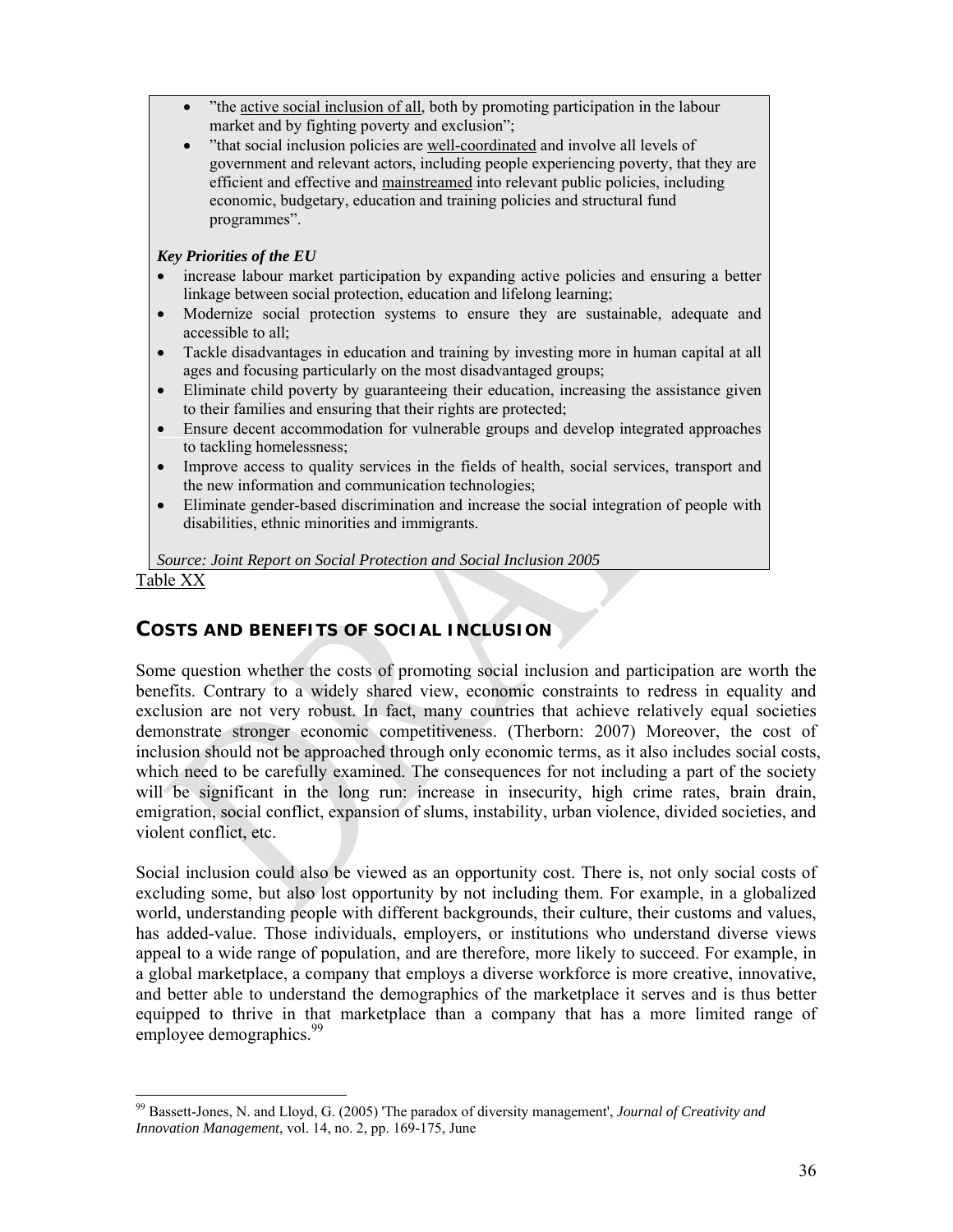- "the active social inclusion of all, both by promoting participation in the labour market and by fighting poverty and exclusion";
- "that social inclusion policies are well-coordinated and involve all levels of government and relevant actors, including people experiencing poverty, that they are efficient and effective and mainstreamed into relevant public policies, including economic, budgetary, education and training policies and structural fund programmes".

#### *Key Priorities of the EU*

- increase labour market participation by expanding active policies and ensuring a better linkage between social protection, education and lifelong learning;
- Modernize social protection systems to ensure they are sustainable, adequate and accessible to all;
- Tackle disadvantages in education and training by investing more in human capital at all ages and focusing particularly on the most disadvantaged groups;
- Eliminate child poverty by guaranteeing their education, increasing the assistance given to their families and ensuring that their rights are protected;
- Ensure decent accommodation for vulnerable groups and develop integrated approaches to tackling homelessness;
- Improve access to quality services in the fields of health, social services, transport and the new information and communication technologies;
- Eliminate gender-based discrimination and increase the social integration of people with disabilities, ethnic minorities and immigrants.

*Source: Joint Report on Social Protection and Social Inclusion 2005* 

Table XX

-

# **COSTS AND BENEFITS OF SOCIAL INCLUSION**

Some question whether the costs of promoting social inclusion and participation are worth the benefits. Contrary to a widely shared view, economic constraints to redress in equality and exclusion are not very robust. In fact, many countries that achieve relatively equal societies demonstrate stronger economic competitiveness. (Therborn: 2007) Moreover, the cost of inclusion should not be approached through only economic terms, as it also includes social costs, which need to be carefully examined. The consequences for not including a part of the society will be significant in the long run: increase in insecurity, high crime rates, brain drain, emigration, social conflict, expansion of slums, instability, urban violence, divided societies, and violent conflict, etc.

Social inclusion could also be viewed as an opportunity cost. There is, not only social costs of excluding some, but also lost opportunity by not including them. For example, in a globalized world, understanding people with different backgrounds, their culture, their customs and values, has added-value. Those individuals, employers, or institutions who understand diverse views appeal to a wide range of population, and are therefore, more likely to succeed. For example, in a global marketplace, a company that employs a diverse workforce is more creative, innovative, and better able to understand the demographics of the marketplace it serves and is thus better equipped to thrive in that marketplace than a company that has a more limited range of employee demographics.<sup>99</sup>

<sup>99</sup> Bassett-Jones, N. and Lloyd, G. (2005) 'The paradox of diversity management', *Journal of Creativity and Innovation Management*, vol. 14, no. 2, pp. 169-175, June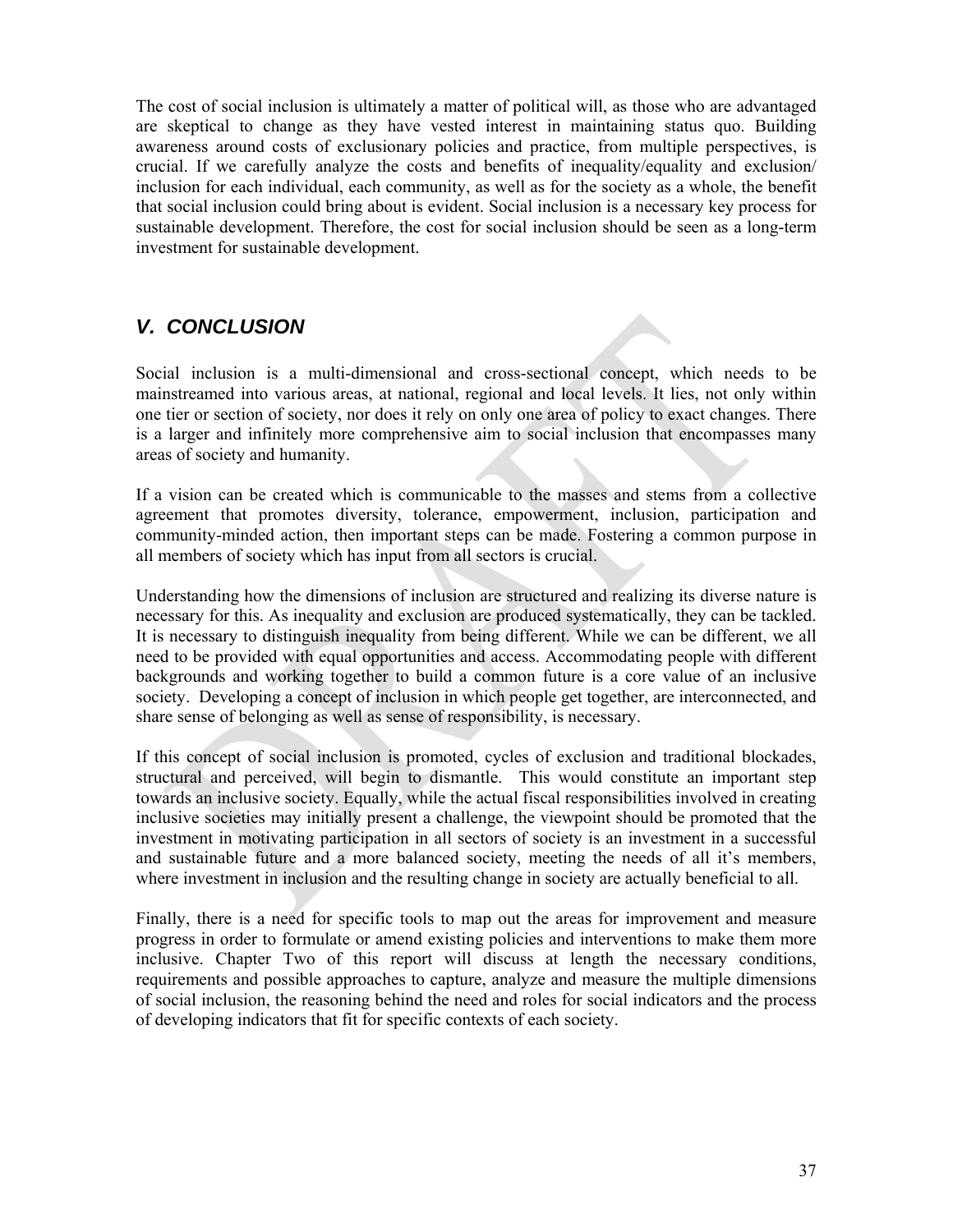The cost of social inclusion is ultimately a matter of political will, as those who are advantaged are skeptical to change as they have vested interest in maintaining status quo. Building awareness around costs of exclusionary policies and practice, from multiple perspectives, is crucial. If we carefully analyze the costs and benefits of inequality/equality and exclusion/ inclusion for each individual, each community, as well as for the society as a whole, the benefit that social inclusion could bring about is evident. Social inclusion is a necessary key process for sustainable development. Therefore, the cost for social inclusion should be seen as a long-term investment for sustainable development.

# *V. CONCLUSION*

Social inclusion is a multi-dimensional and cross-sectional concept, which needs to be mainstreamed into various areas, at national, regional and local levels. It lies, not only within one tier or section of society, nor does it rely on only one area of policy to exact changes. There is a larger and infinitely more comprehensive aim to social inclusion that encompasses many areas of society and humanity.

If a vision can be created which is communicable to the masses and stems from a collective agreement that promotes diversity, tolerance, empowerment, inclusion, participation and community-minded action, then important steps can be made. Fostering a common purpose in all members of society which has input from all sectors is crucial.

Understanding how the dimensions of inclusion are structured and realizing its diverse nature is necessary for this. As inequality and exclusion are produced systematically, they can be tackled. It is necessary to distinguish inequality from being different. While we can be different, we all need to be provided with equal opportunities and access. Accommodating people with different backgrounds and working together to build a common future is a core value of an inclusive society. Developing a concept of inclusion in which people get together, are interconnected, and share sense of belonging as well as sense of responsibility, is necessary.

If this concept of social inclusion is promoted, cycles of exclusion and traditional blockades, structural and perceived, will begin to dismantle. This would constitute an important step towards an inclusive society. Equally, while the actual fiscal responsibilities involved in creating inclusive societies may initially present a challenge, the viewpoint should be promoted that the investment in motivating participation in all sectors of society is an investment in a successful and sustainable future and a more balanced society, meeting the needs of all it's members, where investment in inclusion and the resulting change in society are actually beneficial to all.

Finally, there is a need for specific tools to map out the areas for improvement and measure progress in order to formulate or amend existing policies and interventions to make them more inclusive. Chapter Two of this report will discuss at length the necessary conditions, requirements and possible approaches to capture, analyze and measure the multiple dimensions of social inclusion, the reasoning behind the need and roles for social indicators and the process of developing indicators that fit for specific contexts of each society.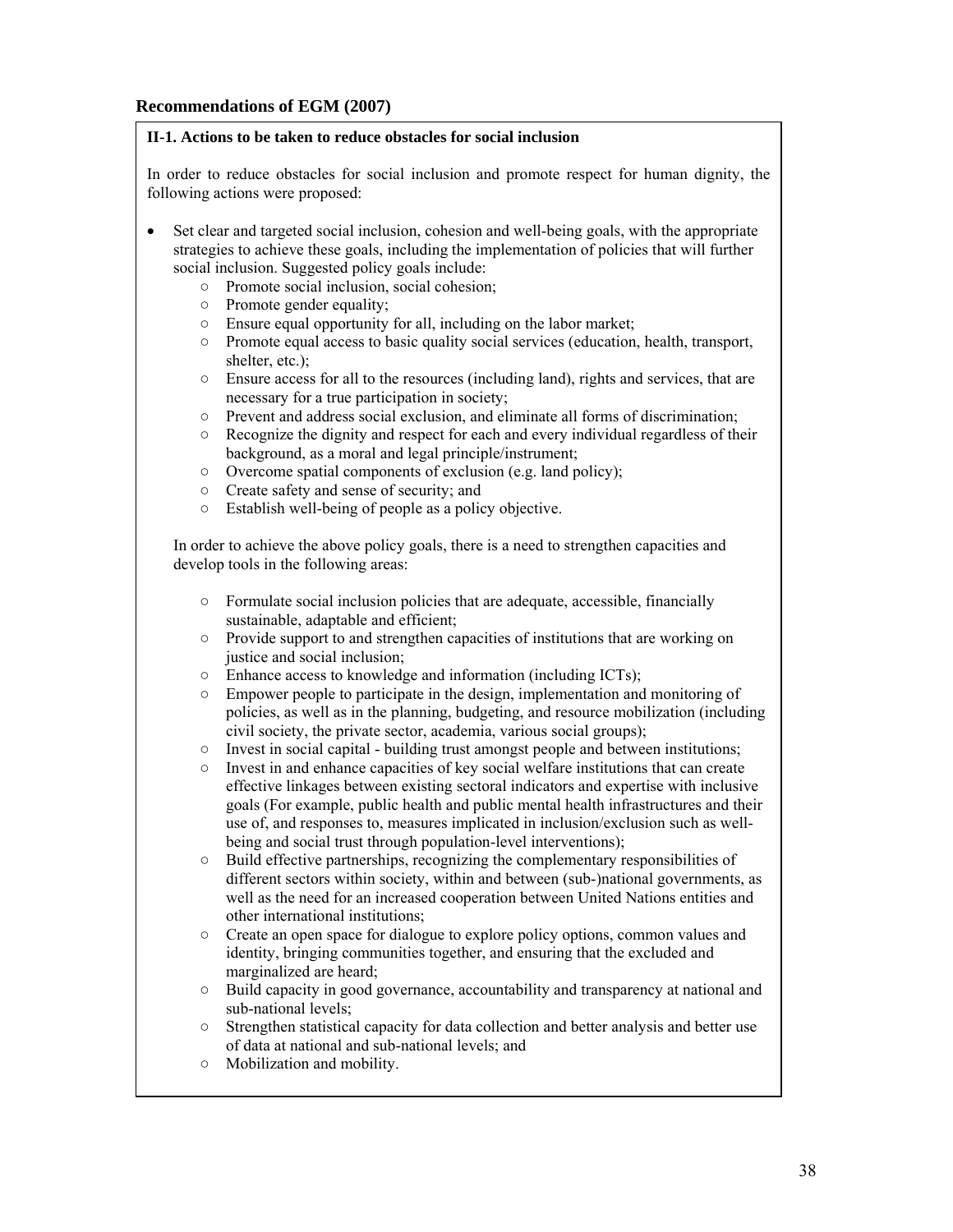#### **Recommendations of EGM (2007)**

#### **II-1. Actions to be taken to reduce obstacles for social inclusion**

In order to reduce obstacles for social inclusion and promote respect for human dignity, the following actions were proposed:

• Set clear and targeted social inclusion, cohesion and well-being goals, with the appropriate strategies to achieve these goals, including the implementation of policies that will further social inclusion. Suggested policy goals include:

- Promote social inclusion, social cohesion;
- Promote gender equality;
- Ensure equal opportunity for all, including on the labor market;
- Promote equal access to basic quality social services (education, health, transport, shelter, etc.);
- $\circ$  Ensure access for all to the resources (including land), rights and services, that are necessary for a true participation in society;
- Prevent and address social exclusion, and eliminate all forms of discrimination;
- Recognize the dignity and respect for each and every individual regardless of their background, as a moral and legal principle/instrument;
- Overcome spatial components of exclusion (e.g. land policy);
- Create safety and sense of security; and
- Establish well-being of people as a policy objective.

In order to achieve the above policy goals, there is a need to strengthen capacities and develop tools in the following areas:

- Formulate social inclusion policies that are adequate, accessible, financially sustainable, adaptable and efficient;
- Provide support to and strengthen capacities of institutions that are working on justice and social inclusion;
- Enhance access to knowledge and information (including ICTs);
- Empower people to participate in the design, implementation and monitoring of policies, as well as in the planning, budgeting, and resource mobilization (including civil society, the private sector, academia, various social groups);
- Invest in social capital building trust amongst people and between institutions;
- Invest in and enhance capacities of key social welfare institutions that can create effective linkages between existing sectoral indicators and expertise with inclusive goals (For example, public health and public mental health infrastructures and their use of, and responses to, measures implicated in inclusion/exclusion such as wellbeing and social trust through population-level interventions);
- Build effective partnerships, recognizing the complementary responsibilities of different sectors within society, within and between (sub-)national governments, as well as the need for an increased cooperation between United Nations entities and other international institutions;
- Create an open space for dialogue to explore policy options, common values and identity, bringing communities together, and ensuring that the excluded and marginalized are heard;
- Build capacity in good governance, accountability and transparency at national and sub-national levels;
- Strengthen statistical capacity for data collection and better analysis and better use of data at national and sub-national levels; and
- Mobilization and mobility.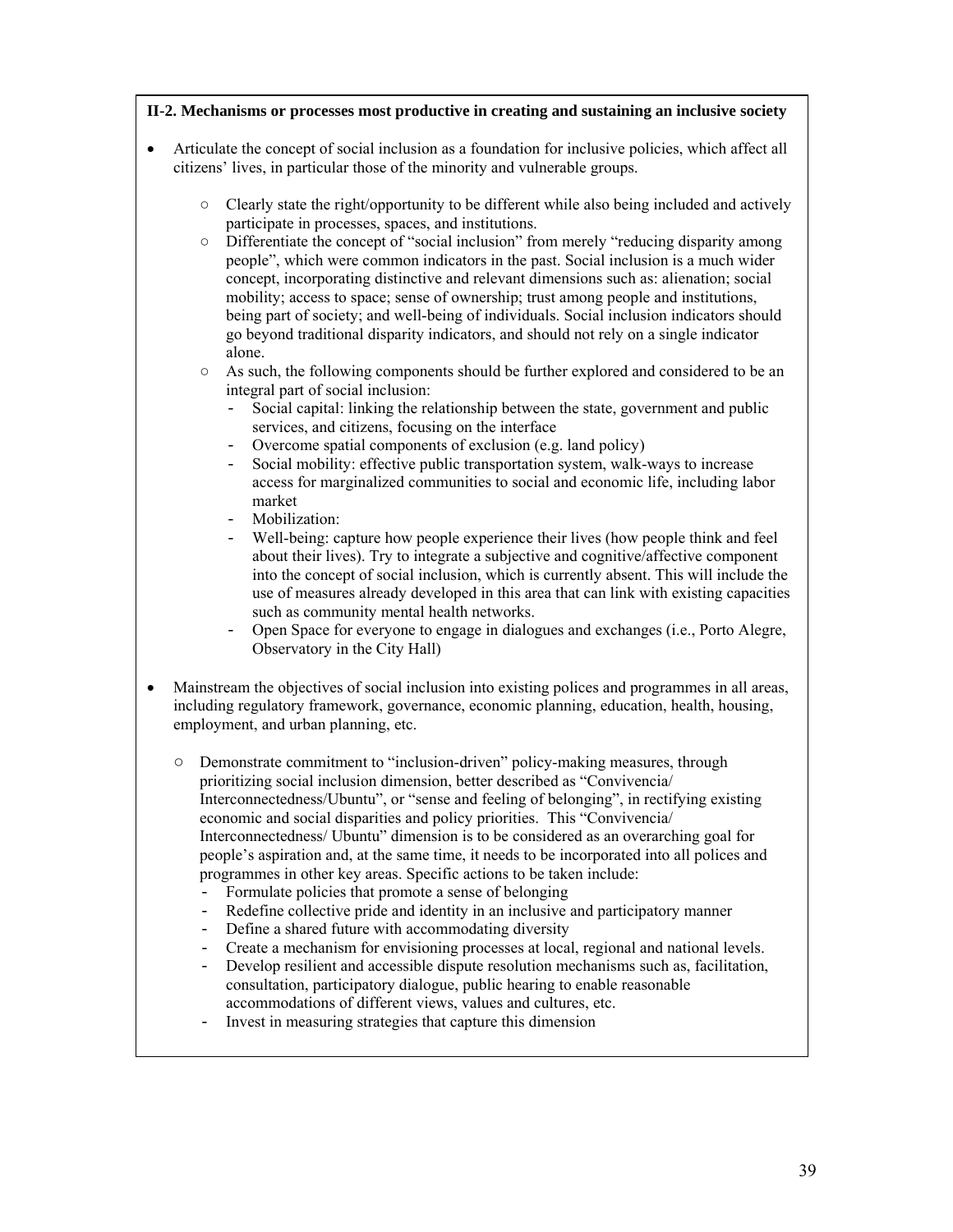#### **II-2. Mechanisms or processes most productive in creating and sustaining an inclusive society**

- Articulate the concept of social inclusion as a foundation for inclusive policies, which affect all citizens' lives, in particular those of the minority and vulnerable groups.
	- Clearly state the right/opportunity to be different while also being included and actively participate in processes, spaces, and institutions.
	- Differentiate the concept of "social inclusion" from merely "reducing disparity among people", which were common indicators in the past. Social inclusion is a much wider concept, incorporating distinctive and relevant dimensions such as: alienation; social mobility; access to space; sense of ownership; trust among people and institutions, being part of society; and well-being of individuals. Social inclusion indicators should go beyond traditional disparity indicators, and should not rely on a single indicator alone.

 $\circ$  As such, the following components should be further explored and considered to be an integral part of social inclusion:

- Social capital: linking the relationship between the state, government and public services, and citizens, focusing on the interface
- Overcome spatial components of exclusion (e.g. land policy)
- Social mobility: effective public transportation system, walk-ways to increase access for marginalized communities to social and economic life, including labor market
- Mobilization:
- Well-being: capture how people experience their lives (how people think and feel about their lives). Try to integrate a subjective and cognitive/affective component into the concept of social inclusion, which is currently absent. This will include the use of measures already developed in this area that can link with existing capacities such as community mental health networks.
- Open Space for everyone to engage in dialogues and exchanges (i.e., Porto Alegre, Observatory in the City Hall)
- Mainstream the objectives of social inclusion into existing polices and programmes in all areas, including regulatory framework, governance, economic planning, education, health, housing, employment, and urban planning, etc.
	- Demonstrate commitment to "inclusion-driven" policy-making measures, through prioritizing social inclusion dimension, better described as "Convivencia/ Interconnectedness/Ubuntu", or "sense and feeling of belonging", in rectifying existing economic and social disparities and policy priorities. This "Convivencia/ Interconnectedness/ Ubuntu" dimension is to be considered as an overarching goal for people's aspiration and, at the same time, it needs to be incorporated into all polices and programmes in other key areas. Specific actions to be taken include:
		- Formulate policies that promote a sense of belonging
		- Redefine collective pride and identity in an inclusive and participatory manner
		- Define a shared future with accommodating diversity
		- Create a mechanism for envisioning processes at local, regional and national levels.
		- Develop resilient and accessible dispute resolution mechanisms such as, facilitation, consultation, participatory dialogue, public hearing to enable reasonable accommodations of different views, values and cultures, etc.
		- Invest in measuring strategies that capture this dimension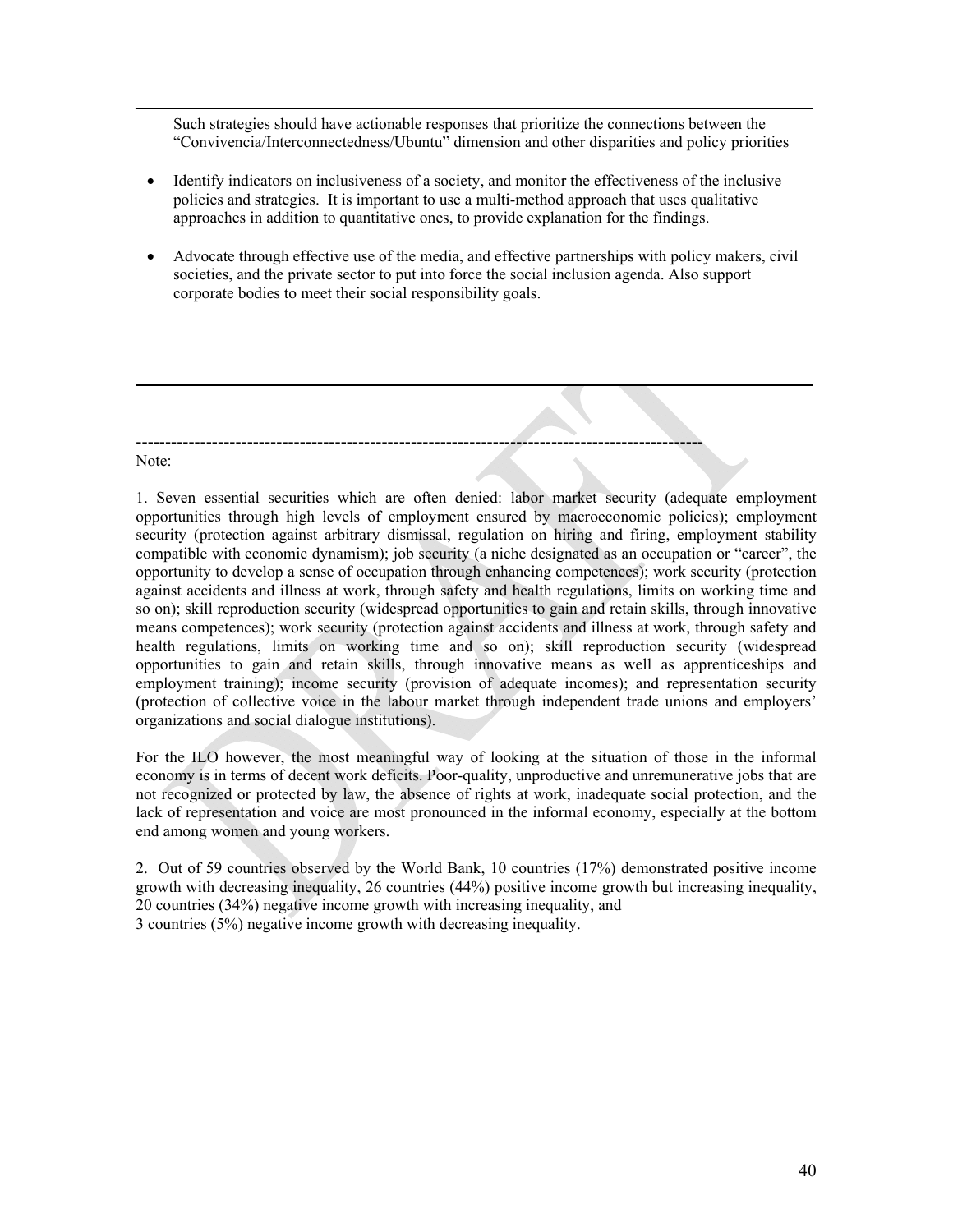Such strategies should have actionable responses that prioritize the connections between the "Convivencia/Interconnectedness/Ubuntu" dimension and other disparities and policy priorities

- Identify indicators on inclusiveness of a society, and monitor the effectiveness of the inclusive policies and strategies. It is important to use a multi-method approach that uses qualitative approaches in addition to quantitative ones, to provide explanation for the findings.
- Advocate through effective use of the media, and effective partnerships with policy makers, civil societies, and the private sector to put into force the social inclusion agenda. Also support corporate bodies to meet their social responsibility goals.

-------------------------------------------------------------------------------------------------

Note:

 $\overline{\phantom{a}}$ 

1. Seven essential securities which are often denied: labor market security (adequate employment opportunities through high levels of employment ensured by macroeconomic policies); employment security (protection against arbitrary dismissal, regulation on hiring and firing, employment stability compatible with economic dynamism); job security (a niche designated as an occupation or "career", the opportunity to develop a sense of occupation through enhancing competences); work security (protection against accidents and illness at work, through safety and health regulations, limits on working time and so on); skill reproduction security (widespread opportunities to gain and retain skills, through innovative means competences); work security (protection against accidents and illness at work, through safety and health regulations, limits on working time and so on); skill reproduction security (widespread opportunities to gain and retain skills, through innovative means as well as apprenticeships and employment training); income security (provision of adequate incomes); and representation security (protection of collective voice in the labour market through independent trade unions and employers' organizations and social dialogue institutions).

For the ILO however, the most meaningful way of looking at the situation of those in the informal economy is in terms of decent work deficits. Poor-quality, unproductive and unremunerative jobs that are not recognized or protected by law, the absence of rights at work, inadequate social protection, and the lack of representation and voice are most pronounced in the informal economy, especially at the bottom end among women and young workers.

2. Out of 59 countries observed by the World Bank, 10 countries (17%) demonstrated positive income growth with decreasing inequality, 26 countries (44%) positive income growth but increasing inequality, 20 countries (34%) negative income growth with increasing inequality, and 3 countries (5%) negative income growth with decreasing inequality.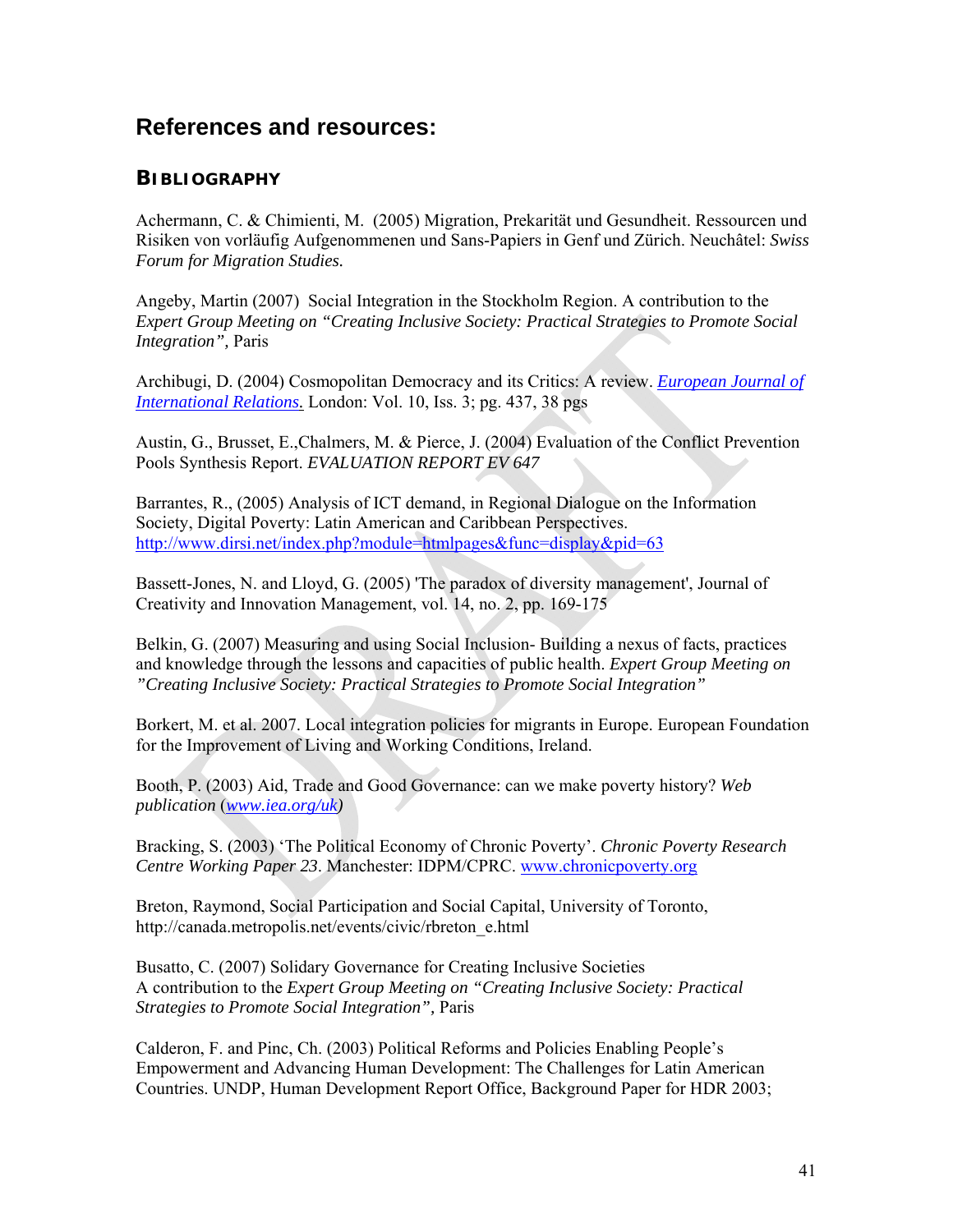# **References and resources:**

# **BIBLIOGRAPHY**

Achermann, C. & Chimienti, M. (2005) Migration, Prekarität und Gesundheit. Ressourcen und Risiken von vorläufig Aufgenommenen und Sans-Papiers in Genf und Zürich. Neuchâtel: *Swiss Forum for Migration Studies.* 

Angeby, Martin (2007) Social Integration in the Stockholm Region. A contribution to the *Expert Group Meeting on "Creating Inclusive Society: Practical Strategies to Promote Social Integration",* Paris

Archibugi, D. (2004) Cosmopolitan Democracy and its Critics: A review. *European Journal of International Relations.* London: Vol. 10, Iss. 3; pg. 437, 38 pgs

Austin, G., Brusset, E.,Chalmers, M. & Pierce, J. (2004) Evaluation of the Conflict Prevention Pools Synthesis Report. *EVALUATION REPORT EV 647*

Barrantes, R., (2005) Analysis of ICT demand, in Regional Dialogue on the Information Society, Digital Poverty: Latin American and Caribbean Perspectives. http://www.dirsi.net/index.php?module=htmlpages&func=display&pid=63

Bassett-Jones, N. and Lloyd, G. (2005) 'The paradox of diversity management', Journal of Creativity and Innovation Management, vol. 14, no. 2, pp. 169-175

Belkin, G. (2007) Measuring and using Social Inclusion- Building a nexus of facts, practices and knowledge through the lessons and capacities of public health. *Expert Group Meeting on "Creating Inclusive Society: Practical Strategies to Promote Social Integration"* 

Borkert, M. et al. 2007. Local integration policies for migrants in Europe. European Foundation for the Improvement of Living and Working Conditions, Ireland.

Booth, P. (2003) Aid, Trade and Good Governance: can we make poverty history? *Web publication* (*www.iea.org/uk)* 

Bracking, S. (2003) 'The Political Economy of Chronic Poverty'. *Chronic Poverty Research Centre Working Paper 23*. Manchester: IDPM/CPRC. www.chronicpoverty.org

Breton, Raymond, Social Participation and Social Capital, University of Toronto, http://canada.metropolis.net/events/civic/rbreton\_e.html

Busatto, C. (2007) Solidary Governance for Creating Inclusive Societies A contribution to the *Expert Group Meeting on "Creating Inclusive Society: Practical Strategies to Promote Social Integration",* Paris

Calderon, F. and Pinc, Ch. (2003) Political Reforms and Policies Enabling People's Empowerment and Advancing Human Development: The Challenges for Latin American Countries. UNDP, Human Development Report Office, Background Paper for HDR 2003;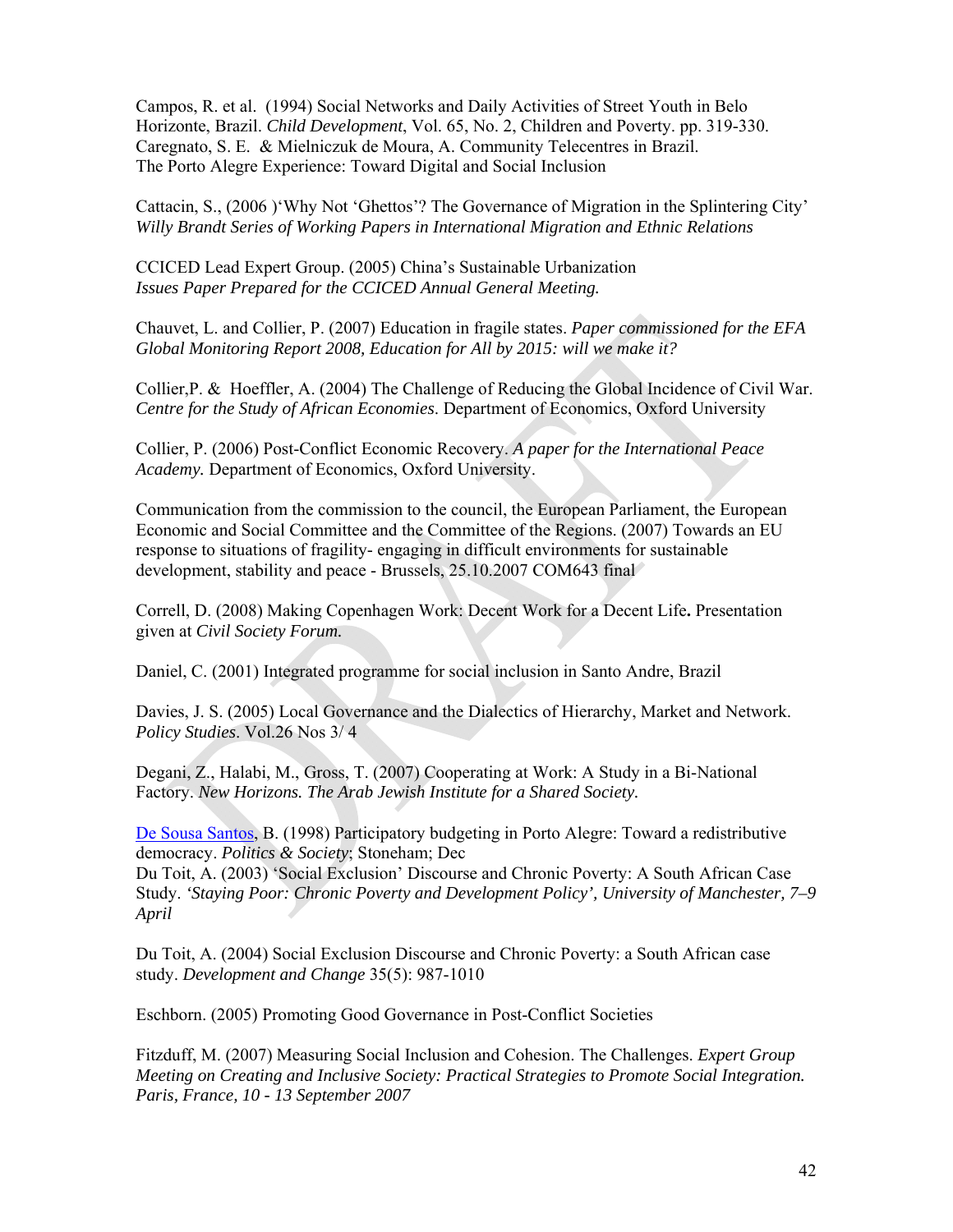Campos, R. et al. (1994) Social Networks and Daily Activities of Street Youth in Belo Horizonte, Brazil. *Child Development*, Vol. 65, No. 2, Children and Poverty. pp. 319-330. Caregnato, S. E. & Mielniczuk de Moura, A. Community Telecentres in Brazil. The Porto Alegre Experience: Toward Digital and Social Inclusion

Cattacin, S., (2006 )'Why Not 'Ghettos'? The Governance of Migration in the Splintering City' *Willy Brandt Series of Working Papers in International Migration and Ethnic Relations* 

CCICED Lead Expert Group. (2005) China's Sustainable Urbanization *Issues Paper Prepared for the CCICED Annual General Meeting.* 

Chauvet, L. and Collier, P. (2007) Education in fragile states. *Paper commissioned for the EFA Global Monitoring Report 2008, Education for All by 2015: will we make it?* 

Collier,P. & Hoeffler, A. (2004) The Challenge of Reducing the Global Incidence of Civil War. *Centre for the Study of African Economies*. Department of Economics, Oxford University

Collier, P. (2006) Post-Conflict Economic Recovery. *A paper for the International Peace Academy.* Department of Economics, Oxford University.

Communication from the commission to the council, the European Parliament, the European Economic and Social Committee and the Committee of the Regions. (2007) Towards an EU response to situations of fragility- engaging in difficult environments for sustainable development, stability and peace - Brussels, 25.10.2007 COM643 final

Correll, D. (2008) Making Copenhagen Work: Decent Work for a Decent Life**.** Presentation given at *Civil Society Forum.* 

Daniel, C. (2001) Integrated programme for social inclusion in Santo Andre, Brazil

Davies, J. S. (2005) Local Governance and the Dialectics of Hierarchy, Market and Network. *Policy Studies*. Vol.26 Nos 3/ 4

Degani, Z., Halabi, M., Gross, T. (2007) Cooperating at Work: A Study in a Bi-National Factory. *New Horizons. The Arab Jewish Institute for a Shared Society.* 

De Sousa Santos, B. (1998) Participatory budgeting in Porto Alegre: Toward a redistributive democracy. *Politics & Society*; Stoneham; Dec

Du Toit, A. (2003) 'Social Exclusion' Discourse and Chronic Poverty: A South African Case Study. *'Staying Poor: Chronic Poverty and Development Policy', University of Manchester, 7–9 April* 

Du Toit, A. (2004) Social Exclusion Discourse and Chronic Poverty: a South African case study. *Development and Change* 35(5): 987-1010

Eschborn. (2005) Promoting Good Governance in Post-Conflict Societies

Fitzduff, M. (2007) Measuring Social Inclusion and Cohesion. The Challenges. *Expert Group Meeting on Creating and Inclusive Society: Practical Strategies to Promote Social Integration. Paris, France, 10 - 13 September 2007*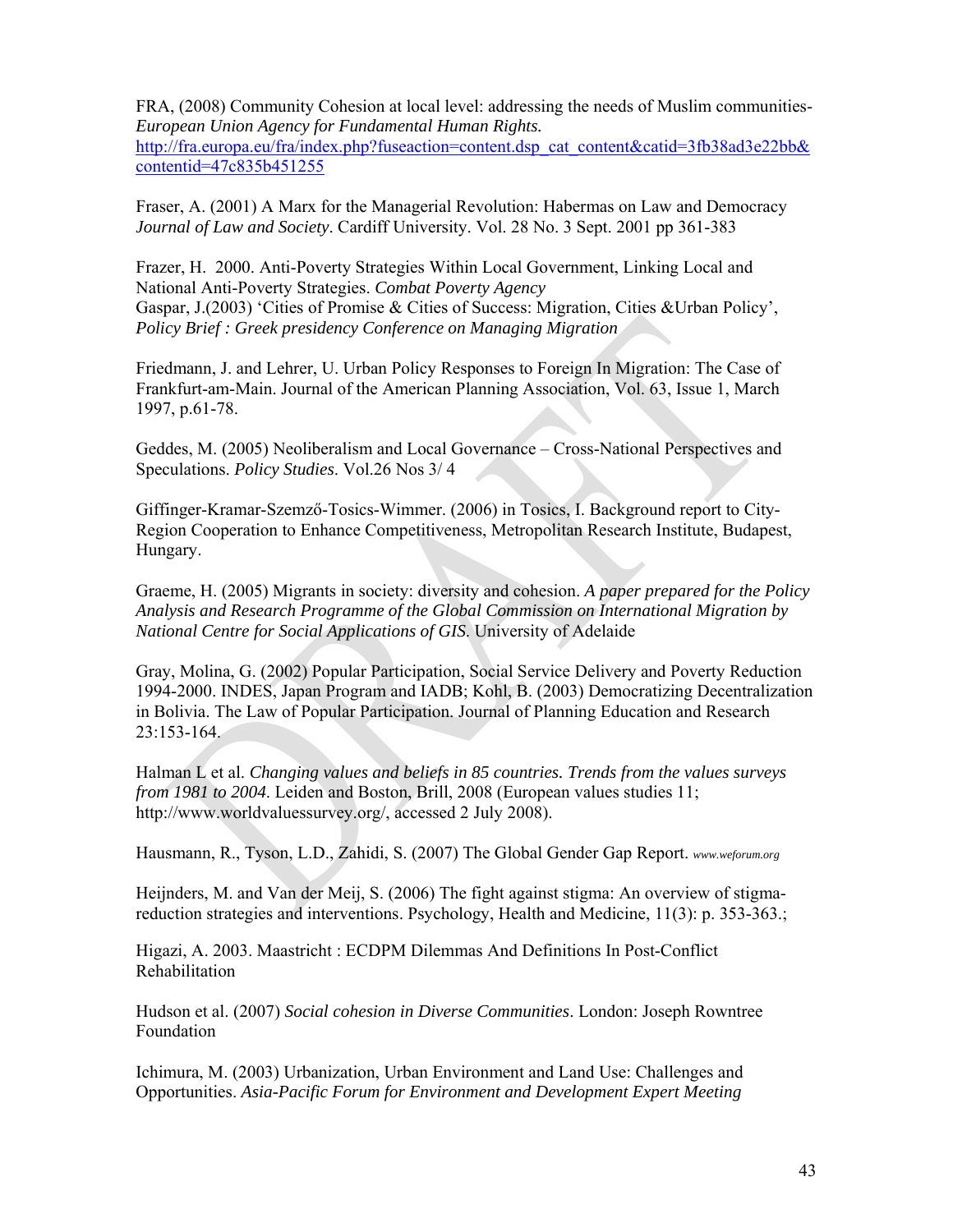FRA, (2008) Community Cohesion at local level: addressing the needs of Muslim communities-*European Union Agency for Fundamental Human Rights.*  http://fra.europa.eu/fra/index.php?fuseaction=content.dsp\_cat\_content&catid=3fb38ad3e22bb& contentid=47c835b451255

Fraser, A. (2001) A Marx for the Managerial Revolution: Habermas on Law and Democracy *Journal of Law and Society*. Cardiff University. Vol. 28 No. 3 Sept. 2001 pp 361-383

Frazer, H. 2000. Anti-Poverty Strategies Within Local Government, Linking Local and National Anti-Poverty Strategies. *Combat Poverty Agency* Gaspar, J.(2003) 'Cities of Promise & Cities of Success: Migration, Cities &Urban Policy', *Policy Brief : Greek presidency Conference on Managing Migration*

Friedmann, J. and Lehrer, U. Urban Policy Responses to Foreign In Migration: The Case of Frankfurt-am-Main. Journal of the American Planning Association, Vol. 63, Issue 1, March 1997, p.61-78.

Geddes, M. (2005) Neoliberalism and Local Governance – Cross-National Perspectives and Speculations. *Policy Studies*. Vol.26 Nos 3/ 4

Giffinger-Kramar-Szemző-Tosics-Wimmer. (2006) in Tosics, I. Background report to City-Region Cooperation to Enhance Competitiveness, Metropolitan Research Institute, Budapest, Hungary.

Graeme, H. (2005) Migrants in society: diversity and cohesion. *A paper prepared for the Policy Analysis and Research Programme of the Global Commission on International Migration by National Centre for Social Applications of GIS*. University of Adelaide

Gray, Molina, G. (2002) Popular Participation, Social Service Delivery and Poverty Reduction 1994-2000. INDES, Japan Program and IADB; Kohl, B. (2003) Democratizing Decentralization in Bolivia. The Law of Popular Participation. Journal of Planning Education and Research 23:153-164.

Halman L et al. *Changing values and beliefs in 85 countries. Trends from the values surveys from 1981 to 2004*. Leiden and Boston, Brill, 2008 (European values studies 11; http://www.worldvaluessurvey.org/, accessed 2 July 2008).

Hausmann, R., Tyson, L.D., Zahidi, S. (2007) The Global Gender Gap Report. *www.weforum.org*

Heijnders, M. and Van der Meij, S. (2006) The fight against stigma: An overview of stigmareduction strategies and interventions. Psychology, Health and Medicine, 11(3): p. 353-363.;

Higazi, A. 2003. Maastricht : ECDPM Dilemmas And Definitions In Post-Conflict Rehabilitation

Hudson et al. (2007) *Social cohesion in Diverse Communities*. London: Joseph Rowntree Foundation

Ichimura, M. (2003) Urbanization, Urban Environment and Land Use: Challenges and Opportunities. *Asia-Pacific Forum for Environment and Development Expert Meeting*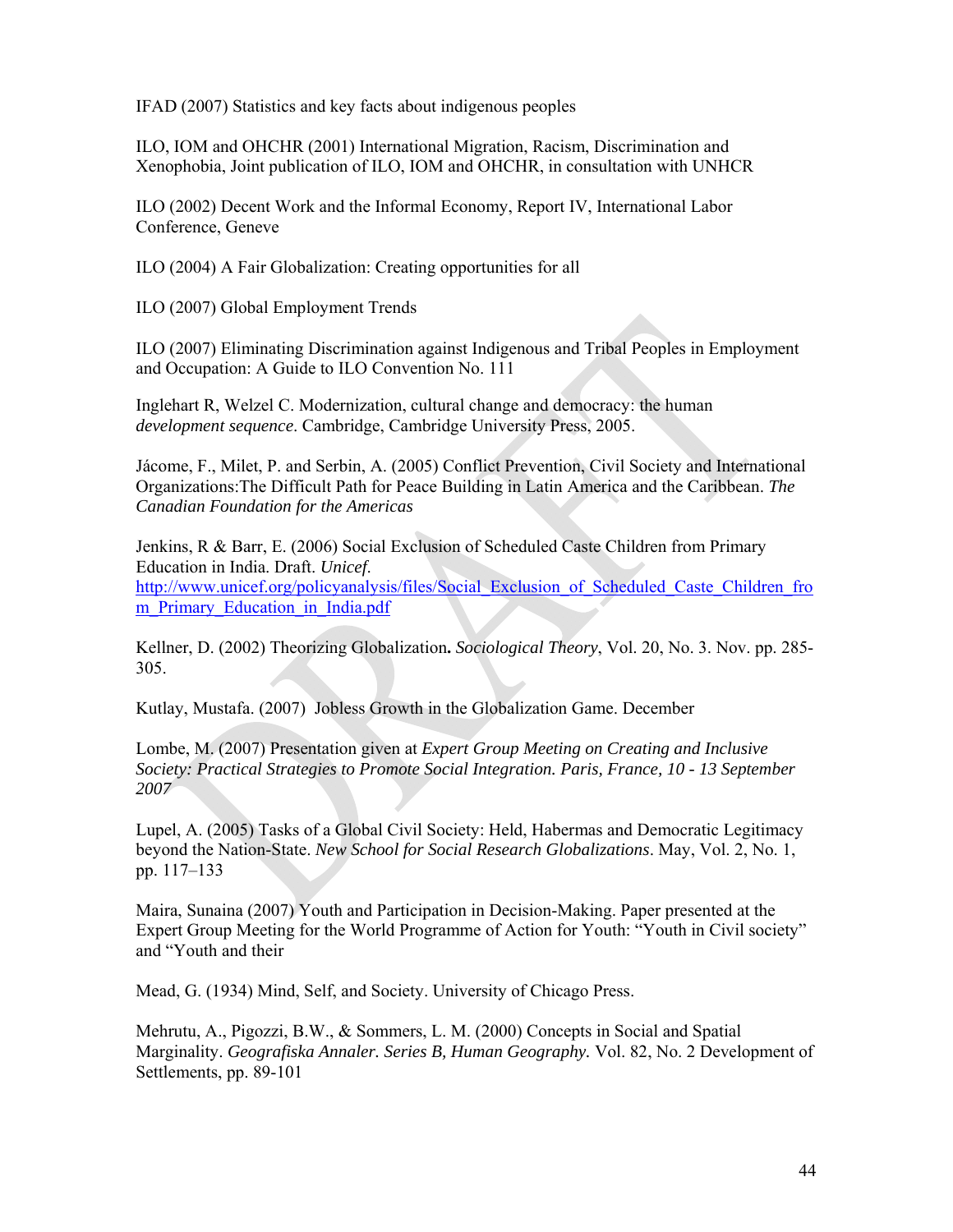IFAD (2007) Statistics and key facts about indigenous peoples

ILO, IOM and OHCHR (2001) International Migration, Racism, Discrimination and Xenophobia, Joint publication of ILO, IOM and OHCHR, in consultation with UNHCR

ILO (2002) Decent Work and the Informal Economy, Report IV, International Labor Conference, Geneve

ILO (2004) A Fair Globalization: Creating opportunities for all

ILO (2007) Global Employment Trends

ILO (2007) Eliminating Discrimination against Indigenous and Tribal Peoples in Employment and Occupation: A Guide to ILO Convention No. 111

Inglehart R, Welzel C. Modernization, cultural change and democracy: the human *development sequence*. Cambridge, Cambridge University Press, 2005.

Jácome, F., Milet, P. and Serbin, A. (2005) Conflict Prevention, Civil Society and International Organizations:The Difficult Path for Peace Building in Latin America and the Caribbean. *The Canadian Foundation for the Americas* 

Jenkins, R & Barr, E. (2006) Social Exclusion of Scheduled Caste Children from Primary Education in India. Draft. *Unicef*. http://www.unicef.org/policyanalysis/files/Social\_Exclusion\_of\_Scheduled\_Caste\_Children\_fro m\_Primary\_Education\_in\_India.pdf

Kellner, D. (2002) Theorizing Globalization**.** *Sociological Theory*, Vol. 20, No. 3. Nov. pp. 285- 305.

Kutlay, Mustafa. (2007) Jobless Growth in the Globalization Game. December

Lombe, M. (2007) Presentation given at *Expert Group Meeting on Creating and Inclusive Society: Practical Strategies to Promote Social Integration. Paris, France, 10 - 13 September 2007* 

Lupel, A. (2005) Tasks of a Global Civil Society: Held, Habermas and Democratic Legitimacy beyond the Nation-State. *New School for Social Research Globalizations*. May, Vol. 2, No. 1, pp. 117–133

Maira, Sunaina (2007) Youth and Participation in Decision-Making. Paper presented at the Expert Group Meeting for the World Programme of Action for Youth: "Youth in Civil society" and "Youth and their

Mead, G. (1934) Mind, Self, and Society. University of Chicago Press.

Mehrutu, A., Pigozzi, B.W., & Sommers, L. M. (2000) Concepts in Social and Spatial Marginality. *Geografiska Annaler. Series B, Human Geography.* Vol. 82, No. 2 Development of Settlements, pp. 89-101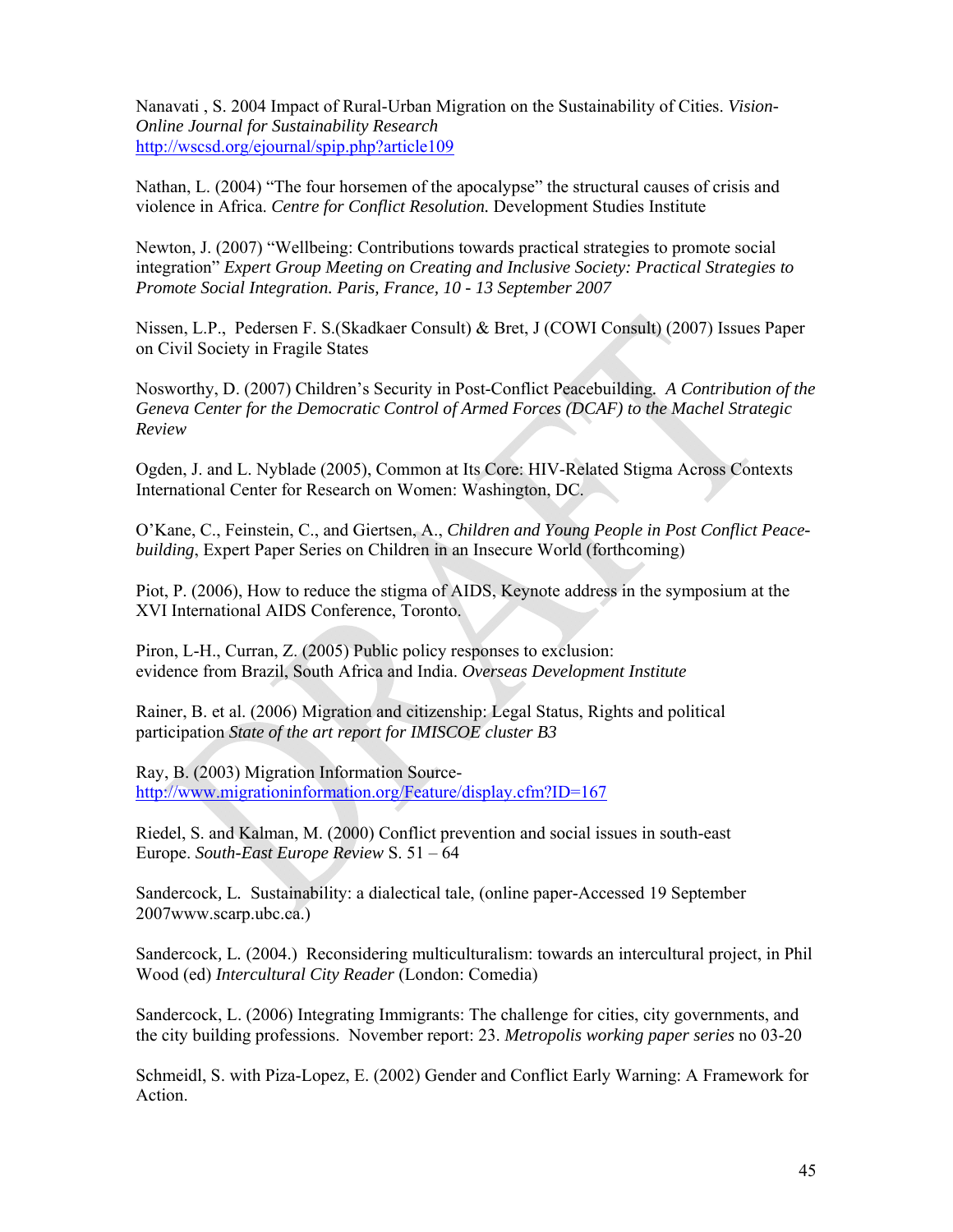Nanavati , S. 2004 Impact of Rural-Urban Migration on the Sustainability of Cities. *Vision-Online Journal for Sustainability Research* http://wscsd.org/ejournal/spip.php?article109

Nathan, L. (2004) "The four horsemen of the apocalypse" the structural causes of crisis and violence in Africa. *Centre for Conflict Resolution.* Development Studies Institute

Newton, J. (2007) "Wellbeing: Contributions towards practical strategies to promote social integration" *Expert Group Meeting on Creating and Inclusive Society: Practical Strategies to Promote Social Integration. Paris, France, 10 - 13 September 2007* 

Nissen, L.P., Pedersen F. S.(Skadkaer Consult) & Bret, J (COWI Consult) (2007) Issues Paper on Civil Society in Fragile States

Nosworthy, D. (2007) Children's Security in Post-Conflict Peacebuilding*. A Contribution of the Geneva Center for the Democratic Control of Armed Forces (DCAF) to the Machel Strategic Review*

Ogden, J. and L. Nyblade (2005), Common at Its Core: HIV-Related Stigma Across Contexts International Center for Research on Women: Washington, DC.

O'Kane, C., Feinstein, C., and Giertsen, A., *Children and Young People in Post Conflict Peacebuilding*, Expert Paper Series on Children in an Insecure World (forthcoming)

Piot, P. (2006), How to reduce the stigma of AIDS, Keynote address in the symposium at the XVI International AIDS Conference, Toronto.

Piron, L-H., Curran, Z. (2005) Public policy responses to exclusion: evidence from Brazil, South Africa and India. *Overseas Development Institute*

Rainer, B. et al. (2006) Migration and citizenship: Legal Status, Rights and political participation *State of the art report for IMISCOE cluster B3* 

Ray, B. (2003) Migration Information Sourcehttp://www.migrationinformation.org/Feature/display.cfm?ID=167

Riedel, S. and Kalman, M. (2000) Conflict prevention and social issues in south-east Europe. *South-East Europe Review* S. 51 – 64

Sandercock*,* L*.* Sustainability: a dialectical tale, (online paper-Accessed 19 September 2007www.scarp.ubc.ca.)

Sandercock*,* L*.* (2004.) Reconsidering multiculturalism: towards an intercultural project, in Phil Wood (ed) *Intercultural City Reader* (London: Comedia)

Sandercock, L. (2006) Integrating Immigrants: The challenge for cities, city governments, and the city building professions. November report: 23. *Metropolis working paper series* no 03-20

Schmeidl, S. with Piza-Lopez, E. (2002) Gender and Conflict Early Warning: A Framework for Action.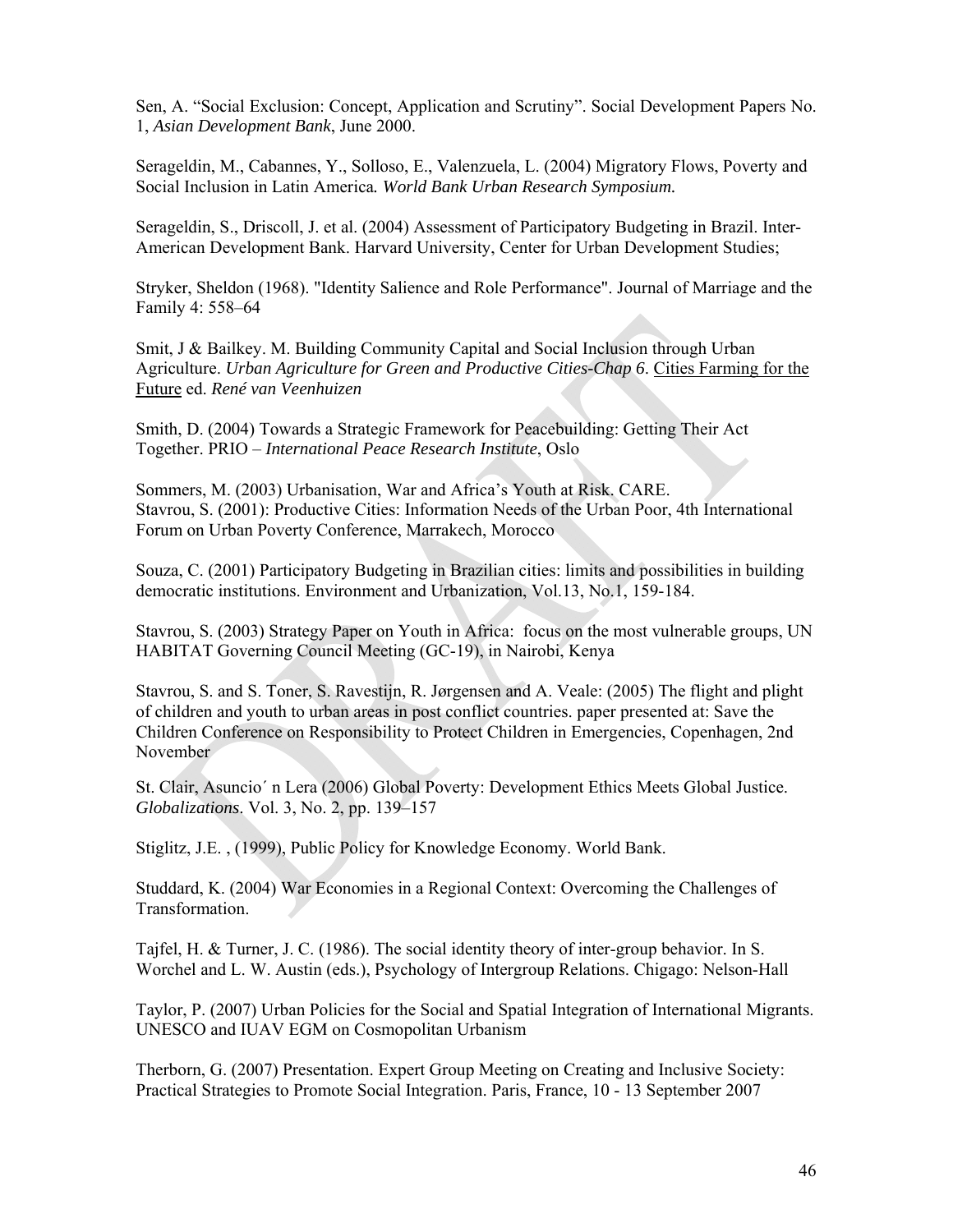Sen, A. "Social Exclusion: Concept, Application and Scrutiny". Social Development Papers No. 1, *Asian Development Bank*, June 2000.

Serageldin, M., Cabannes, Y., Solloso, E., Valenzuela, L. (2004) Migratory Flows, Poverty and Social Inclusion in Latin America*. World Bank Urban Research Symposium.* 

Serageldin, S., Driscoll, J. et al. (2004) Assessment of Participatory Budgeting in Brazil. Inter-American Development Bank. Harvard University, Center for Urban Development Studies;

Stryker, Sheldon (1968). "Identity Salience and Role Performance". Journal of Marriage and the Family 4: 558–64

Smit, J & Bailkey. M. Building Community Capital and Social Inclusion through Urban Agriculture. *Urban Agriculture for Green and Productive Cities-Chap 6*. Cities Farming for the Future ed. *René van Veenhuizen* 

Smith, D. (2004) Towards a Strategic Framework for Peacebuilding: Getting Their Act Together. PRIO – *International Peace Research Institute*, Oslo

Sommers, M. (2003) Urbanisation, War and Africa's Youth at Risk. CARE. Stavrou, S. (2001): Productive Cities: Information Needs of the Urban Poor, 4th International Forum on Urban Poverty Conference, Marrakech, Morocco

Souza, C. (2001) Participatory Budgeting in Brazilian cities: limits and possibilities in building democratic institutions. Environment and Urbanization, Vol.13, No.1, 159-184.

Stavrou, S. (2003) Strategy Paper on Youth in Africa: focus on the most vulnerable groups, UN HABITAT Governing Council Meeting (GC-19), in Nairobi, Kenya

Stavrou, S. and S. Toner, S. Ravestijn, R. Jørgensen and A. Veale: (2005) The flight and plight of children and youth to urban areas in post conflict countries. paper presented at: Save the Children Conference on Responsibility to Protect Children in Emergencies, Copenhagen, 2nd November

St. Clair, Asuncio´ n Lera (2006) Global Poverty: Development Ethics Meets Global Justice. *Globalizations*. Vol. 3, No. 2, pp. 139–157

Stiglitz, J.E. , (1999), Public Policy for Knowledge Economy. World Bank.

Studdard, K. (2004) War Economies in a Regional Context: Overcoming the Challenges of Transformation.

Tajfel, H. & Turner, J. C. (1986). The social identity theory of inter-group behavior. In S. Worchel and L. W. Austin (eds.), Psychology of Intergroup Relations. Chigago: Nelson-Hall

Taylor, P. (2007) Urban Policies for the Social and Spatial Integration of International Migrants. UNESCO and IUAV EGM on Cosmopolitan Urbanism

Therborn, G. (2007) Presentation. Expert Group Meeting on Creating and Inclusive Society: Practical Strategies to Promote Social Integration. Paris, France, 10 - 13 September 2007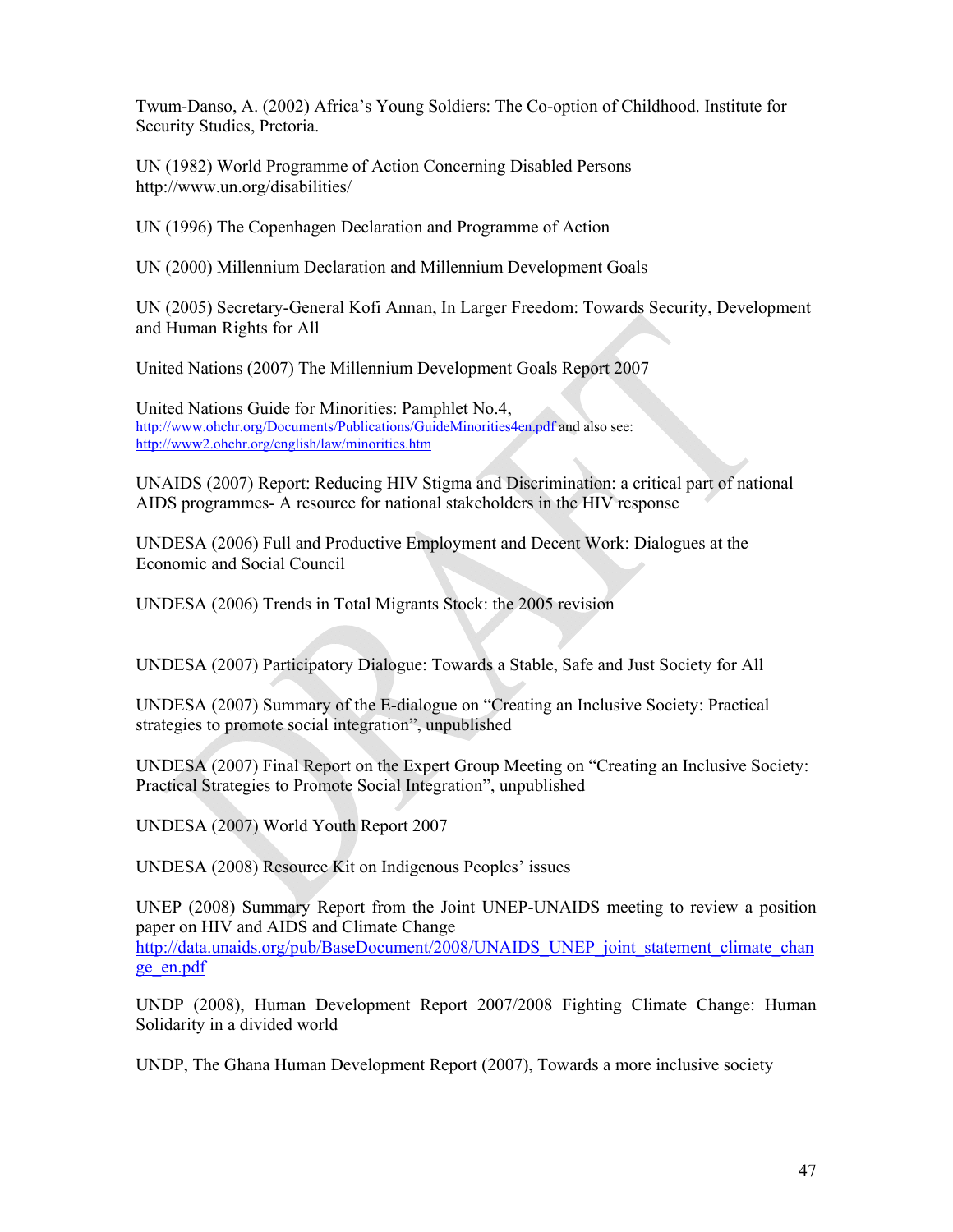Twum-Danso, A. (2002) Africa's Young Soldiers: The Co-option of Childhood. Institute for Security Studies, Pretoria.

UN (1982) World Programme of Action Concerning Disabled Persons http://www.un.org/disabilities/

UN (1996) The Copenhagen Declaration and Programme of Action

UN (2000) Millennium Declaration and Millennium Development Goals

UN (2005) Secretary-General Kofi Annan, In Larger Freedom: Towards Security, Development and Human Rights for All

United Nations (2007) The Millennium Development Goals Report 2007

United Nations Guide for Minorities: Pamphlet No.4, http://www.ohchr.org/Documents/Publications/GuideMinorities4en.pdf and also see: http://www2.ohchr.org/english/law/minorities.htm

UNAIDS (2007) Report: Reducing HIV Stigma and Discrimination: a critical part of national AIDS programmes- A resource for national stakeholders in the HIV response

UNDESA (2006) Full and Productive Employment and Decent Work: Dialogues at the Economic and Social Council

UNDESA (2006) Trends in Total Migrants Stock: the 2005 revision

UNDESA (2007) Participatory Dialogue: Towards a Stable, Safe and Just Society for All

UNDESA (2007) Summary of the E-dialogue on "Creating an Inclusive Society: Practical strategies to promote social integration", unpublished

UNDESA (2007) Final Report on the Expert Group Meeting on "Creating an Inclusive Society: Practical Strategies to Promote Social Integration", unpublished

UNDESA (2007) World Youth Report 2007

UNDESA (2008) Resource Kit on Indigenous Peoples' issues

UNEP (2008) Summary Report from the Joint UNEP-UNAIDS meeting to review a position paper on HIV and AIDS and Climate Change http://data.unaids.org/pub/BaseDocument/2008/UNAIDS\_UNEP\_joint\_statement\_climate\_chan ge\_en.pdf

UNDP (2008), Human Development Report 2007/2008 Fighting Climate Change: Human Solidarity in a divided world

UNDP, The Ghana Human Development Report (2007), Towards a more inclusive society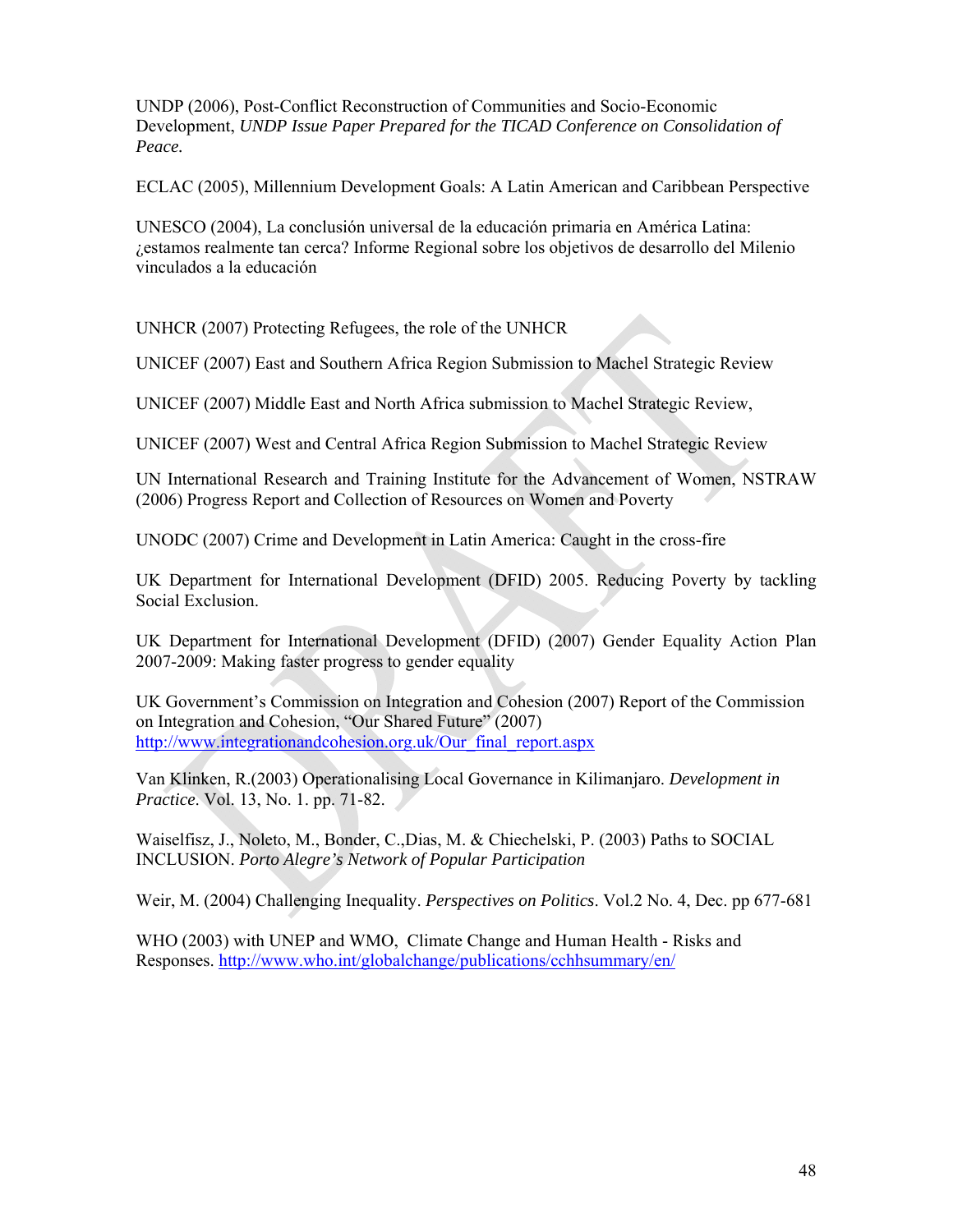UNDP (2006), Post-Conflict Reconstruction of Communities and Socio-Economic Development, *UNDP Issue Paper Prepared for the TICAD Conference on Consolidation of Peace.* 

ECLAC (2005), Millennium Development Goals: A Latin American and Caribbean Perspective

UNESCO (2004), La conclusión universal de la educación primaria en América Latina: ¿estamos realmente tan cerca? Informe Regional sobre los objetivos de desarrollo del Milenio vinculados a la educación

UNHCR (2007) Protecting Refugees, the role of the UNHCR

UNICEF (2007) East and Southern Africa Region Submission to Machel Strategic Review

UNICEF (2007) Middle East and North Africa submission to Machel Strategic Review,

UNICEF (2007) West and Central Africa Region Submission to Machel Strategic Review

UN International Research and Training Institute for the Advancement of Women, NSTRAW (2006) Progress Report and Collection of Resources on Women and Poverty

UNODC (2007) Crime and Development in Latin America: Caught in the cross-fire

UK Department for International Development (DFID) 2005. Reducing Poverty by tackling Social Exclusion.

UK Department for International Development (DFID) (2007) Gender Equality Action Plan 2007-2009: Making faster progress to gender equality

UK Government's Commission on Integration and Cohesion (2007) Report of the Commission on Integration and Cohesion, "Our Shared Future" (2007) http://www.integrationandcohesion.org.uk/Our\_final\_report.aspx

Van Klinken, R.(2003) Operationalising Local Governance in Kilimanjaro. *Development in Practice*. Vol. 13, No. 1. pp. 71-82.

Waiselfisz, J., Noleto, M., Bonder, C.,Dias, M. & Chiechelski, P. (2003) Paths to SOCIAL INCLUSION. *Porto Alegre's Network of Popular Participation*

Weir, M. (2004) Challenging Inequality. *Perspectives on Politics*. Vol.2 No. 4, Dec. pp 677-681

WHO (2003) with UNEP and WMO, Climate Change and Human Health - Risks and Responses. http://www.who.int/globalchange/publications/cchhsummary/en/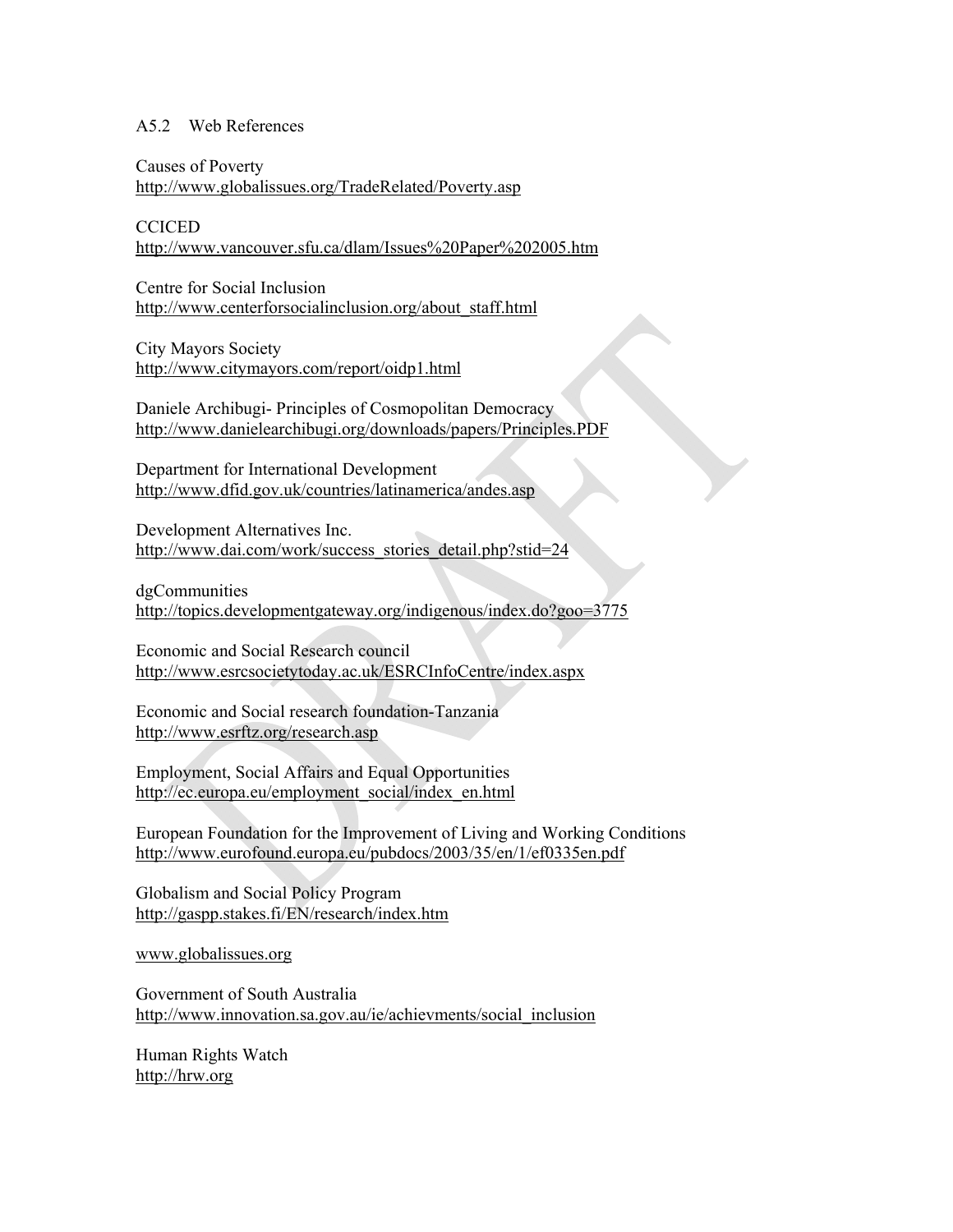#### A5.2 Web References

Causes of Poverty http://www.globalissues.org/TradeRelated/Poverty.asp

#### CCICED

http://www.vancouver.sfu.ca/dlam/Issues%20Paper%202005.htm

Centre for Social Inclusion http://www.centerforsocialinclusion.org/about\_staff.html

City Mayors Society http://www.citymayors.com/report/oidp1.html

Daniele Archibugi- Principles of Cosmopolitan Democracy http://www.danielearchibugi.org/downloads/papers/Principles.PDF

Department for International Development http://www.dfid.gov.uk/countries/latinamerica/andes.asp

Development Alternatives Inc. http://www.dai.com/work/success\_stories\_detail.php?stid=24

dgCommunities http://topics.developmentgateway.org/indigenous/index.do?goo=3775

Economic and Social Research council http://www.esrcsocietytoday.ac.uk/ESRCInfoCentre/index.aspx

Economic and Social research foundation-Tanzania http://www.esrftz.org/research.asp

Employment, Social Affairs and Equal Opportunities http://ec.europa.eu/employment\_social/index\_en.html

European Foundation for the Improvement of Living and Working Conditions http://www.eurofound.europa.eu/pubdocs/2003/35/en/1/ef0335en.pdf

Globalism and Social Policy Program http://gaspp.stakes.fi/EN/research/index.htm

www.globalissues.org

Government of South Australia http://www.innovation.sa.gov.au/ie/achievments/social\_inclusion

Human Rights Watch http://hrw.org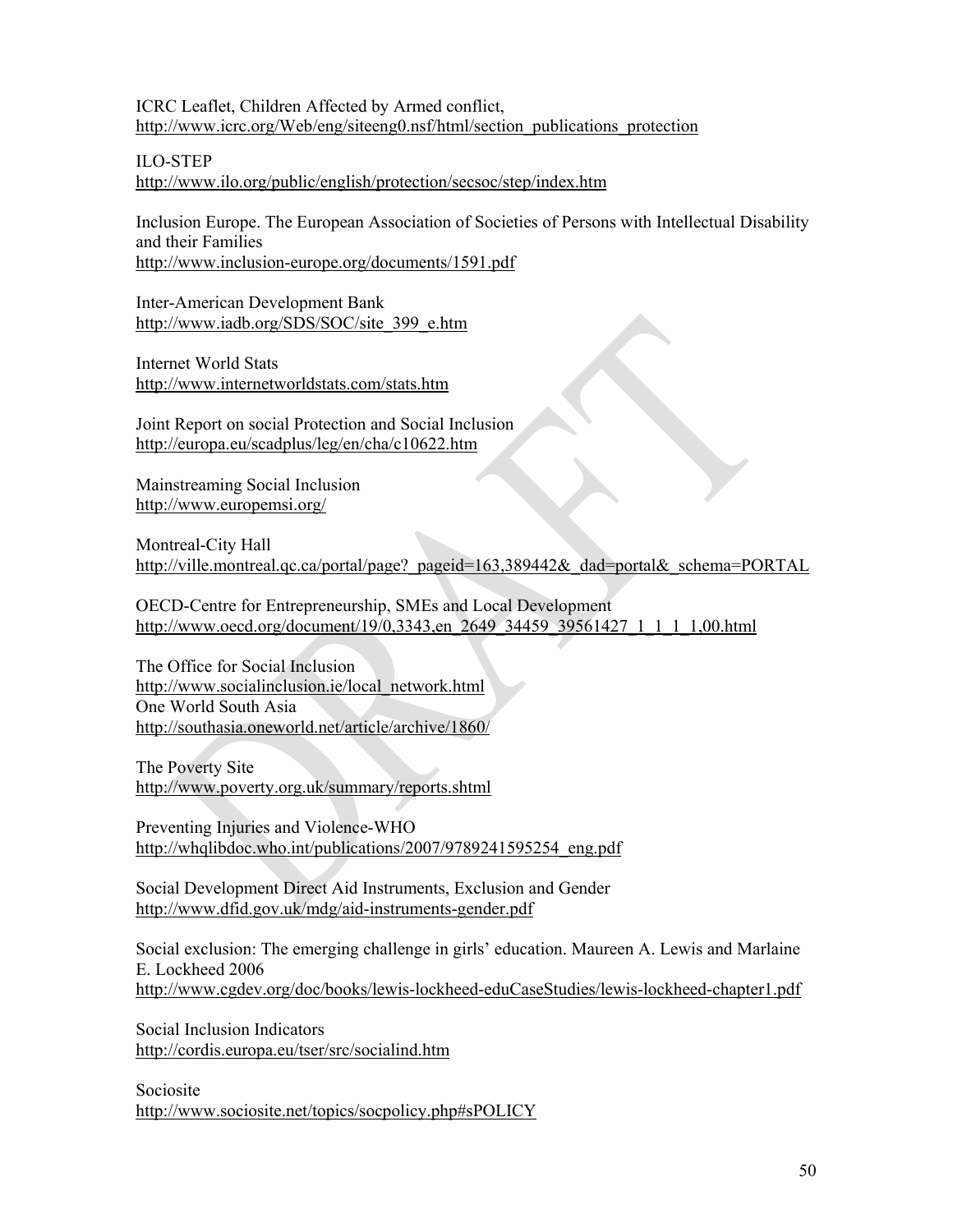ICRC Leaflet, Children Affected by Armed conflict, http://www.icrc.org/Web/eng/siteeng0.nsf/html/section\_publications\_protection

ILO-STEP

http://www.ilo.org/public/english/protection/secsoc/step/index.htm

Inclusion Europe. The European Association of Societies of Persons with Intellectual Disability and their Families http://www.inclusion-europe.org/documents/1591.pdf

Inter-American Development Bank http://www.iadb.org/SDS/SOC/site\_399\_e.htm

Internet World Stats http://www.internetworldstats.com/stats.htm

Joint Report on social Protection and Social Inclusion http://europa.eu/scadplus/leg/en/cha/c10622.htm

Mainstreaming Social Inclusion http://www.europemsi.org/

Montreal-City Hall http://ville.montreal.qc.ca/portal/page? pageid=163,389442&\_dad=portal&\_schema=PORTAL

OECD-Centre for Entrepreneurship, SMEs and Local Development http://www.oecd.org/document/19/0,3343.en\_2649\_34459\_39561427\_1\_1\_1\_1,00.html

The Office for Social Inclusion http://www.socialinclusion.ie/local\_network.html One World South Asia http://southasia.oneworld.net/article/archive/1860/

The Poverty Site http://www.poverty.org.uk/summary/reports.shtml

Preventing Injuries and Violence-WHO http://whqlibdoc.who.int/publications/2007/9789241595254\_eng.pdf

Social Development Direct Aid Instruments, Exclusion and Gender http://www.dfid.gov.uk/mdg/aid-instruments-gender.pdf

Social exclusion: The emerging challenge in girls' education. Maureen A. Lewis and Marlaine E. Lockheed 2006 http://www.cgdev.org/doc/books/lewis-lockheed-eduCaseStudies/lewis-lockheed-chapter1.pdf

Social Inclusion Indicators http://cordis.europa.eu/tser/src/socialind.htm

Sociosite http://www.sociosite.net/topics/socpolicy.php#sPOLICY